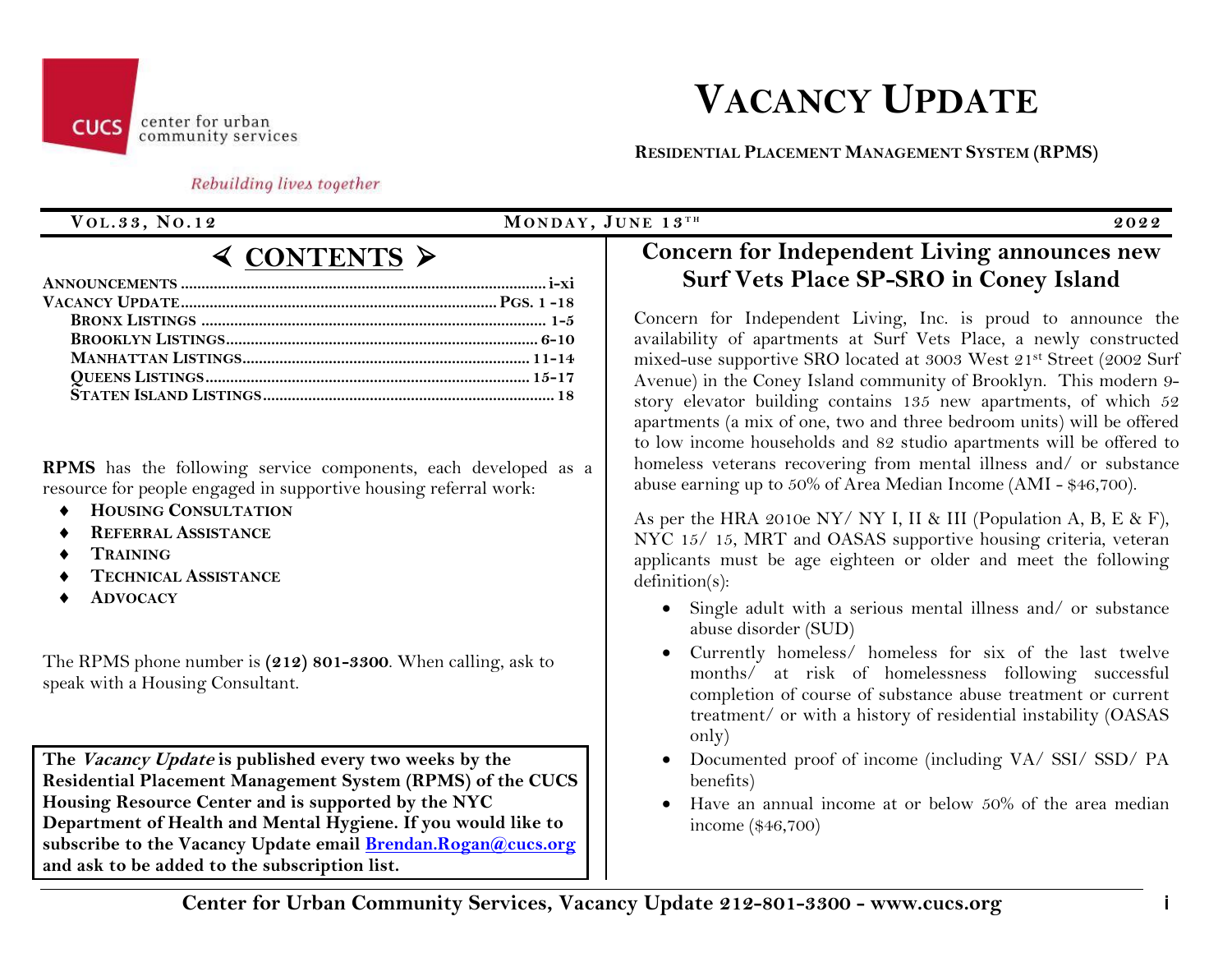# **VACANCY UPDATE**

#### center for urban community services

 **RESIDENTIAL PLACEMENT MANAGEMENT SYSTEM (RPMS)**

## Rebuilding lives together

**CUCS** 

# **V O L.33, N O.12 MO N D A Y , J U N E 13 T H 2022**

# **CONTENTS** ➢

**RPMS** has the following service components, each developed as a resource for people engaged in supportive housing referral work:

- **HOUSING CONSULTATION**
- **REFERRAL ASSISTANCE**
- **TRAINING**
- **TECHNICAL ASSISTANCE**
- **ADVOCACY**

The RPMS phone number is **(212) 801-3300**. When calling, ask to speak with a Housing Consultant.

**The Vacancy Update is published every two weeks by the Residential Placement Management System (RPMS) of the CUCS Housing Resource Center and is supported by the NYC Department of Health and Mental Hygiene. If you would like to subscribe to the Vacancy Update email [Brendan.Rogan@cucs.org](mailto:Brendan.Rogan@cucs.org) and ask to be added to the subscription list.**

# **Concern for Independent Living announces new Surf Vets Place SP-SRO in Coney Island**

Concern for Independent Living, Inc. is proud to announce the availability of apartments at Surf Vets Place, a newly constructed mixed-use supportive SRO located at 3003 West 21st Street (2002 Surf Avenue) in the Coney Island community of Brooklyn. This modern 9 story elevator building contains 135 new apartments, of which 52 apartments (a mix of one, two and three bedroom units) will be offered to low income households and 82 studio apartments will be offered to homeless veterans recovering from mental illness and/ or substance abuse earning up to 50% of Area Median Income (AMI - \$46,700).

As per the HRA 2010e NY/ NY I, II & III (Population A, B, E & F), NYC 15/ 15, MRT and OASAS supportive housing criteria, veteran applicants must be age eighteen or older and meet the following definition(s):

- Single adult with a serious mental illness and/ or substance abuse disorder (SUD)
- Currently homeless/ homeless for six of the last twelve months/ at risk of homelessness following successful completion of course of substance abuse treatment or current treatment/ or with a history of residential instability (OASAS only)
- Documented proof of income (including VA/ SSI/ SSD/ PA benefits)
- Have an annual income at or below 50% of the area median income (\$46,700)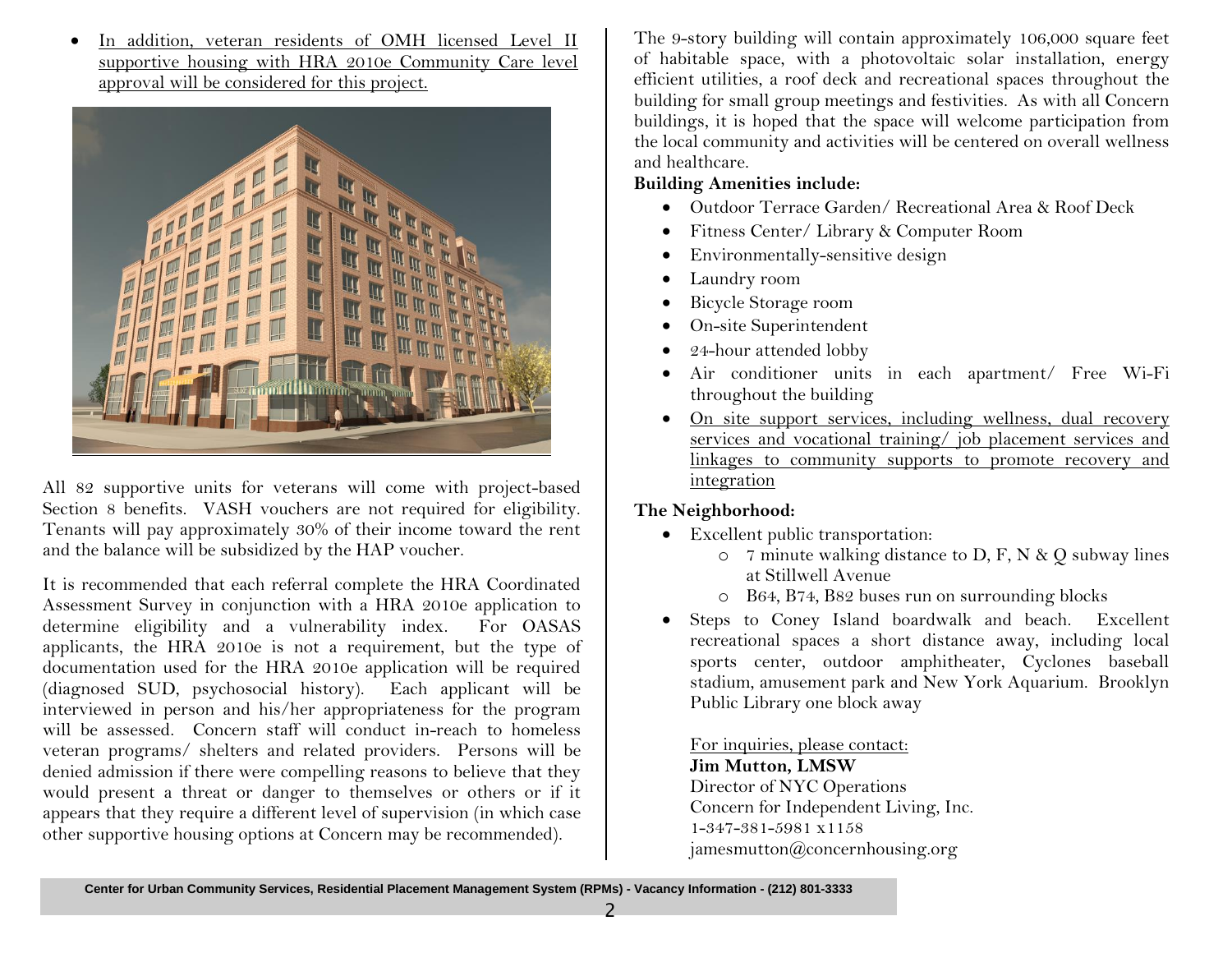In addition, veteran residents of OMH licensed Level II supportive housing with HRA 2010e Community Care level approval will be considered for this project.



All 82 supportive units for veterans will come with project-based Section 8 benefits. VASH vouchers are not required for eligibility. Tenants will pay approximately 30% of their income toward the rent and the balance will be subsidized by the HAP voucher.

It is recommended that each referral complete the HRA Coordinated Assessment Survey in conjunction with a HRA 2010e application to determine eligibility and a vulnerability index. For OASAS applicants, the HRA 2010e is not a requirement, but the type of documentation used for the HRA 2010e application will be required (diagnosed SUD, psychosocial history). Each applicant will be interviewed in person and his/her appropriateness for the program will be assessed. Concern staff will conduct in-reach to homeless veteran programs/ shelters and related providers. Persons will be denied admission if there were compelling reasons to believe that they would present a threat or danger to themselves or others or if it appears that they require a different level of supervision (in which case other supportive housing options at Concern may be recommended).

The 9-story building will contain approximately 106,000 square feet of habitable space, with a photovoltaic solar installation, energy efficient utilities, a roof deck and recreational spaces throughout the building for small group meetings and festivities. As with all Concern buildings, it is hoped that the space will welcome participation from the local community and activities will be centered on overall wellness and healthcare.

# **Building Amenities include:**

- Outdoor Terrace Garden/ Recreational Area & Roof Deck
- Fitness Center/ Library & Computer Room
- Environmentally-sensitive design
- Laundry room
- Bicycle Storage room
- On-site Superintendent
- 24-hour attended lobby
- Air conditioner units in each apartment/ Free Wi-Fi throughout the building
- On site support services, including wellness, dual recovery services and vocational training/ job placement services and linkages to community supports to promote recovery and integration

# **The Neighborhood:**

- Excellent public transportation:
	- $\circ$  7 minute walking distance to D, F, N & Q subway lines at Stillwell Avenue
	- o B64, B74, B82 buses run on surrounding blocks
- Steps to Coney Island boardwalk and beach. Excellent recreational spaces a short distance away, including local sports center, outdoor amphitheater, Cyclones baseball stadium, amusement park and New York Aquarium. Brooklyn Public Library one block away

For inquiries, please contact: **Jim Mutton, LMSW** Director of NYC Operations Concern for Independent Living, Inc. 1-347-381-5981 x1158 jamesmutton $@$ concernhousing.org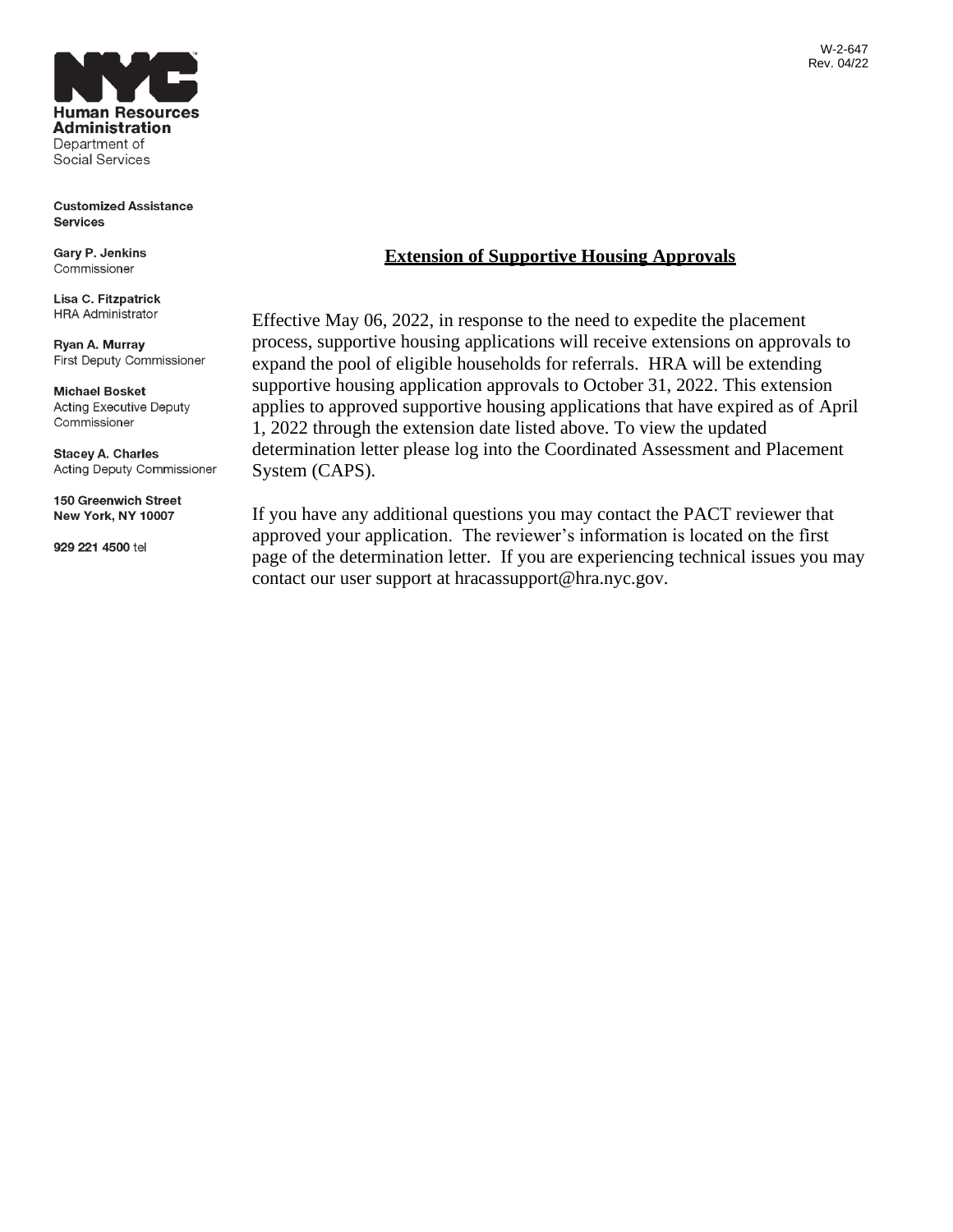**Human Resources Administration** Department of Social Services

**Customized Assistance Services** 

Gary P. Jenkins Commissioner

Lisa C. Fitzpatrick **HRA Administrator** 

Ryan A. Murray First Deputy Commissioner

**Michael Bosket Acting Executive Deputy** Commissioner

**Stacey A. Charles** Acting Deputy Commissioner

150 Greenwich Street New York, NY 10007

929 221 4500 tel

# **Extension of Supportive Housing Approvals**

Effective May 06, 2022, in response to the need to expedite the placement process, supportive housing applications will receive extensions on approvals to expand the pool of eligible households for referrals. HRA will be extending supportive housing application approvals to October 31, 2022. This extension applies to approved supportive housing applications that have expired as of April 1, 2022 through the extension date listed above. To view the updated determination letter please log into the Coordinated Assessment and Placement System (CAPS).

If you have any additional questions you may contact the PACT reviewer that approved your application. The reviewer's information is located on the first page of the determination letter. If you are experiencing technical issues you may contact our user support at hracassupport@hra.nyc.gov.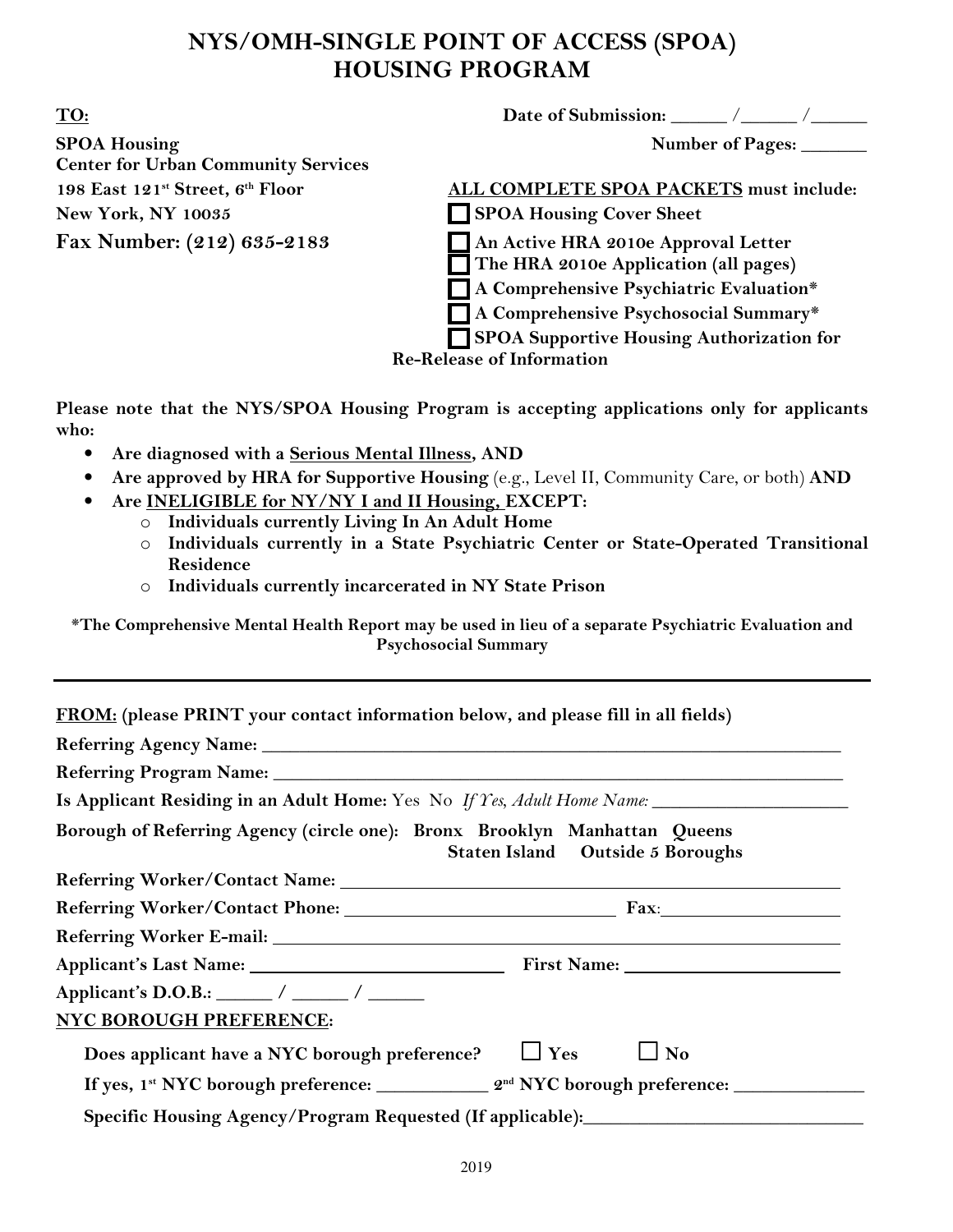# **NYS/OMH-SINGLE POINT OF ACCESS (SPOA) HOUSING PROGRAM**

**TO: Date of Submission:** \_\_\_\_\_\_ /\_\_\_\_\_\_ /\_\_\_\_\_\_

**SPOA Housing SPOA Housing SPOA Housing SPOA Housing SPOA Housing SPOA Housing SPOA Housing SPOA Housing SPOA Housing SPOA Housing SPOA Housing SPOA Housing SPOA Housing SPOA Housing SPOA Housing SPOA Housing SPOA Housing Center for Urban Community Services**  New York, NY 10035 SPOA Housing Cover Sheet

**198 East 121st Street, 6th Floor ALL COMPLETE SPOA PACKETS must include:** 

**Fax Number: (212) 635-2183** An Active HRA 2010e Approval Letter

**The HRA 2010e Application (all pages)** 

 **A Comprehensive Psychiatric Evaluation\*** 

 **A Comprehensive Psychosocial Summary\*** 

 **SPOA Supportive Housing Authorization for** 

**Re-Release of Information** 

**Please note that the NYS/SPOA Housing Program is accepting applications only for applicants who:** 

- **Are diagnosed with a Serious Mental Illness, AND**
- **Are approved by HRA for Supportive Housing** (e.g., Level II, Community Care, or both) **AND**
- **Are INELIGIBLE for NY/NY I and II Housing, EXCEPT:** 
	- o **Individuals currently Living In An Adult Home**
	- o **Individuals currently in a State Psychiatric Center or State-Operated Transitional Residence**
	- o **Individuals currently incarcerated in NY State Prison**

**\*The Comprehensive Mental Health Report may be used in lieu of a separate Psychiatric Evaluation and Psychosocial Summary** 

| Is Applicant Residing in an Adult Home: Yes No If Yes, Adult Home Name: ____________________________ |                                  |
|------------------------------------------------------------------------------------------------------|----------------------------------|
| Borough of Referring Agency (circle one): Bronx Brooklyn Manhattan Queens                            | Staten Island Outside 5 Boroughs |
|                                                                                                      |                                  |
|                                                                                                      |                                  |
|                                                                                                      |                                  |
| Applicant's Last Name: 1988 Manner Pirst Name: 2008 Manner Pirst Name: 2008                          |                                  |
| Applicant's D.O.B.: $\frac{\ }{\ }$ / ________ / ________ /                                          |                                  |
| NYC BOROUGH PREFERENCE:                                                                              |                                  |
| Does applicant have a NYC borough preference? $\Box$ Yes                                             | $\Box$ No                        |
|                                                                                                      |                                  |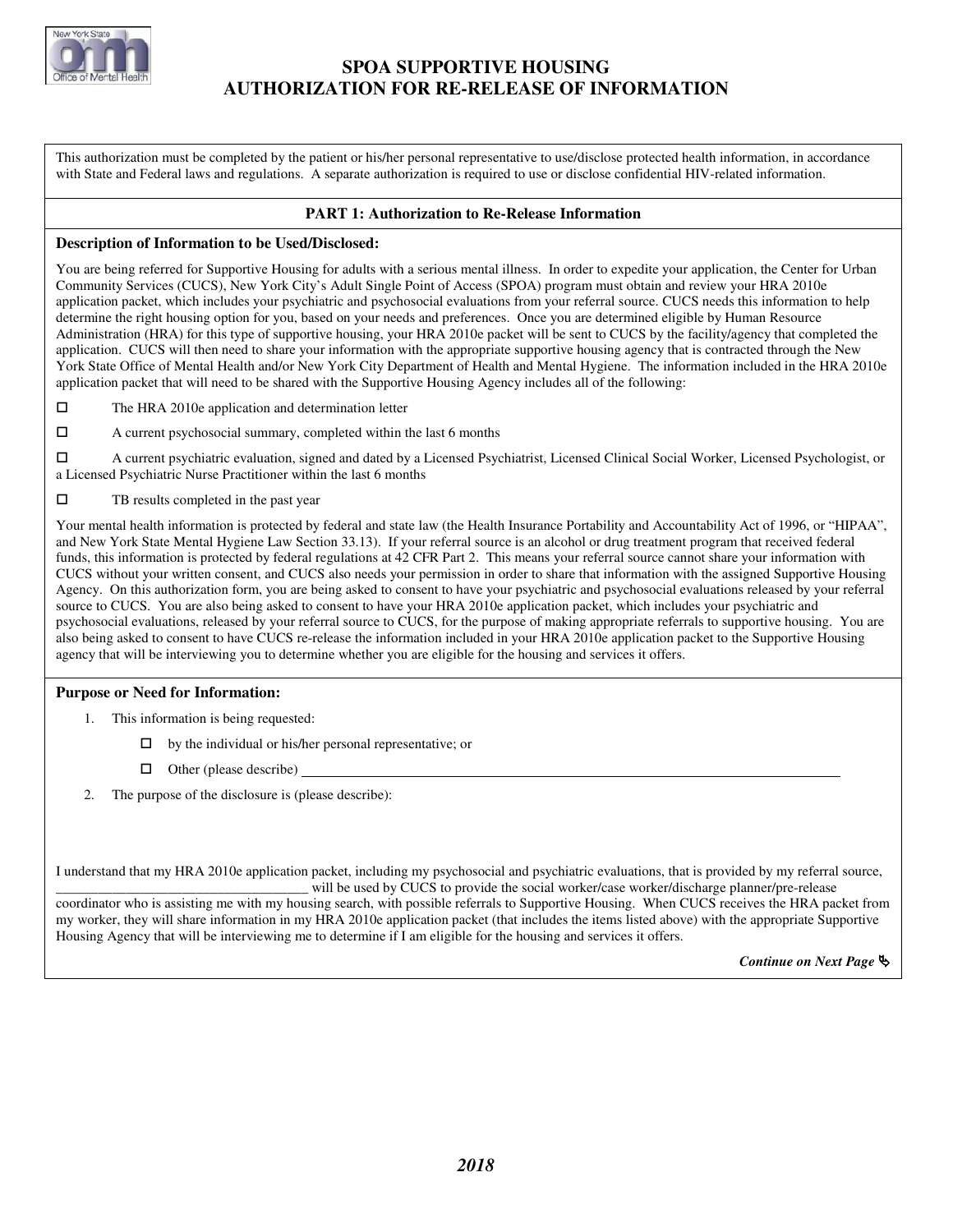

# **SPOA SUPPORTIVE HOUSING AUTHORIZATION FOR RE-RELEASE OF INFORMATION**

This authorization must be completed by the patient or his/her personal representative to use/disclose protected health information, in accordance with State and Federal laws and regulations. A separate authorization is required to use or disclose confidential HIV-related information.

### **PART 1: Authorization to Re-Release Information**

#### **Description of Information to be Used/Disclosed:**

You are being referred for Supportive Housing for adults with a serious mental illness. In order to expedite your application, the Center for Urban Community Services (CUCS), New York City's Adult Single Point of Access (SPOA) program must obtain and review your HRA 2010e application packet, which includes your psychiatric and psychosocial evaluations from your referral source. CUCS needs this information to help determine the right housing option for you, based on your needs and preferences. Once you are determined eligible by Human Resource Administration (HRA) for this type of supportive housing, your HRA 2010e packet will be sent to CUCS by the facility/agency that completed the application. CUCS will then need to share your information with the appropriate supportive housing agency that is contracted through the New York State Office of Mental Health and/or New York City Department of Health and Mental Hygiene. The information included in the HRA 2010e application packet that will need to be shared with the Supportive Housing Agency includes all of the following:

- $\square$  The HRA 2010e application and determination letter
- A current psychosocial summary, completed within the last 6 months

 A current psychiatric evaluation, signed and dated by a Licensed Psychiatrist, Licensed Clinical Social Worker, Licensed Psychologist, or a Licensed Psychiatric Nurse Practitioner within the last 6 months

#### $\square$  TB results completed in the past year

Your mental health information is protected by federal and state law (the Health Insurance Portability and Accountability Act of 1996, or "HIPAA", and New York State Mental Hygiene Law Section 33.13). If your referral source is an alcohol or drug treatment program that received federal funds, this information is protected by federal regulations at 42 CFR Part 2. This means your referral source cannot share your information with CUCS without your written consent, and CUCS also needs your permission in order to share that information with the assigned Supportive Housing Agency. On this authorization form, you are being asked to consent to have your psychiatric and psychosocial evaluations released by your referral source to CUCS. You are also being asked to consent to have your HRA 2010e application packet, which includes your psychiatric and psychosocial evaluations, released by your referral source to CUCS, for the purpose of making appropriate referrals to supportive housing. You are also being asked to consent to have CUCS re-release the information included in your HRA 2010e application packet to the Supportive Housing agency that will be interviewing you to determine whether you are eligible for the housing and services it offers.

#### **Purpose or Need for Information:**

- 1. This information is being requested:
	- $\Box$  by the individual or his/her personal representative; or
	- $\Box$  Other (please describe)
- The purpose of the disclosure is (please describe):

I understand that my HRA 2010e application packet, including my psychosocial and psychiatric evaluations, that is provided by my referral source, will be used by CUCS to provide the social worker/case worker/discharge planner/pre-release

coordinator who is assisting me with my housing search, with possible referrals to Supportive Housing. When CUCS receives the HRA packet from my worker, they will share information in my HRA 2010e application packet (that includes the items listed above) with the appropriate Supportive Housing Agency that will be interviewing me to determine if I am eligible for the housing and services it offers.

*Continue on Next Page* -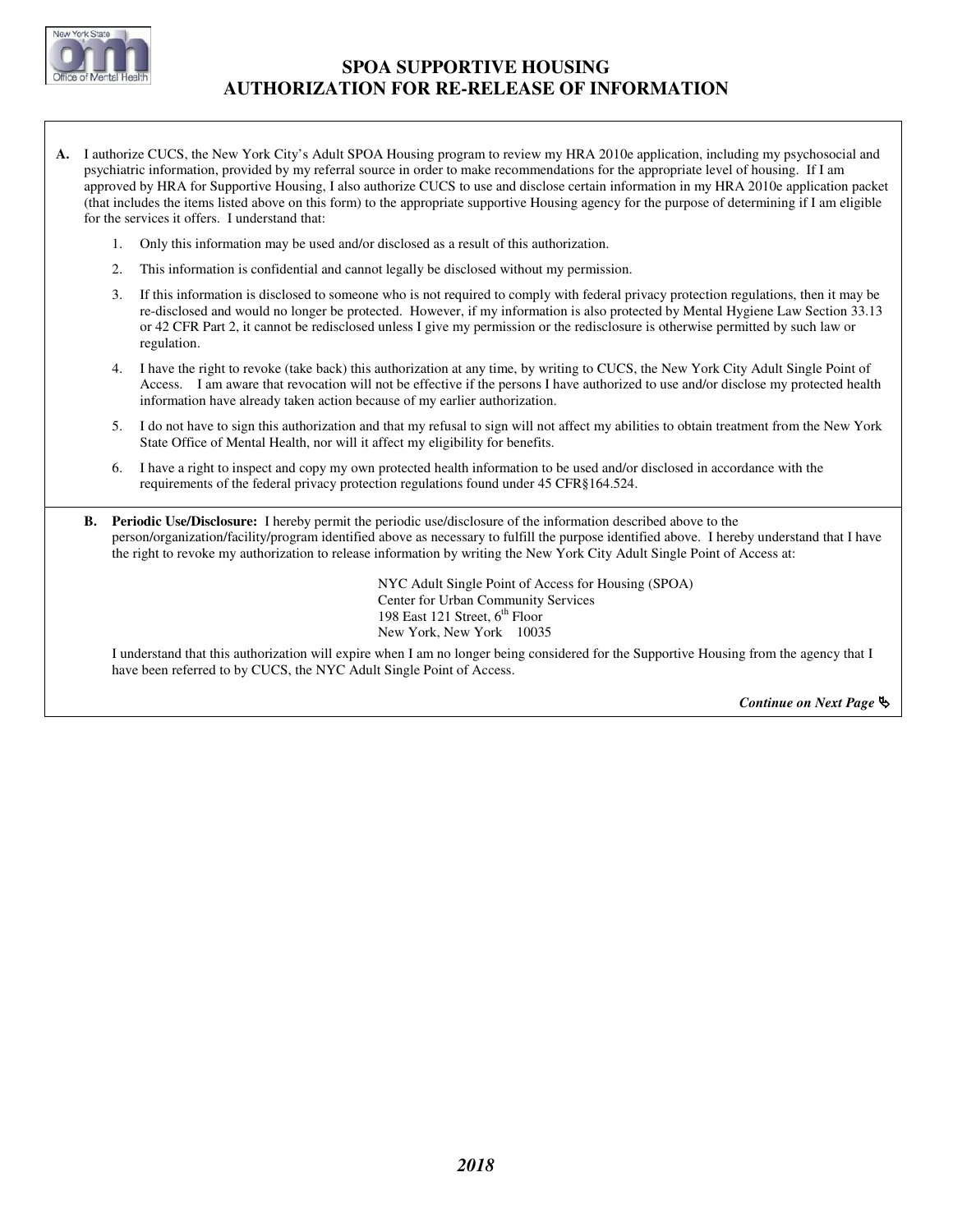

# **SPOA SUPPORTIVE HOUSING AUTHORIZATION FOR RE-RELEASE OF INFORMATION**

- **A.** I authorize CUCS, the New York City's Adult SPOA Housing program to review my HRA 2010e application, including my psychosocial and psychiatric information, provided by my referral source in order to make recommendations for the appropriate level of housing. If I am approved by HRA for Supportive Housing, I also authorize CUCS to use and disclose certain information in my HRA 2010e application packet (that includes the items listed above on this form) to the appropriate supportive Housing agency for the purpose of determining if I am eligible for the services it offers. I understand that:
	- 1. Only this information may be used and/or disclosed as a result of this authorization.
	- 2. This information is confidential and cannot legally be disclosed without my permission.
	- 3. If this information is disclosed to someone who is not required to comply with federal privacy protection regulations, then it may be re-disclosed and would no longer be protected. However, if my information is also protected by Mental Hygiene Law Section 33.13 or 42 CFR Part 2, it cannot be redisclosed unless I give my permission or the redisclosure is otherwise permitted by such law or regulation.
	- 4. I have the right to revoke (take back) this authorization at any time, by writing to CUCS, the New York City Adult Single Point of Access. I am aware that revocation will not be effective if the persons I have authorized to use and/or disclose my protected health information have already taken action because of my earlier authorization.
	- 5. I do not have to sign this authorization and that my refusal to sign will not affect my abilities to obtain treatment from the New York State Office of Mental Health, nor will it affect my eligibility for benefits.
	- 6. I have a right to inspect and copy my own protected health information to be used and/or disclosed in accordance with the requirements of the federal privacy protection regulations found under 45 CFR§164.524.
	- **B. Periodic Use/Disclosure:** I hereby permit the periodic use/disclosure of the information described above to the person/organization/facility/program identified above as necessary to fulfill the purpose identified above. I hereby understand that I have the right to revoke my authorization to release information by writing the New York City Adult Single Point of Access at:

NYC Adult Single Point of Access for Housing (SPOA) Center for Urban Community Services 198 East 121 Street,  $6<sup>th</sup>$  Floor New York, New York 10035

I understand that this authorization will expire when I am no longer being considered for the Supportive Housing from the agency that I have been referred to by CUCS, the NYC Adult Single Point of Access.

*Continue on Next Page* -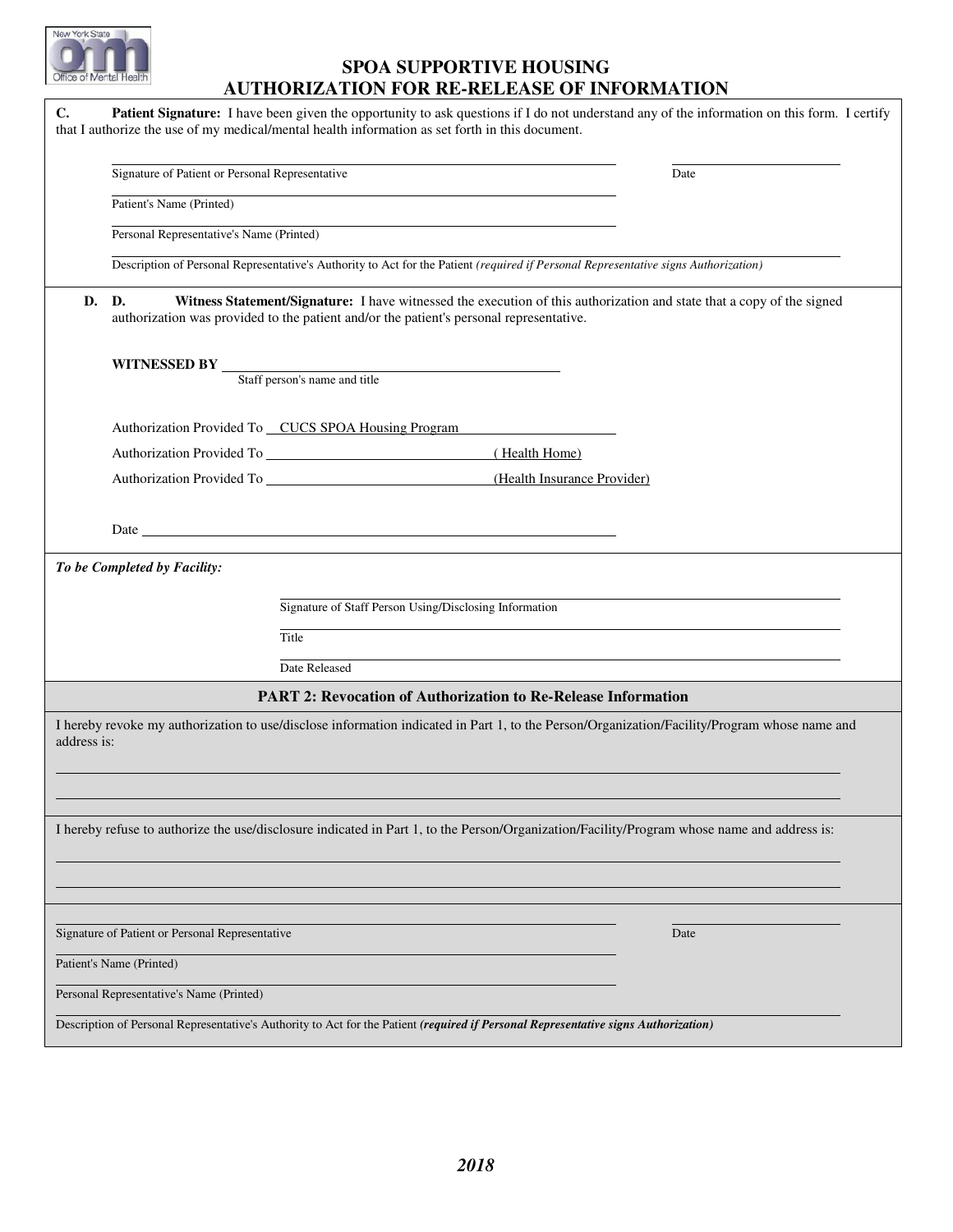# **SPOA SUPPORTIVE HOUSING AUTHORIZATION FOR RE-RELEASE OF INFORMATION**

| C.          | Patient Signature: I have been given the opportunity to ask questions if I do not understand any of the information on this form. I certify                                                                                    |      |
|-------------|--------------------------------------------------------------------------------------------------------------------------------------------------------------------------------------------------------------------------------|------|
|             | that I authorize the use of my medical/mental health information as set forth in this document.                                                                                                                                |      |
|             | Signature of Patient or Personal Representative                                                                                                                                                                                | Date |
|             | Patient's Name (Printed)                                                                                                                                                                                                       |      |
|             | Personal Representative's Name (Printed)                                                                                                                                                                                       |      |
|             | Description of Personal Representative's Authority to Act for the Patient (required if Personal Representative signs Authorization)                                                                                            |      |
| D.          | Witness Statement/Signature: I have witnessed the execution of this authorization and state that a copy of the signed<br>D.<br>authorization was provided to the patient and/or the patient's personal representative.         |      |
|             |                                                                                                                                                                                                                                |      |
|             | <b>WITNESSED BY</b> Staff person's name and title                                                                                                                                                                              |      |
|             |                                                                                                                                                                                                                                |      |
|             | Authorization Provided To CUCS SPOA Housing Program                                                                                                                                                                            |      |
|             | (Health Home)                                                                                                                                                                                                                  |      |
|             | (Health Insurance Provider)                                                                                                                                                                                                    |      |
|             | Date has a series of the series of the series of the series of the series of the series of the series of the series of the series of the series of the series of the series of the series of the series of the series of the s |      |
|             | To be Completed by Facility:                                                                                                                                                                                                   |      |
|             | Signature of Staff Person Using/Disclosing Information                                                                                                                                                                         |      |
|             |                                                                                                                                                                                                                                |      |
|             | Title                                                                                                                                                                                                                          |      |
|             | Date Released                                                                                                                                                                                                                  |      |
|             | <b>PART 2: Revocation of Authorization to Re-Release Information</b>                                                                                                                                                           |      |
| address is: | I hereby revoke my authorization to use/disclose information indicated in Part 1, to the Person/Organization/Facility/Program whose name and                                                                                   |      |
|             |                                                                                                                                                                                                                                |      |
|             | I hereby refuse to authorize the use/disclosure indicated in Part 1, to the Person/Organization/Facility/Program whose name and address is:                                                                                    |      |
|             |                                                                                                                                                                                                                                |      |
|             | Signature of Patient or Personal Representative                                                                                                                                                                                | Date |
|             | Patient's Name (Printed)                                                                                                                                                                                                       |      |
|             | Personal Representative's Name (Printed)                                                                                                                                                                                       |      |
|             | Description of Personal Representative's Authority to Act for the Patient (required if Personal Representative signs Authorization)                                                                                            |      |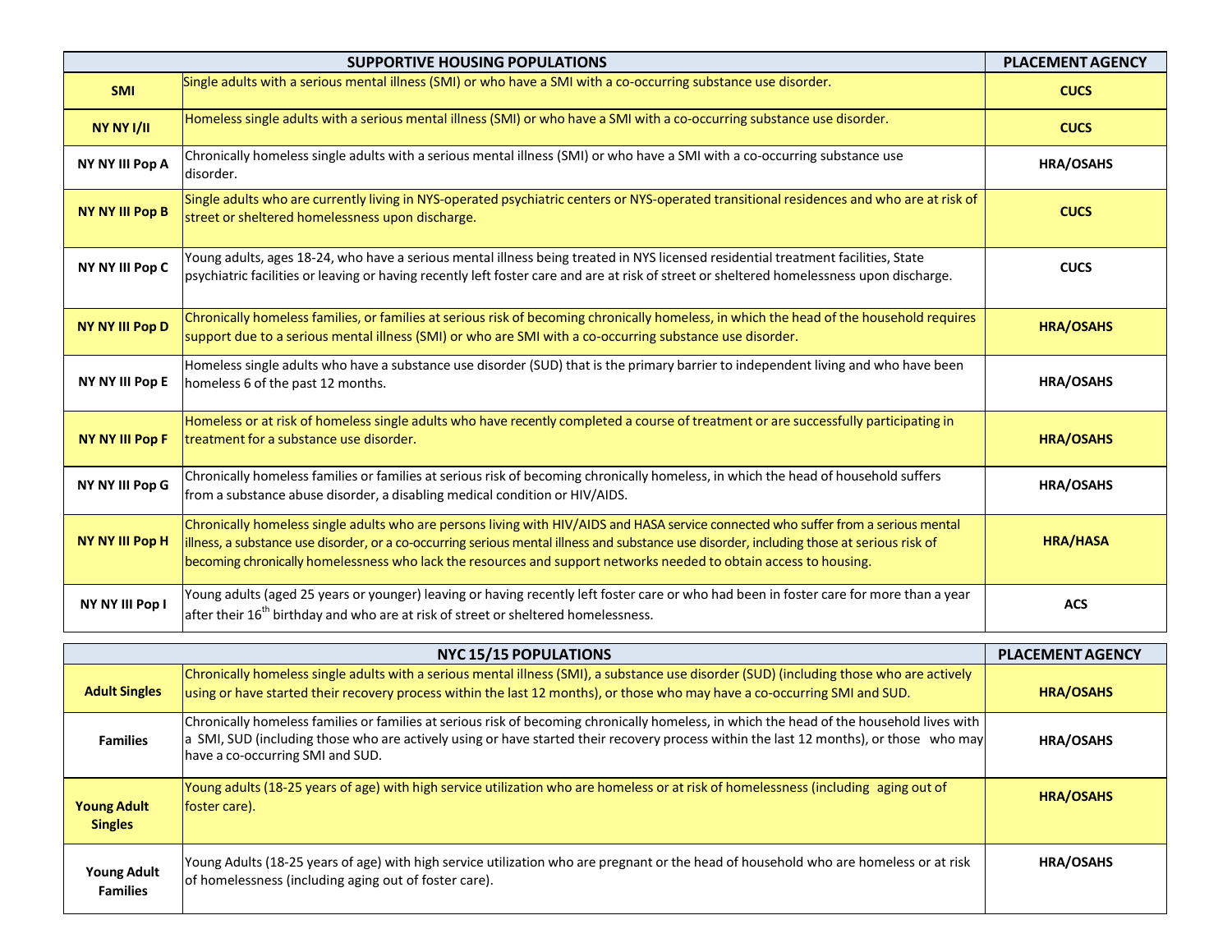|                                      | <b>SUPPORTIVE HOUSING POPULATIONS</b>                                                                                                                                                                                                                                                                                                                                                                  | <b>PLACEMENT AGENCY</b> |
|--------------------------------------|--------------------------------------------------------------------------------------------------------------------------------------------------------------------------------------------------------------------------------------------------------------------------------------------------------------------------------------------------------------------------------------------------------|-------------------------|
| <b>SMI</b>                           | Single adults with a serious mental illness (SMI) or who have a SMI with a co-occurring substance use disorder.                                                                                                                                                                                                                                                                                        | <b>CUCS</b>             |
| NY NY I/II                           | Homeless single adults with a serious mental illness (SMI) or who have a SMI with a co-occurring substance use disorder.                                                                                                                                                                                                                                                                               | <b>CUCS</b>             |
| NY NY III Pop A                      | Chronically homeless single adults with a serious mental illness (SMI) or who have a SMI with a co-occurring substance use<br>Idisorder.                                                                                                                                                                                                                                                               | HRA/OSAHS               |
| <b>NY NY III Pop B</b>               | Single adults who are currently living in NYS-operated psychiatric centers or NYS-operated transitional residences and who are at risk of<br>street or sheltered homelessness upon discharge.                                                                                                                                                                                                          | <b>CUCS</b>             |
| <b>NY NY III Pop C</b>               | Young adults, ages 18-24, who have a serious mental illness being treated in NYS licensed residential treatment facilities, State<br>psychiatric facilities or leaving or having recently left foster care and are at risk of street or sheltered homelessness upon discharge.                                                                                                                         | <b>CUCS</b>             |
| <b>NY NY III Pop D</b>               | Chronically homeless families, or families at serious risk of becoming chronically homeless, in which the head of the household requires<br>support due to a serious mental illness (SMI) or who are SMI with a co-occurring substance use disorder.                                                                                                                                                   | <b>HRA/OSAHS</b>        |
| <b>NY NY III Pop E</b>               | Homeless single adults who have a substance use disorder (SUD) that is the primary barrier to independent living and who have been<br>homeless 6 of the past 12 months.                                                                                                                                                                                                                                | <b>HRA/OSAHS</b>        |
| <b>NY NY III Pop F</b>               | Homeless or at risk of homeless single adults who have recently completed a course of treatment or are successfully participating in<br>treatment for a substance use disorder.                                                                                                                                                                                                                        | <b>HRA/OSAHS</b>        |
| NY NY III Pop G                      | Chronically homeless families or families at serious risk of becoming chronically homeless, in which the head of household suffers<br>from a substance abuse disorder, a disabling medical condition or HIV/AIDS.                                                                                                                                                                                      | <b>HRA/OSAHS</b>        |
| NY NY III Pop H                      | Chronically homeless single adults who are persons living with HIV/AIDS and HASA service connected who suffer from a serious mental<br>illness, a substance use disorder, or a co-occurring serious mental illness and substance use disorder, including those at serious risk of<br>becoming chronically homelessness who lack the resources and support networks needed to obtain access to housing. | <b>HRA/HASA</b>         |
| NY NY III Pop I                      | Young adults (aged 25 years or younger) leaving or having recently left foster care or who had been in foster care for more than a year<br>after their $16th$ birthday and who are at risk of street or sheltered homelessness.                                                                                                                                                                        | <b>ACS</b>              |
|                                      | <b>NYC 15/15 POPULATIONS</b>                                                                                                                                                                                                                                                                                                                                                                           | <b>PLACEMENT AGENCY</b> |
| <b>Adult Singles</b>                 | Chronically homeless single adults with a serious mental illness (SMI), a substance use disorder (SUD) (including those who are actively<br>using or have started their recovery process within the last 12 months), or those who may have a co-occurring SMI and SUD.                                                                                                                                 | <b>HRA/OSAHS</b>        |
| <b>Families</b>                      | Chronically homeless families or families at serious risk of becoming chronically homeless, in which the head of the household lives with<br>a SMI, SUD (including those who are actively using or have started their recovery process within the last 12 months), or those who may<br>have a co-occurring SMI and SUD.                                                                                | HRA/OSAHS               |
| <b>Young Adult</b><br><b>Singles</b> | Young adults (18-25 years of age) with high service utilization who are homeless or at risk of homelessness (including aging out of<br>foster care).                                                                                                                                                                                                                                                   | <b>HRA/OSAHS</b>        |

|                                       | <b>NYC 15/15 POPULATIONS</b>                                                                                                                                                                                                                                                                                            | <b>PLACEMENT AGENCY</b> |
|---------------------------------------|-------------------------------------------------------------------------------------------------------------------------------------------------------------------------------------------------------------------------------------------------------------------------------------------------------------------------|-------------------------|
| <b>Adult Singles</b>                  | Chronically homeless single adults with a serious mental illness (SMI), a substance use disorder (SUD) (including those who are actively<br>using or have started their recovery process within the last 12 months), or those who may have a co-occurring SMI and SUD.                                                  | <b>HRA/OSAHS</b>        |
| <b>Families</b>                       | Chronically homeless families or families at serious risk of becoming chronically homeless, in which the head of the household lives with<br>a SMI, SUD (including those who are actively using or have started their recovery process within the last 12 months), or those who may<br>have a co-occurring SMI and SUD. | <b>HRA/OSAHS</b>        |
| <b>Young Adult</b><br><b>Singles</b>  | Young adults (18-25 years of age) with high service utilization who are homeless or at risk of homelessness (including aging out of<br>foster care).                                                                                                                                                                    | <b>HRA/OSAHS</b>        |
| <b>Young Adult</b><br><b>Families</b> | Young Adults (18-25 years of age) with high service utilization who are pregnant or the head of household who are homeless or at risk<br>of homelessness (including aging out of foster care).                                                                                                                          | <b>HRA/OSAHS</b>        |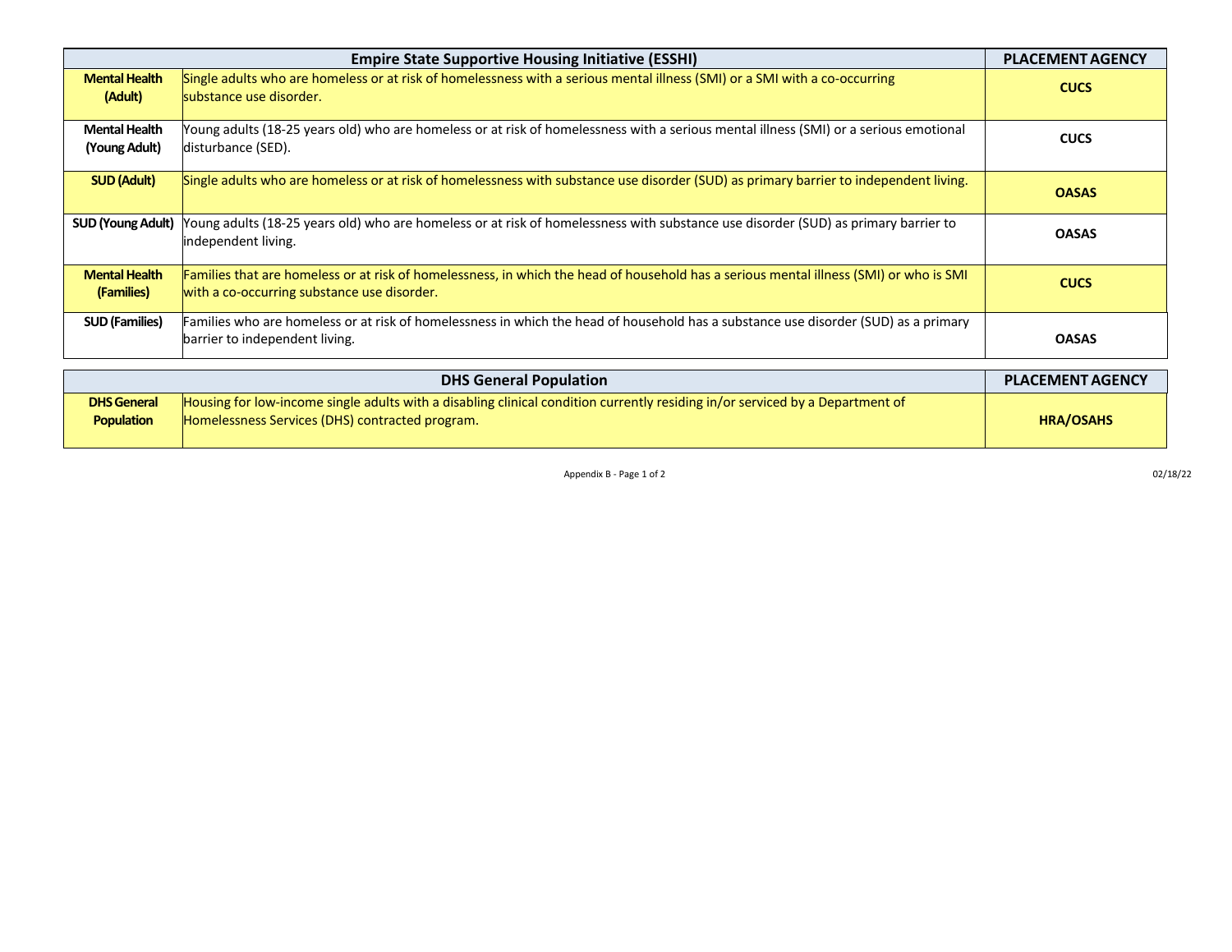|                                         | <b>Empire State Supportive Housing Initiative (ESSHI)</b>                                                                                                                             | <b>PLACEMENT AGENCY</b> |
|-----------------------------------------|---------------------------------------------------------------------------------------------------------------------------------------------------------------------------------------|-------------------------|
| <b>Mental Health</b><br>(Adult)         | Single adults who are homeless or at risk of homelessness with a serious mental illness (SMI) or a SMI with a co-occurring<br>substance use disorder.                                 | <b>CUCS</b>             |
| <b>Mental Health</b><br>(Young Adult)   | Young adults (18-25 years old) who are homeless or at risk of homelessness with a serious mental illness (SMI) or a serious emotional<br>disturbance (SED).                           | <b>CUCS</b>             |
| <b>SUD (Adult)</b>                      | Single adults who are homeless or at risk of homelessness with substance use disorder (SUD) as primary barrier to independent living.                                                 | <b>OASAS</b>            |
| <b>SUD (Young Adult)</b>                | Young adults (18-25 years old) who are homeless or at risk of homelessness with substance use disorder (SUD) as primary barrier to<br>independent living.                             | <b>OASAS</b>            |
| <b>Mental Health</b><br>(Families)      | Families that are homeless or at risk of homelessness, in which the head of household has a serious mental illness (SMI) or who is SMI<br>with a co-occurring substance use disorder. | <b>CUCS</b>             |
| <b>SUD (Families)</b>                   | Families who are homeless or at risk of homelessness in which the head of household has a substance use disorder (SUD) as a primary<br>barrier to independent living.                 | <b>OASAS</b>            |
|                                         | <b>DHS General Population</b>                                                                                                                                                         | <b>PLACEMENT AGENCY</b> |
| <b>DHS General</b><br><b>Population</b> | Housing for low-income single adults with a disabling clinical condition currently residing in/or serviced by a Department of<br>Homelessness Services (DHS) contracted program.      | <b>HRA/OSAHS</b>        |

|                    | <b>DHS General Population</b>                                                                                                 |
|--------------------|-------------------------------------------------------------------------------------------------------------------------------|
| <b>DHS General</b> | Housing for low-income single adults with a disabling clinical condition currently residing in/or serviced by a Department of |
| Population         | <b>Homelessness Services (DHS) contracted program.</b>                                                                        |

Appendix  $B - P$ age 1 of 2 02/18/22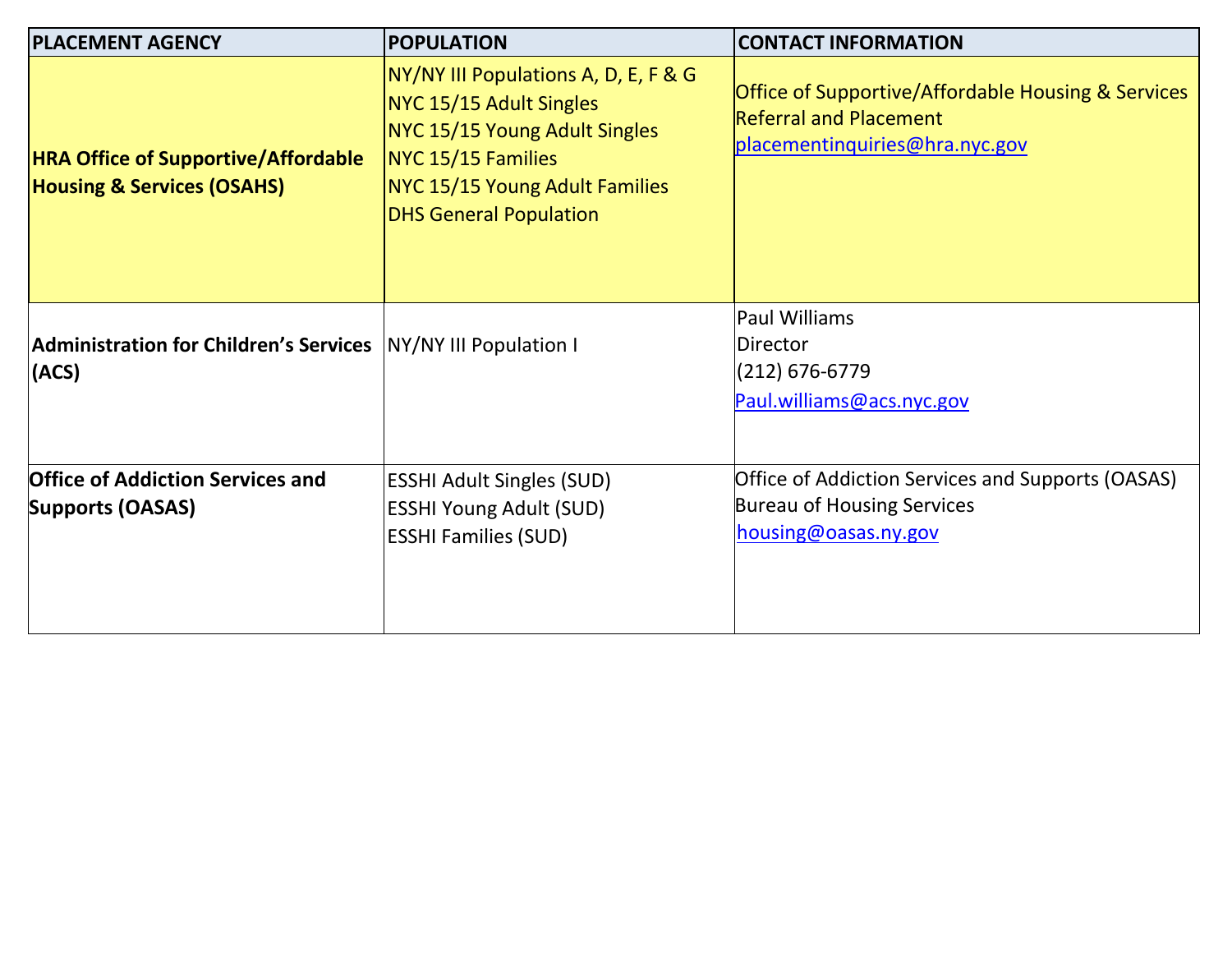| <b>PLACEMENT AGENCY</b>                                                             | <b>POPULATION</b>                                                                                                                                                                         | <b>CONTACT INFORMATION</b>                                                                                            |  |  |
|-------------------------------------------------------------------------------------|-------------------------------------------------------------------------------------------------------------------------------------------------------------------------------------------|-----------------------------------------------------------------------------------------------------------------------|--|--|
| <b>HRA Office of Supportive/Affordable</b><br><b>Housing &amp; Services (OSAHS)</b> | NY/NY III Populations A, D, E, F & G<br>NYC 15/15 Adult Singles<br>NYC 15/15 Young Adult Singles<br>NYC 15/15 Families<br>NYC 15/15 Young Adult Families<br><b>DHS General Population</b> | Office of Supportive/Affordable Housing & Services<br><b>Referral and Placement</b><br>placementinquiries@hra.nyc.gov |  |  |
| Administration for Children's Services  NY/NY III Population I<br>(ACS)             |                                                                                                                                                                                           | Paul Williams<br>Director<br>$(212) 676 - 6779$<br>Paul.williams@acs.nyc.gov                                          |  |  |
| <b>Office of Addiction Services and</b><br><b>Supports (OASAS)</b>                  | <b>ESSHI Adult Singles (SUD)</b><br><b>ESSHI Young Adult (SUD)</b><br><b>ESSHI Families (SUD)</b>                                                                                         | Office of Addiction Services and Supports (OASAS)<br>Bureau of Housing Services<br>housing@oasas.ny.gov               |  |  |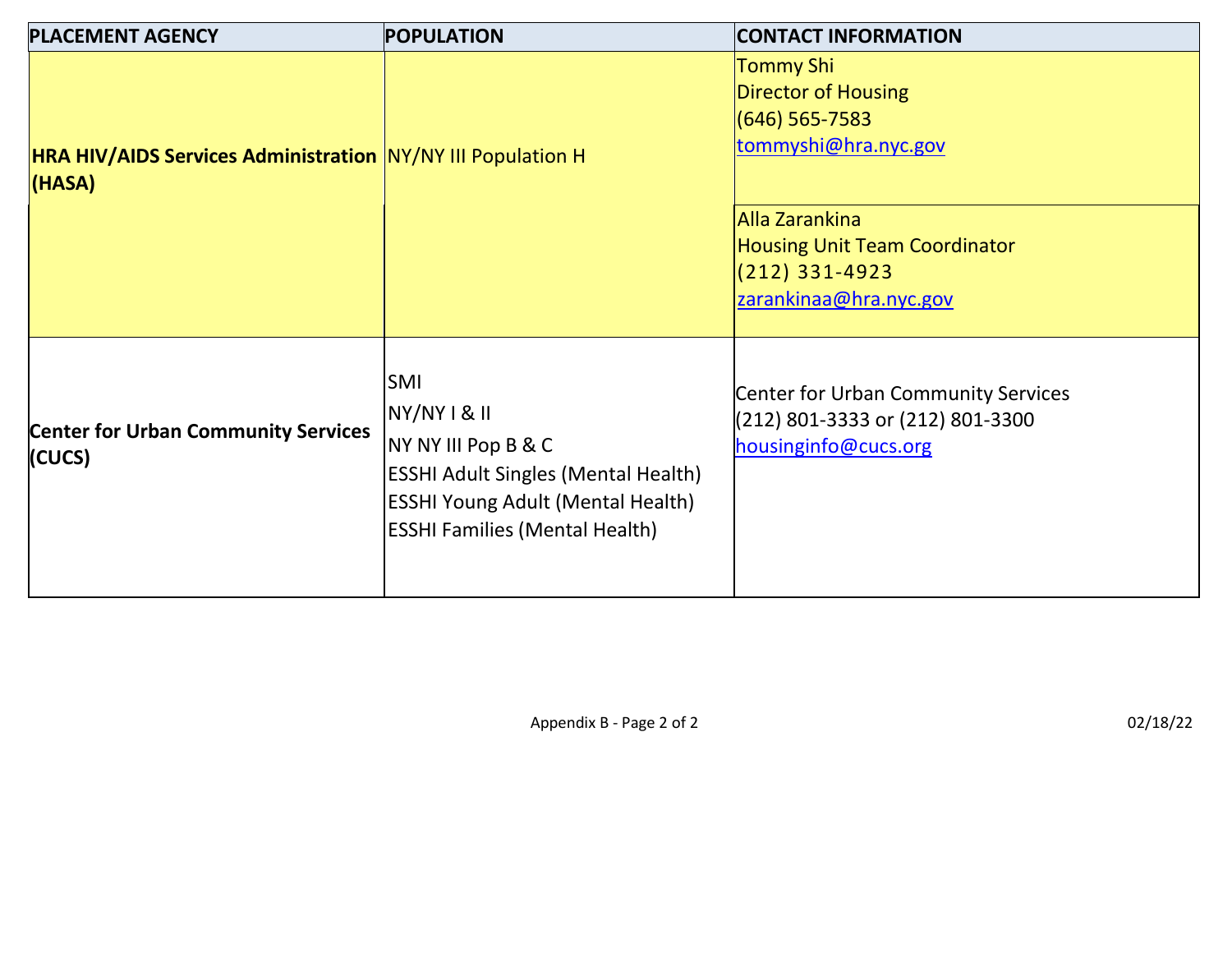| <b>PLACEMENT AGENCY</b>                                                      | <b>POPULATION</b>                                                                                                                                                             | <b>CONTACT INFORMATION</b>                                                                      |  |  |  |
|------------------------------------------------------------------------------|-------------------------------------------------------------------------------------------------------------------------------------------------------------------------------|-------------------------------------------------------------------------------------------------|--|--|--|
| <b>HRA HIV/AIDS Services Administration NY/NY III Population H</b><br>(HASA) |                                                                                                                                                                               | <b>Tommy Shi</b><br>Director of Housing<br>$(646)$ 565-7583<br>tommyshi@hra.nyc.gov             |  |  |  |
|                                                                              | <b>Alla Zarankina</b><br><b>Housing Unit Team Coordinator</b><br>$(212)$ 331-4923<br>zarankinaa@hra.nyc.gov                                                                   |                                                                                                 |  |  |  |
| <b>Center for Urban Community Services</b><br>(CUCS)                         | SMI<br>NY/NY I & II<br>NY NY III Pop B & C<br><b>ESSHI Adult Singles (Mental Health)</b><br><b>ESSHI Young Adult (Mental Health)</b><br><b>ESSHI Families (Mental Health)</b> | Center for Urban Community Services<br>(212) 801-3333 or (212) 801-3300<br>housinginfo@cucs.org |  |  |  |

Appendix B - Page 2 of 2  $02/18/22$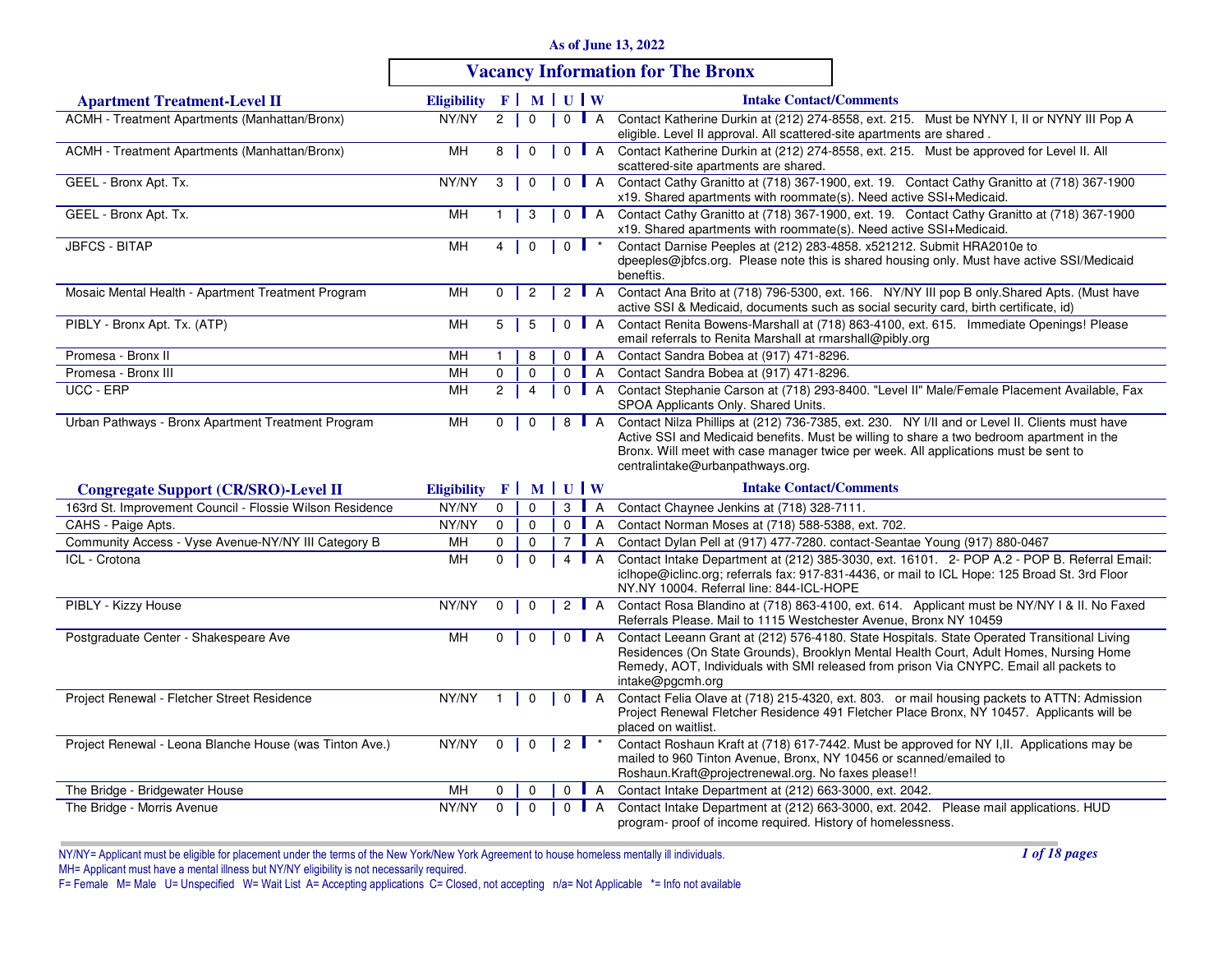| As of June 13, 2022 |  |  |
|---------------------|--|--|
|---------------------|--|--|

# **Vacancy Information for The Bronx**

| <b>Apartment Treatment-Level II</b>                      | Eligibility F   M   U   W |                |                |         |                    | <b>Intake Contact/Comments</b>                                                                                                                                                                                                                                                                                         |
|----------------------------------------------------------|---------------------------|----------------|----------------|---------|--------------------|------------------------------------------------------------------------------------------------------------------------------------------------------------------------------------------------------------------------------------------------------------------------------------------------------------------------|
| ACMH - Treatment Apartments (Manhattan/Bronx)            | NY/NY                     | $\overline{2}$ | $\mathbf 0$    |         | $0$ A              | Contact Katherine Durkin at (212) 274-8558, ext. 215. Must be NYNY I, II or NYNY III Pop A<br>eligible. Level II approval. All scattered-site apartments are shared.                                                                                                                                                   |
| ACMH - Treatment Apartments (Manhattan/Bronx)            | MН                        | 8              | $\mathbf 0$    |         | $0$   A            | Contact Katherine Durkin at (212) 274-8558, ext. 215. Must be approved for Level II. All<br>scattered-site apartments are shared.                                                                                                                                                                                      |
| GEEL - Bronx Apt. Tx.                                    | NY/NY                     | 3              | $\mathbf 0$    |         | $0$   A            | Contact Cathy Granitto at (718) 367-1900, ext. 19. Contact Cathy Granitto at (718) 367-1900<br>x19. Shared apartments with roommate(s). Need active SSI+Medicaid.                                                                                                                                                      |
| GEEL - Bronx Apt. Tx.                                    | MН                        |                | 3              |         | $0$ $A$            | Contact Cathy Granitto at (718) 367-1900, ext. 19. Contact Cathy Granitto at (718) 367-1900<br>x19. Shared apartments with roommate(s). Need active SSI+Medicaid.                                                                                                                                                      |
| <b>JBFCS - BITAP</b>                                     | <b>MH</b>                 | 4              | $\mathbf 0$    |         | $0$ $\uparrow$     | Contact Darnise Peeples at (212) 283-4858. x521212. Submit HRA2010e to<br>dpeeples@jbfcs.org. Please note this is shared housing only. Must have active SSI/Medicaid<br>beneftis.                                                                                                                                      |
| Mosaic Mental Health - Apartment Treatment Program       | MН                        | 0              | $\overline{c}$ |         | 2 $\blacksquare$ A | Contact Ana Brito at (718) 796-5300, ext. 166. NY/NY III pop B only Shared Apts. (Must have<br>active SSI & Medicaid, documents such as social security card, birth certificate, id)                                                                                                                                   |
| PIBLY - Bronx Apt. Tx. (ATP)                             | MН                        | $5-1$          | 5              |         | $0$   A            | Contact Renita Bowens-Marshall at (718) 863-4100, ext. 615. Immediate Openings! Please<br>email referrals to Renita Marshall at rmarshall@pibly.org                                                                                                                                                                    |
| Promesa - Bronx II                                       | MН                        |                | 8              |         | $0$ $A$            | Contact Sandra Bobea at (917) 471-8296.                                                                                                                                                                                                                                                                                |
| Promesa - Bronx III                                      | MH                        | $\mathbf 0$    | $\mathbf 0$    |         | $0$ $A$            | Contact Sandra Bobea at (917) 471-8296.                                                                                                                                                                                                                                                                                |
| UCC - ERP                                                | MН                        | $\overline{2}$ | $\overline{4}$ |         | $0$   A            | Contact Stephanie Carson at (718) 293-8400. "Level II" Male/Female Placement Available, Fax<br>SPOA Applicants Only. Shared Units.                                                                                                                                                                                     |
| Urban Pathways - Bronx Apartment Treatment Program       | MН                        | 0              | $\mathbf 0$    |         | 8   A              | Contact Nilza Phillips at (212) 736-7385, ext. 230. NY I/II and or Level II. Clients must have<br>Active SSI and Medicaid benefits. Must be willing to share a two bedroom apartment in the<br>Bronx. Will meet with case manager twice per week. All applications must be sent to<br>centralintake@urbanpathways.org. |
| <b>Congregate Support (CR/SRO)-Level II</b>              | <b>Eligibility</b>        |                |                | F MUW   |                    | <b>Intake Contact/Comments</b>                                                                                                                                                                                                                                                                                         |
| 163rd St. Improvement Council - Flossie Wilson Residence | NY/NY                     | 0              | $\mathbf 0$    |         | $3 \parallel A$    | Contact Chaynee Jenkins at (718) 328-7111.                                                                                                                                                                                                                                                                             |
| CAHS - Paige Apts.                                       | NY/NY                     | $\mathbf 0$    | $\mathbf 0$    |         | 0 <b>A</b>         | Contact Norman Moses at (718) 588-5388, ext. 702.                                                                                                                                                                                                                                                                      |
| Community Access - Vyse Avenue-NY/NY III Category B      | MН                        | $\mathbf 0$    | $\mathbf 0$    |         | 7   A              | Contact Dylan Pell at (917) 477-7280. contact-Seantae Young (917) 880-0467                                                                                                                                                                                                                                             |
| ICL - Crotona                                            | <b>MH</b>                 | $\mathbf 0$    | $\mathbf 0$    |         | 4   A              | Contact Intake Department at (212) 385-3030, ext. 16101. 2- POP A.2 - POP B. Referral Email:<br>iclhope@iclinc.org; referrals fax: 917-831-4436, or mail to ICL Hope: 125 Broad St. 3rd Floor<br>NY.NY 10004. Referral line: 844-ICL-HOPE                                                                              |
| PIBLY - Kizzy House                                      | NY/NY                     | $\mathbf 0$    | $\mathbf 0$    |         | 2 $\blacksquare$ A | Contact Rosa Blandino at (718) 863-4100, ext. 614. Applicant must be NY/NY I & II. No Faxed<br>Referrals Please. Mail to 1115 Westchester Avenue, Bronx NY 10459                                                                                                                                                       |
| Postgraduate Center - Shakespeare Ave                    | MH                        | $\mathbf 0$    | $\mathbf 0$    | $0$ $A$ |                    | Contact Leeann Grant at (212) 576-4180. State Hospitals. State Operated Transitional Living<br>Residences (On State Grounds), Brooklyn Mental Health Court, Adult Homes, Nursing Home<br>Remedy, AOT, Individuals with SMI released from prison Via CNYPC. Email all packets to<br>intake@pgcmh.org                    |
| Project Renewal - Fletcher Street Residence              | NY/NY                     | $\overline{1}$ | $\mathbf 0$    |         | $0$ $A$            | Contact Felia Olave at (718) 215-4320, ext. 803. or mail housing packets to ATTN: Admission<br>Project Renewal Fletcher Residence 491 Fletcher Place Bronx, NY 10457. Applicants will be<br>placed on waitlist.                                                                                                        |
| Project Renewal - Leona Blanche House (was Tinton Ave.)  | NY/NY                     | $\mathbf{0}$   | $\mathbf 0$    |         | $2 \parallel$ *    | Contact Roshaun Kraft at (718) 617-7442. Must be approved for NY I, II. Applications may be<br>mailed to 960 Tinton Avenue, Bronx, NY 10456 or scanned/emailed to<br>Roshaun.Kraft@projectrenewal.org. No faxes please!!                                                                                               |
| The Bridge - Bridgewater House                           | MH                        | $\Omega$       | 0              |         | $0$ A              | Contact Intake Department at (212) 663-3000, ext. 2042.                                                                                                                                                                                                                                                                |
| The Bridge - Morris Avenue                               | NY/NY                     | $\Omega$       | $\mathbf 0$    |         | $0$ $A$            | Contact Intake Department at (212) 663-3000, ext. 2042. Please mail applications. HUD<br>program- proof of income required. History of homelessness.                                                                                                                                                                   |

NY/NY= Applicant must be eligible for placement under the terms of the New York/New York Agreement to house homeless mentally ill individuals.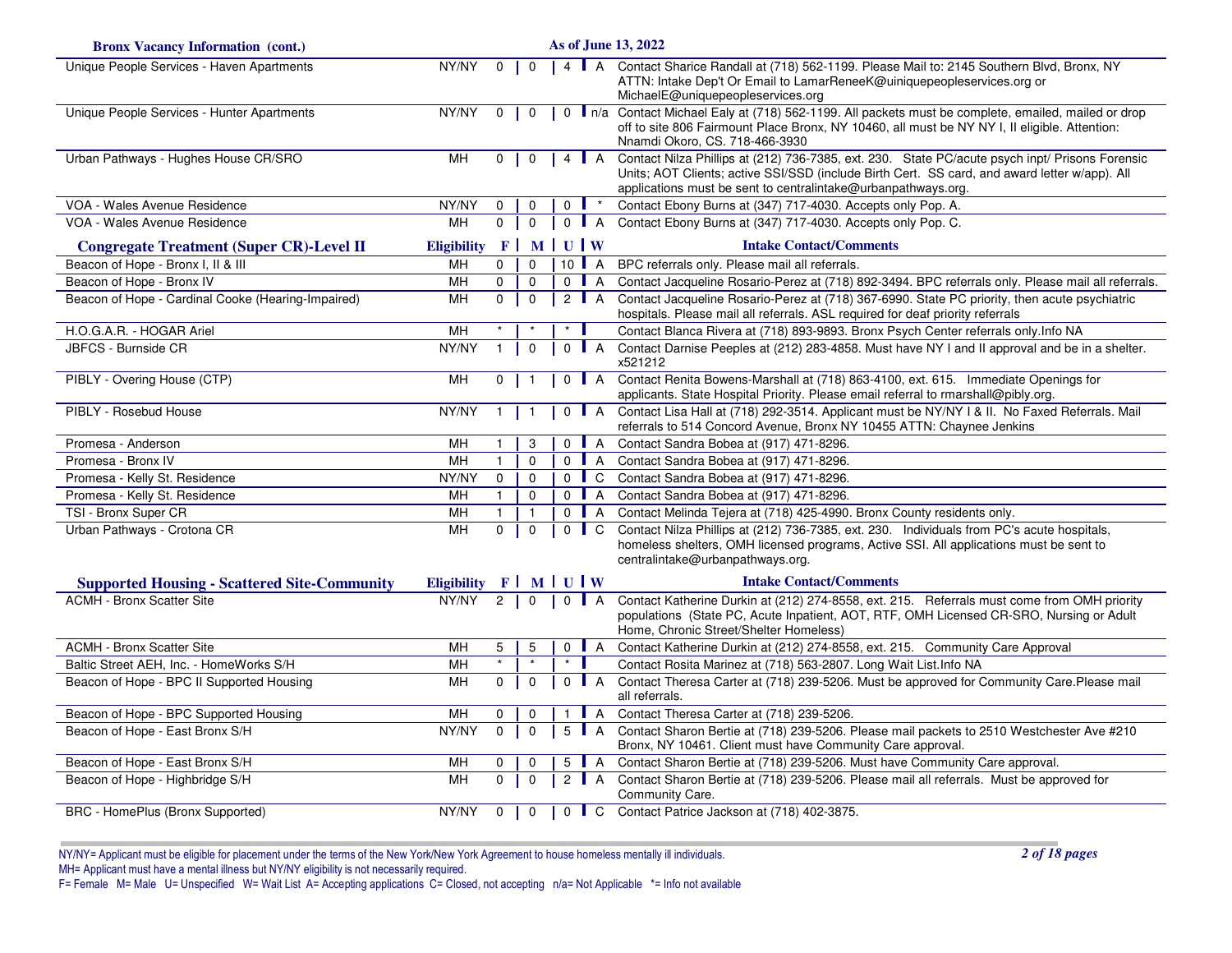| <b>Bronx Vacancy Information (cont.)</b>            | As of June 13, 2022 |                |              |              |                      |                                                                                                                                                                                                                                                                   |
|-----------------------------------------------------|---------------------|----------------|--------------|--------------|----------------------|-------------------------------------------------------------------------------------------------------------------------------------------------------------------------------------------------------------------------------------------------------------------|
| Unique People Services - Haven Apartments           | NY/NY               | $\mathbf 0$    | $\mathbf 0$  |              | 4   A                | Contact Sharice Randall at (718) 562-1199. Please Mail to: 2145 Southern Blvd, Bronx, NY<br>ATTN: Intake Dep't Or Email to LamarReneeK@uiniquepeopleservices.org or<br>MichaelE@uniquepeopleservices.org                                                          |
| Unique People Services - Hunter Apartments          | NY/NY               | $\mathbf 0$    | $\mathbf 0$  |              |                      | 0   n/a Contact Michael Ealy at (718) 562-1199. All packets must be complete, emailed, mailed or drop<br>off to site 806 Fairmount Place Bronx, NY 10460, all must be NY NY I, II eligible. Attention:<br>Nnamdi Okoro, CS. 718-466-3930                          |
| Urban Pathways - Hughes House CR/SRO                | <b>MH</b>           | $\mathbf{0}$   | $\mathbf 0$  |              | 4 $A$                | Contact Nilza Phillips at (212) 736-7385, ext. 230. State PC/acute psych inpt/ Prisons Forensic<br>Units; AOT Clients; active SSI/SSD (include Birth Cert. SS card, and award letter w/app). All<br>applications must be sent to centralintake@urbanpathways.org. |
| VOA - Wales Avenue Residence                        | NY/NY               | 0              | $\Omega$     | $\Omega$     |                      | Contact Ebony Burns at (347) 717-4030. Accepts only Pop. A.                                                                                                                                                                                                       |
| VOA - Wales Avenue Residence                        | MH                  | $\mathbf 0$    | $\mathbf{0}$ |              | $0$ A                | Contact Ebony Burns at (347) 717-4030. Accepts only Pop. C.                                                                                                                                                                                                       |
| <b>Congregate Treatment (Super CR)-Level II</b>     | <b>Eligibility</b>  |                | $F$ MUUW     |              |                      | <b>Intake Contact/Comments</b>                                                                                                                                                                                                                                    |
| Beacon of Hope - Bronx I, II & III                  | MH                  | $\Omega$       | $\Omega$     |              | $10$ $A$             | BPC referrals only. Please mail all referrals.                                                                                                                                                                                                                    |
| Beacon of Hope - Bronx IV                           | MН                  | $\mathbf 0$    | $\mathbf 0$  |              | $0$ $A$              | Contact Jacqueline Rosario-Perez at (718) 892-3494. BPC referrals only. Please mail all referrals.                                                                                                                                                                |
| Beacon of Hope - Cardinal Cooke (Hearing-Impaired)  | MН                  | $\mathbf 0$    | $\mathbf{0}$ |              | 2 $\blacksquare$ A   | Contact Jacqueline Rosario-Perez at (718) 367-6990. State PC priority, then acute psychiatric<br>hospitals. Please mail all referrals. ASL required for deaf priority referrals                                                                                   |
| H.O.G.A.R. - HOGAR Ariel                            | MН                  |                |              | $\star$      |                      | Contact Blanca Rivera at (718) 893-9893. Bronx Psych Center referrals only.Info NA                                                                                                                                                                                |
| <b>JBFCS - Burnside CR</b>                          | NY/NY               | $\mathbf{1}$   | $\mathbf 0$  |              | $0$ A                | Contact Darnise Peeples at (212) 283-4858. Must have NY I and II approval and be in a shelter.<br>x521212                                                                                                                                                         |
| PIBLY - Overing House (CTP)                         | MН                  | 0              | $\mathbf 1$  |              | 0 <b>A</b>           | Contact Renita Bowens-Marshall at (718) 863-4100, ext. 615. Immediate Openings for<br>applicants. State Hospital Priority. Please email referral to rmarshall@pibly.org.                                                                                          |
| PIBLY - Rosebud House                               | NY/NY               | $\mathbf{1}$   | $\mathbf{1}$ |              | $0$ A                | Contact Lisa Hall at (718) 292-3514. Applicant must be NY/NY   & II. No Faxed Referrals. Mail<br>referrals to 514 Concord Avenue, Bronx NY 10455 ATTN: Chaynee Jenkins                                                                                            |
| Promesa - Anderson                                  | MH                  | $\mathbf{1}$   | 3            | $\Omega$     | $\mathsf{I}$ A       | Contact Sandra Bobea at (917) 471-8296.                                                                                                                                                                                                                           |
| Promesa - Bronx IV                                  | MH                  | $\mathbf{1}$   | $\mathbf 0$  | $\mathbf 0$  | $\blacksquare$ A     | Contact Sandra Bobea at (917) 471-8296.                                                                                                                                                                                                                           |
| Promesa - Kelly St. Residence                       | NY/NY               | $\mathbf 0$    | $\Omega$     |              | $0$ $\blacksquare$ C | Contact Sandra Bobea at (917) 471-8296.                                                                                                                                                                                                                           |
| Promesa - Kelly St. Residence                       | MH                  | $\mathbf{1}$   | $\mathbf 0$  |              | $0$ $A$              | Contact Sandra Bobea at (917) 471-8296.                                                                                                                                                                                                                           |
| TSI - Bronx Super CR                                | MH                  | $\mathbf{1}$   | $\mathbf{1}$ |              | $0$ A                | Contact Melinda Tejera at (718) 425-4990. Bronx County residents only.                                                                                                                                                                                            |
| Urban Pathways - Crotona CR                         | MH                  | $\mathbf{0}$   | $\mathbf 0$  |              | $0 \parallel C$      | Contact Nilza Phillips at (212) 736-7385, ext. 230. Individuals from PC's acute hospitals,<br>homeless shelters, OMH licensed programs, Active SSI. All applications must be sent to<br>centralintake@urbanpathways.org.                                          |
| <b>Supported Housing - Scattered Site-Community</b> | <b>Eligibility</b>  | $F \mid$       |              | <b>MUW</b>   |                      | <b>Intake Contact/Comments</b>                                                                                                                                                                                                                                    |
| <b>ACMH - Bronx Scatter Site</b>                    | NY/NY               | $\overline{2}$ | $\mathbf 0$  |              | $0$   A              | Contact Katherine Durkin at (212) 274-8558, ext. 215. Referrals must come from OMH priority<br>populations (State PC, Acute Inpatient, AOT, RTF, OMH Licensed CR-SRO, Nursing or Adult<br>Home, Chronic Street/Shelter Homeless)                                  |
| <b>ACMH - Bronx Scatter Site</b>                    | MН                  | 5              | 5            |              | 0 <b>A</b>           | Contact Katherine Durkin at (212) 274-8558, ext. 215. Community Care Approval                                                                                                                                                                                     |
| Baltic Street AEH, Inc. - HomeWorks S/H             | MH                  | $\star$        | $\star$      | $\star$      |                      | Contact Rosita Marinez at (718) 563-2807. Long Wait List.Info NA                                                                                                                                                                                                  |
| Beacon of Hope - BPC II Supported Housing           | MН                  | $\mathbf 0$    | $\mathbf 0$  |              | $0$ $A$              | Contact Theresa Carter at (718) 239-5206. Must be approved for Community Care. Please mail<br>all referrals.                                                                                                                                                      |
| Beacon of Hope - BPC Supported Housing              | <b>MH</b>           | $\mathbf 0$    | $\Omega$     | $\mathbf{1}$ | $\blacksquare$ A     | Contact Theresa Carter at (718) 239-5206.                                                                                                                                                                                                                         |
| Beacon of Hope - East Bronx S/H                     | NY/NY               | $\Omega$       | $\Omega$     |              | $5$ $A$              | Contact Sharon Bertie at (718) 239-5206. Please mail packets to 2510 Westchester Ave #210<br>Bronx, NY 10461. Client must have Community Care approval.                                                                                                           |
| Beacon of Hope - East Bronx S/H                     | MH                  | 0              | $\mathbf 0$  |              | $5$ $A$              | Contact Sharon Bertie at (718) 239-5206. Must have Community Care approval.                                                                                                                                                                                       |
| Beacon of Hope - Highbridge S/H                     | <b>MH</b>           | $\Omega$       | $\mathbf 0$  |              | 2 $\blacksquare$ A   | Contact Sharon Bertie at (718) 239-5206. Please mail all referrals. Must be approved for<br>Community Care.                                                                                                                                                       |
| BRC - HomePlus (Bronx Supported)                    | NY/NY               | $\mathbf 0$    | $\mathbf 0$  |              |                      | 0 C Contact Patrice Jackson at (718) 402-3875.                                                                                                                                                                                                                    |

NY/NY= Applicant must be eligible for placement under the terms of the New York/New York Agreement to house homeless mentally ill individuals.MH= Applicant must have a mental illness but NY/NY eligibility is not necessarily required.<br>F= Female M= Male U= Unspecified W= Wait List A= Accepting applications C= Closed, not accepting n/a= Not Applicable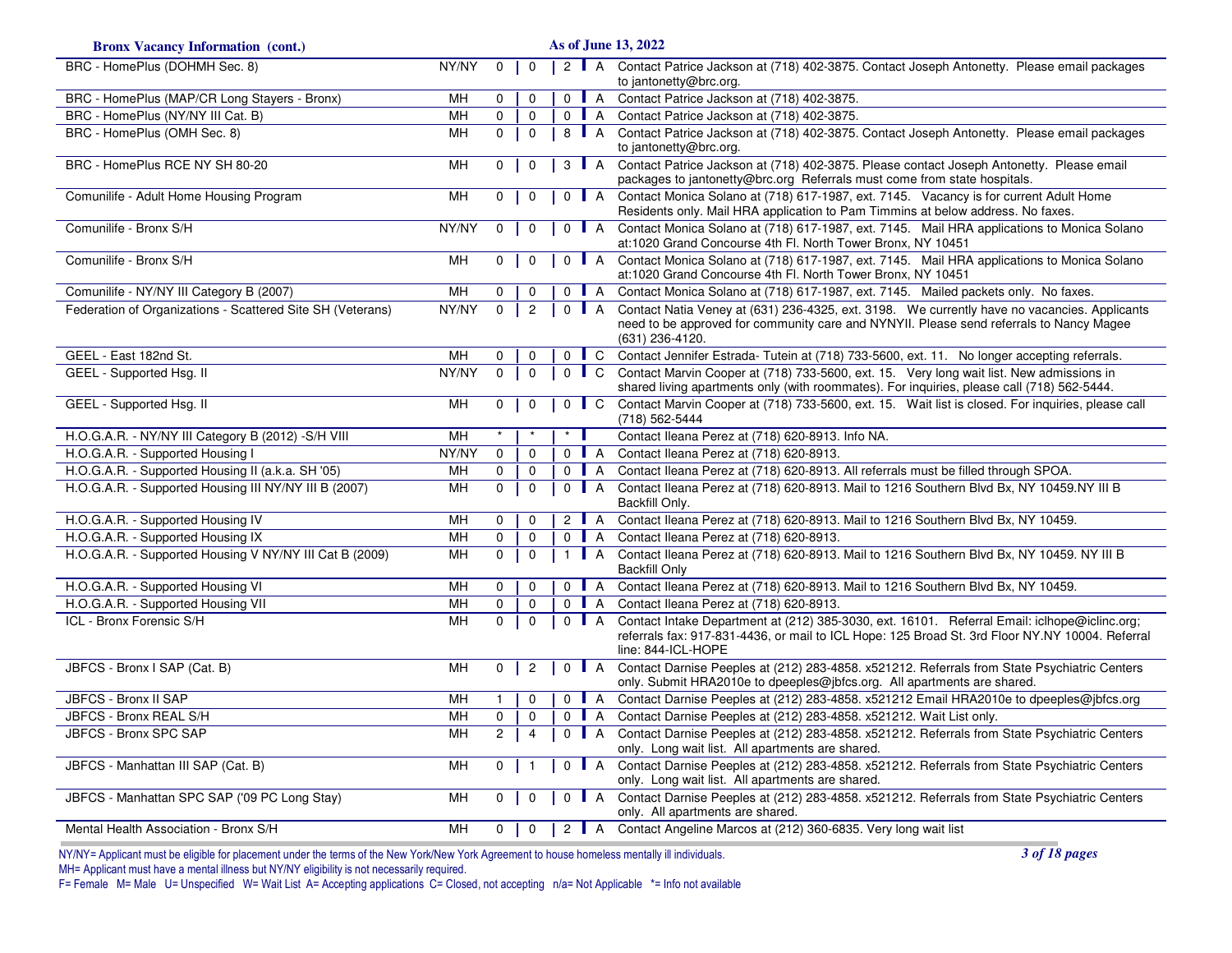| <b>Bronx Vacancy Information (cont.)</b>                   |       |                |                |                |                    | As of June 13, 2022                                                                                                                                                                                                   |
|------------------------------------------------------------|-------|----------------|----------------|----------------|--------------------|-----------------------------------------------------------------------------------------------------------------------------------------------------------------------------------------------------------------------|
| BRC - HomePlus (DOHMH Sec. 8)                              | NY/NY | $\mathbf 0$    | $\mathbf 0$    |                |                    | 2 A Contact Patrice Jackson at (718) 402-3875. Contact Joseph Antonetty. Please email packages<br>to jantonetty@brc.org.                                                                                              |
| BRC - HomePlus (MAP/CR Long Stayers - Bronx)               | MH    | $\Omega$       | $\Omega$       |                | $0$ $A$            | Contact Patrice Jackson at (718) 402-3875.                                                                                                                                                                            |
| BRC - HomePlus (NY/NY III Cat. B)                          | MH    | $\mathbf 0$    | $\mathsf 0$    |                | $0$ $A$            | Contact Patrice Jackson at (718) 402-3875.                                                                                                                                                                            |
| BRC - HomePlus (OMH Sec. 8)                                | MH    | $\overline{0}$ | $\mathbf 0$    | 8              | $\blacksquare$ A   | Contact Patrice Jackson at (718) 402-3875. Contact Joseph Antonetty. Please email packages<br>to jantonetty@brc.org.                                                                                                  |
| BRC - HomePlus RCE NY SH 80-20                             | MH    | $\overline{0}$ | $\mathbf 0$    |                | $3$ A              | Contact Patrice Jackson at (718) 402-3875. Please contact Joseph Antonetty. Please email<br>packages to jantonetty@brc.org Referrals must come from state hospitals.                                                  |
| Comunilife - Adult Home Housing Program                    | MH    | $\overline{0}$ | $\Omega$       |                |                    | 0 A Contact Monica Solano at (718) 617-1987, ext. 7145. Vacancy is for current Adult Home<br>Residents only. Mail HRA application to Pam Timmins at below address. No faxes.                                          |
| Comunilife - Bronx S/H                                     | NY/NY | $\mathbf 0$    | $\mathbf 0$    |                | $0$ $A$            | Contact Monica Solano at (718) 617-1987, ext. 7145. Mail HRA applications to Monica Solano<br>at:1020 Grand Concourse 4th Fl. North Tower Bronx, NY 10451                                                             |
| Comunilife - Bronx S/H                                     | MH    | 0              | $\mathbf 0$    |                | 0 <b>A</b>         | Contact Monica Solano at (718) 617-1987, ext. 7145. Mail HRA applications to Monica Solano<br>at:1020 Grand Concourse 4th Fl. North Tower Bronx, NY 10451                                                             |
| Comunilife - NY/NY III Category B (2007)                   | MH    | 0              | 0              | $\mathbf 0$    | $\blacksquare$     | Contact Monica Solano at (718) 617-1987, ext. 7145. Mailed packets only. No faxes.                                                                                                                                    |
| Federation of Organizations - Scattered Site SH (Veterans) | NY/NY | $\Omega$       | $\overline{2}$ |                | $0$   A            | Contact Natia Veney at (631) 236-4325, ext. 3198. We currently have no vacancies. Applicants<br>need to be approved for community care and NYNYII. Please send referrals to Nancy Magee<br>(631) 236-4120.            |
| GEEL - East 182nd St.                                      | MH    | $\Omega$       | 0              | $\mathbf{0}$   | $\blacksquare$ C   | Contact Jennifer Estrada- Tutein at (718) 733-5600, ext. 11. No longer accepting referrals.                                                                                                                           |
| GEEL - Supported Hsg. II                                   | NY/NY | $\mathbf 0$    | $\mathbf 0$    |                | $0 \parallel C$    | Contact Marvin Cooper at (718) 733-5600, ext. 15. Very long wait list. New admissions in<br>shared living apartments only (with roommates). For inquiries, please call (718) 562-5444.                                |
| GEEL - Supported Hsg. II                                   | MH    | 0              | $\Omega$       |                | $0 \mid C$         | Contact Marvin Cooper at (718) 733-5600, ext. 15. Wait list is closed. For inquiries, please call<br>(718) 562-5444                                                                                                   |
| H.O.G.A.R. - NY/NY III Category B (2012) - S/H VIII        | MH    | $\star$        | $\star$        | $\star$        |                    | Contact Ileana Perez at (718) 620-8913. Info NA.                                                                                                                                                                      |
| H.O.G.A.R. - Supported Housing I                           | NY/NY | 0              | 0              |                | $0$   A            | Contact Ileana Perez at (718) 620-8913.                                                                                                                                                                               |
| H.O.G.A.R. - Supported Housing II (a.k.a. SH '05)          | MH    | $\mathbf 0$    | $\mathbf 0$    |                | $0$   A            | Contact Ileana Perez at (718) 620-8913. All referrals must be filled through SPOA.                                                                                                                                    |
| H.O.G.A.R. - Supported Housing III NY/NY III B (2007)      | MH    | 0              | $\mathbf 0$    |                | $0$ $A$            | Contact Ileana Perez at (718) 620-8913. Mail to 1216 Southern Blvd Bx, NY 10459.NY III B<br>Backfill Only.                                                                                                            |
| H.O.G.A.R. - Supported Housing IV                          | MН    | 0              | $\mathbf 0$    |                | 2 $\blacksquare$ A | Contact Ileana Perez at (718) 620-8913. Mail to 1216 Southern Blvd Bx, NY 10459.                                                                                                                                      |
| H.O.G.A.R. - Supported Housing IX                          | MH    | 0              | $\mathbf 0$    | $\mathbf 0$    | $\blacksquare$ A   | Contact Ileana Perez at (718) 620-8913.                                                                                                                                                                               |
| H.O.G.A.R. - Supported Housing V NY/NY III Cat B (2009)    | MH    | 0              | $\pmb{0}$      | $\overline{1}$ | $\mathsf{A}$       | Contact Ileana Perez at (718) 620-8913. Mail to 1216 Southern Blvd Bx, NY 10459. NY III B<br><b>Backfill Only</b>                                                                                                     |
| H.O.G.A.R. - Supported Housing VI                          | MH    | 0              | $\mathbf 0$    |                | $0$   A            | Contact Ileana Perez at (718) 620-8913. Mail to 1216 Southern Blvd Bx, NY 10459.                                                                                                                                      |
| H.O.G.A.R. - Supported Housing VII                         | MH    | 0              | 0              | $\mathbf{0}$   | $\blacksquare$ A   | Contact Ileana Perez at (718) 620-8913.                                                                                                                                                                               |
| ICL - Bronx Forensic S/H                                   | MH    | $\Omega$       | $\Omega$       |                | $0$ $A$            | Contact Intake Department at (212) 385-3030, ext. 16101. Referral Email: iclhope@iclinc.org;<br>referrals fax: 917-831-4436, or mail to ICL Hope: 125 Broad St. 3rd Floor NY.NY 10004. Referral<br>line: 844-ICL-HOPE |
| JBFCS - Bronx I SAP (Cat. B)                               | MH    | 0              | $\overline{2}$ |                | 0 <b>A</b>         | Contact Darnise Peeples at (212) 283-4858. x521212. Referrals from State Psychiatric Centers<br>only. Submit HRA2010e to dpeeples@jbfcs.org. All apartments are shared.                                               |
| JBFCS - Bronx II SAP                                       | MH    | $\mathbf{1}$   | 0              | $\mathbf{0}$   | $\blacksquare$ A   | Contact Darnise Peeples at (212) 283-4858. x521212 Email HRA2010e to dpeeples@jbfcs.org                                                                                                                               |
| JBFCS - Bronx REAL S/H                                     | MH    | 0              | $\Omega$       |                | $0$ $A$            | Contact Darnise Peeples at (212) 283-4858. x521212. Wait List only.                                                                                                                                                   |
| JBFCS - Bronx SPC SAP                                      | MH    | $\overline{2}$ | $\overline{4}$ |                | $0$ $A$            | Contact Darnise Peeples at (212) 283-4858. x521212. Referrals from State Psychiatric Centers<br>only. Long wait list. All apartments are shared.                                                                      |
| JBFCS - Manhattan III SAP (Cat. B)                         | MH    | $\mathbf{0}$   | $\overline{1}$ |                |                    | 0 A Contact Darnise Peeples at (212) 283-4858. x521212. Referrals from State Psychiatric Centers<br>only. Long wait list. All apartments are shared.                                                                  |
| JBFCS - Manhattan SPC SAP ('09 PC Long Stay)               | MH    | 0              | $\mathbf 0$    |                | $0$   A            | Contact Darnise Peeples at (212) 283-4858. x521212. Referrals from State Psychiatric Centers<br>only. All apartments are shared.                                                                                      |
| Mental Health Association - Bronx S/H                      | MH    | 0              | $\Omega$       |                |                    | 2    A Contact Angeline Marcos at (212) 360-6835. Very long wait list                                                                                                                                                 |

*3 of 18 pages*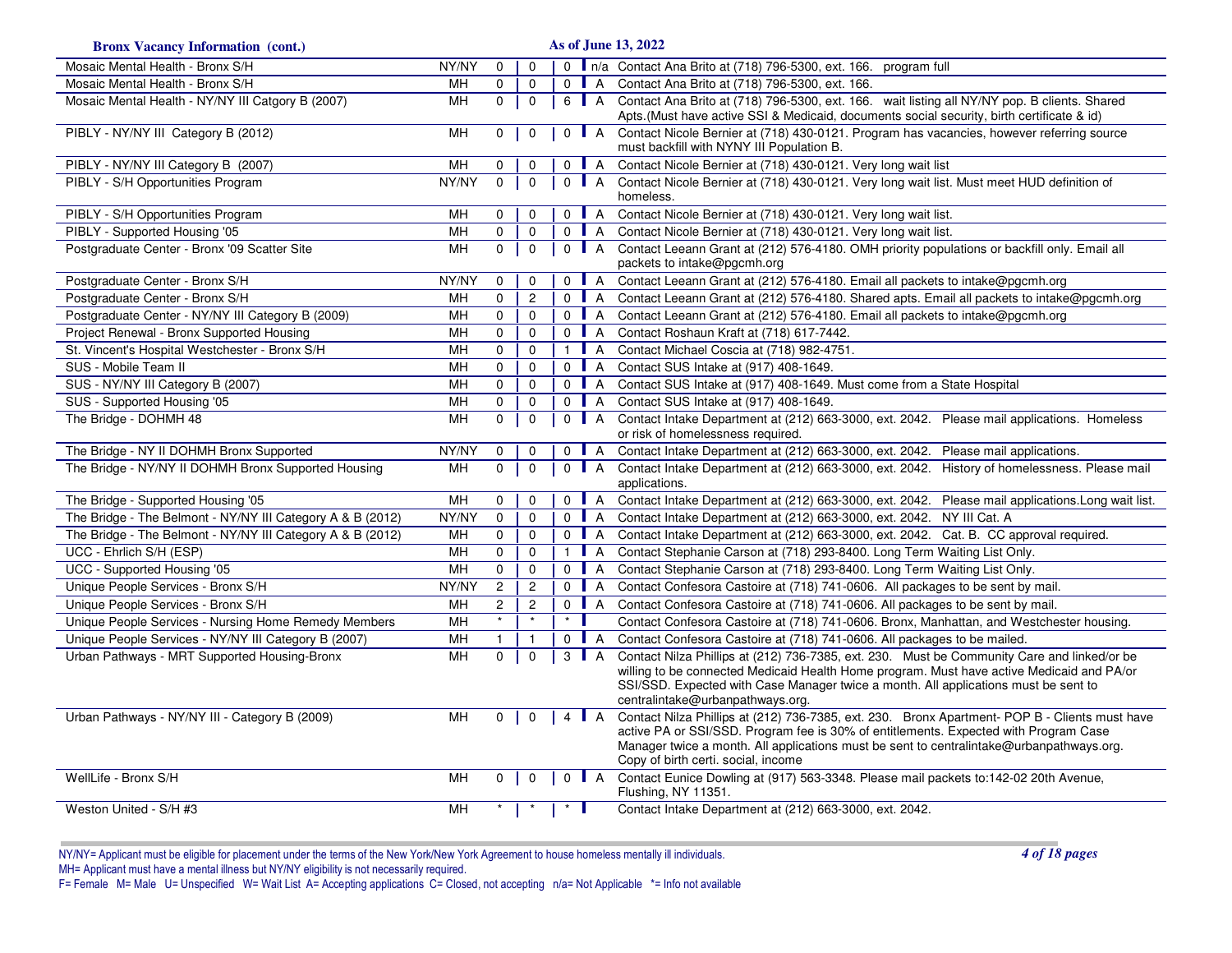| <b>Bronx Vacancy Information (cont.)</b>                   |           |                |                |                 |                    | As of June 13, 2022                                                                                                                                                                                                                                                                                                       |
|------------------------------------------------------------|-----------|----------------|----------------|-----------------|--------------------|---------------------------------------------------------------------------------------------------------------------------------------------------------------------------------------------------------------------------------------------------------------------------------------------------------------------------|
| Mosaic Mental Health - Bronx S/H                           | NY/NY     | $\mathbf 0$    | $\mathbf 0$    |                 |                    | 0 n/a Contact Ana Brito at (718) 796-5300, ext. 166. program full                                                                                                                                                                                                                                                         |
| Mosaic Mental Health - Bronx S/H                           | MН        | $\mathbf 0$    | $\mathbf 0$    | $\Omega$        | $\overline{A}$     | Contact Ana Brito at (718) 796-5300, ext. 166.                                                                                                                                                                                                                                                                            |
| Mosaic Mental Health - NY/NY III Catgory B (2007)          | MН        | $\mathsf{O}$   | $\pmb{0}$      | 6   A           |                    | Contact Ana Brito at (718) 796-5300, ext. 166. wait listing all NY/NY pop. B clients. Shared<br>Apts.(Must have active SSI & Medicaid, documents social security, birth certificate & id)                                                                                                                                 |
| PIBLY - NY/NY III Category B (2012)                        | MH        | 0              | $\mathbf 0$    |                 | $0$ $A$            | Contact Nicole Bernier at (718) 430-0121. Program has vacancies, however referring source<br>must backfill with NYNY III Population B.                                                                                                                                                                                    |
| PIBLY - NY/NY III Category B (2007)                        | MН        | $\Omega$       | 0              |                 | 0 <b>A</b>         | Contact Nicole Bernier at (718) 430-0121. Very long wait list                                                                                                                                                                                                                                                             |
| PIBLY - S/H Opportunities Program                          | NY/NY     | $\mathbf 0$    | $\mathbf 0$    |                 | $0$   A            | Contact Nicole Bernier at (718) 430-0121. Very long wait list. Must meet HUD definition of<br>homeless.                                                                                                                                                                                                                   |
| PIBLY - S/H Opportunities Program                          | MH        | 0              | $\mathbf 0$    | $0$ $A$         |                    | Contact Nicole Bernier at (718) 430-0121. Very long wait list.                                                                                                                                                                                                                                                            |
| PIBLY - Supported Housing '05                              | MН        | 0              | $\mathbf 0$    |                 | $0$   A            | Contact Nicole Bernier at (718) 430-0121. Very long wait list.                                                                                                                                                                                                                                                            |
| Postgraduate Center - Bronx '09 Scatter Site               | <b>MH</b> | $\mathbf{0}$   | $\mathbf{0}$   | $0$ $A$         |                    | Contact Leeann Grant at (212) 576-4180. OMH priority populations or backfill only. Email all<br>packets to intake@pgcmh.org                                                                                                                                                                                               |
| Postgraduate Center - Bronx S/H                            | NY/NY     | $\mathbf 0$    | 0              |                 | $0$ A              | Contact Leeann Grant at (212) 576-4180. Email all packets to intake@pgcmh.org                                                                                                                                                                                                                                             |
| Postgraduate Center - Bronx S/H                            | MН        | 0              | $\overline{c}$ |                 | $0$ $A$            | Contact Leeann Grant at (212) 576-4180. Shared apts. Email all packets to intake@pgcmh.org                                                                                                                                                                                                                                |
| Postgraduate Center - NY/NY III Category B (2009)          | MН        | 0              | $\mathbf 0$    |                 | $0$ $A$            | Contact Leeann Grant at (212) 576-4180. Email all packets to intake@pgcmh.org                                                                                                                                                                                                                                             |
| Project Renewal - Bronx Supported Housing                  | MН        | $\mathbf 0$    | $\mathbf 0$    |                 | $0$   A            | Contact Roshaun Kraft at (718) 617-7442.                                                                                                                                                                                                                                                                                  |
| St. Vincent's Hospital Westchester - Bronx S/H             | MН        | 0              | $\mathbf 0$    |                 | $1$ $A$            | Contact Michael Coscia at (718) 982-4751.                                                                                                                                                                                                                                                                                 |
| SUS - Mobile Team II                                       | MH        | $\mathbf 0$    | $\mathbf 0$    |                 | $0$ $A$            | Contact SUS Intake at (917) 408-1649.                                                                                                                                                                                                                                                                                     |
| SUS - NY/NY III Category B (2007)                          | MH        | $\mathbf 0$    | $\mathbf 0$    |                 | $0$   A            | Contact SUS Intake at (917) 408-1649. Must come from a State Hospital                                                                                                                                                                                                                                                     |
| SUS - Supported Housing '05                                | MH        | 0              | 0              |                 | $0$ A              | Contact SUS Intake at (917) 408-1649.                                                                                                                                                                                                                                                                                     |
| The Bridge - DOHMH 48                                      | MH        | $\mathbf 0$    | $\mathsf 0$    | $0$ $A$         |                    | Contact Intake Department at (212) 663-3000, ext. 2042. Please mail applications. Homeless<br>or risk of homelessness required.                                                                                                                                                                                           |
| The Bridge - NY II DOHMH Bronx Supported                   | NY/NY     | 0              | $\mathbf 0$    |                 | $0$ $A$            | Contact Intake Department at (212) 663-3000, ext. 2042. Please mail applications.                                                                                                                                                                                                                                         |
| The Bridge - NY/NY II DOHMH Bronx Supported Housing        | MН        | $\mathbf 0$    | $\mathbf{0}$   | $0$ $A$         |                    | Contact Intake Department at (212) 663-3000, ext. 2042. History of homelessness. Please mail<br>applications.                                                                                                                                                                                                             |
| The Bridge - Supported Housing '05                         | MН        | $\mathbf 0$    | $\mathbf 0$    |                 | $0$   A            | Contact Intake Department at (212) 663-3000, ext. 2042. Please mail applications. Long wait list.                                                                                                                                                                                                                         |
| The Bridge - The Belmont - NY/NY III Category A & B (2012) | NY/NY     | $\mathbf 0$    | $\mathbf 0$    |                 | $0$ $A$            | Contact Intake Department at (212) 663-3000, ext. 2042. NY III Cat. A                                                                                                                                                                                                                                                     |
| The Bridge - The Belmont - NY/NY III Category A & B (2012) | МH        | 0              | 0              |                 | $0$   A            | Contact Intake Department at (212) 663-3000, ext. 2042. Cat. B. CC approval required.                                                                                                                                                                                                                                     |
| UCC - Ehrlich S/H (ESP)                                    | MН        | 0              | $\mathbf 0$    | $\mathbf{1}$    | $\blacksquare$ A   | Contact Stephanie Carson at (718) 293-8400. Long Term Waiting List Only.                                                                                                                                                                                                                                                  |
| UCC - Supported Housing '05                                | <b>MH</b> | 0              | $\mathbf 0$    |                 | $0$ A              | Contact Stephanie Carson at (718) 293-8400. Long Term Waiting List Only.                                                                                                                                                                                                                                                  |
| Unique People Services - Bronx S/H                         | NY/NY     | $\overline{c}$ | $\overline{c}$ |                 | $0$ $A$            | Contact Confesora Castoire at (718) 741-0606. All packages to be sent by mail.                                                                                                                                                                                                                                            |
| Unique People Services - Bronx S/H                         | MН        | $\overline{2}$ | $\overline{2}$ | $\mathsf{O}$    | $\blacksquare$ A   | Contact Confesora Castoire at (718) 741-0606. All packages to be sent by mail.                                                                                                                                                                                                                                            |
| Unique People Services - Nursing Home Remedy Members       | MH        | $\star$        | $\star$        | $\cdot$ $\cdot$ |                    | Contact Confesora Castoire at (718) 741-0606. Bronx, Manhattan, and Westchester housing.                                                                                                                                                                                                                                  |
| Unique People Services - NY/NY III Category B (2007)       | MН        | $\mathbf{1}$   | $\mathbf{1}$   |                 | $0$ $A$            | Contact Confesora Castoire at (718) 741-0606. All packages to be mailed.                                                                                                                                                                                                                                                  |
| Urban Pathways - MRT Supported Housing-Bronx               | MН        | $\mathbf 0$    | $\mathbf 0$    |                 | $3 \mid A$         | Contact Nilza Phillips at (212) 736-7385, ext. 230. Must be Community Care and linked/or be<br>willing to be connected Medicaid Health Home program. Must have active Medicaid and PA/or<br>SSI/SSD. Expected with Case Manager twice a month. All applications must be sent to<br>centralintake@urbanpathways.org.       |
| Urban Pathways - NY/NY III - Category B (2009)             | <b>MH</b> | $\overline{0}$ | $\mathbf 0$    |                 | 4 $\blacksquare$ A | Contact Nilza Phillips at (212) 736-7385, ext. 230. Bronx Apartment- POP B - Clients must have<br>active PA or SSI/SSD. Program fee is 30% of entitlements. Expected with Program Case<br>Manager twice a month. All applications must be sent to centralintake@urbanpathways.org.<br>Copy of birth certi. social, income |
| WellLife - Bronx S/H                                       | MН        | $\Omega$       | $\Omega$       |                 | $0$   A            | Contact Eunice Dowling at (917) 563-3348. Please mail packets to:142-02 20th Avenue,<br>Flushing, NY 11351.                                                                                                                                                                                                               |
| Weston United - S/H #3                                     | MН        |                |                | $\mathbf{r}$    |                    | Contact Intake Department at (212) 663-3000, ext. 2042.                                                                                                                                                                                                                                                                   |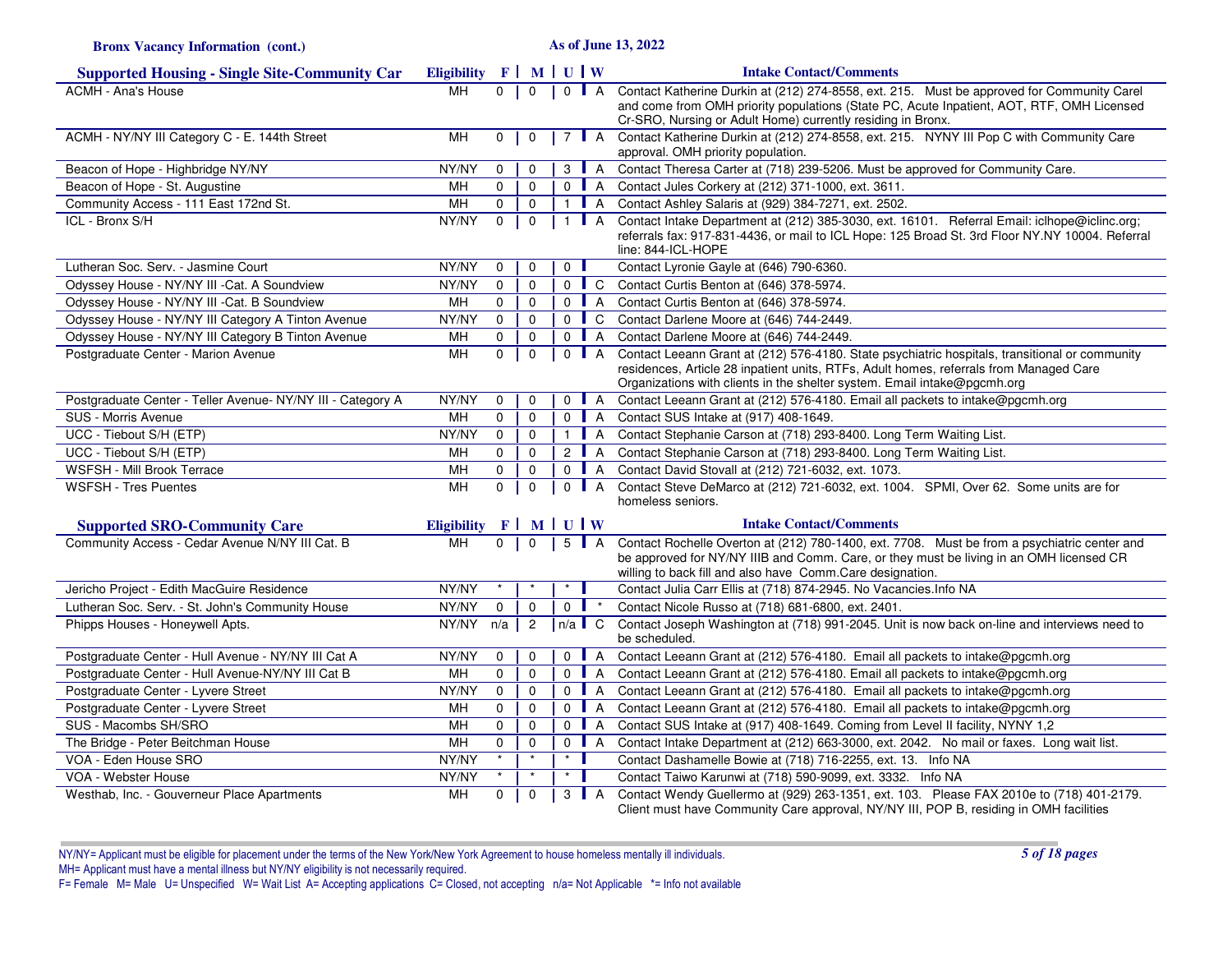**Bronx Vacancy Information (cont.)**

**As of June 13, 2022**

| <b>Supported Housing - Single Site-Community Car</b>        | Eligibility $F \mid M \mid U \mid W$                |              |                |                |                |                    | <b>Intake Contact/Comments</b>                                                                                                                                                                                                                                       |
|-------------------------------------------------------------|-----------------------------------------------------|--------------|----------------|----------------|----------------|--------------------|----------------------------------------------------------------------------------------------------------------------------------------------------------------------------------------------------------------------------------------------------------------------|
| <b>ACMH - Ana's House</b>                                   | <b>MH</b>                                           | $\Omega$     | $\mathbf{0}$   |                |                | $0$   A            | Contact Katherine Durkin at (212) 274-8558, ext. 215. Must be approved for Community Carel                                                                                                                                                                           |
|                                                             |                                                     |              |                |                |                |                    | and come from OMH priority populations (State PC, Acute Inpatient, AOT, RTF, OMH Licensed                                                                                                                                                                            |
| ACMH - NY/NY III Category C - E. 144th Street               | <b>MH</b>                                           | $0-1$        | $\mathbf{0}$   |                |                | 7   A              | Cr-SRO, Nursing or Adult Home) currently residing in Bronx.<br>Contact Katherine Durkin at (212) 274-8558, ext. 215. NYNY III Pop C with Community Care                                                                                                              |
|                                                             |                                                     |              |                |                |                |                    | approval. OMH priority population.                                                                                                                                                                                                                                   |
| Beacon of Hope - Highbridge NY/NY                           | NY/NY                                               | $\Omega$     | $\Omega$       | 3              |                | A                  | Contact Theresa Carter at (718) 239-5206. Must be approved for Community Care.                                                                                                                                                                                       |
| Beacon of Hope - St. Augustine                              | <b>MH</b>                                           | $\Omega$     | $\mathbf 0$    |                |                | $0$   A            | Contact Jules Corkery at (212) 371-1000, ext. 3611.                                                                                                                                                                                                                  |
| Community Access - 111 East 172nd St.                       | <b>MH</b>                                           | 0            | $\mathbf 0$    | $\mathbf{1}$   |                | $\mathsf{A}$       | Contact Ashley Salaris at (929) 384-7271, ext. 2502.                                                                                                                                                                                                                 |
| ICL - Bronx S/H                                             | NY/NY                                               | $\mathbf{0}$ | $\mathbf{0}$   | $\mathbf{1}$   |                | $\mathsf{A}$       | Contact Intake Department at (212) 385-3030, ext. 16101. Referral Email: iclhope@iclinc.org;<br>referrals fax: 917-831-4436, or mail to ICL Hope: 125 Broad St. 3rd Floor NY.NY 10004. Referral<br>line: 844-ICL-HOPE                                                |
| Lutheran Soc. Serv. - Jasmine Court                         | NY/NY                                               | $\mathbf 0$  | $\mathbf 0$    | $\overline{0}$ |                |                    | Contact Lyronie Gayle at (646) 790-6360.                                                                                                                                                                                                                             |
| Odyssey House - NY/NY III - Cat. A Soundview                | NY/NY                                               | $\mathbf 0$  | $\mathbf 0$    |                |                |                    | 0 C Contact Curtis Benton at (646) 378-5974.                                                                                                                                                                                                                         |
| Odyssey House - NY/NY III - Cat. B Soundview                | <b>MH</b>                                           | $\mathbf 0$  | $\mathbf 0$    |                |                | $0$   A            | Contact Curtis Benton at (646) 378-5974.                                                                                                                                                                                                                             |
| Odyssey House - NY/NY III Category A Tinton Avenue          | NY/NY                                               | $\mathbf 0$  | $\mathbf 0$    |                |                | $0 \parallel C$    | Contact Darlene Moore at (646) 744-2449.                                                                                                                                                                                                                             |
| Odyssey House - NY/NY III Category B Tinton Avenue          | MH                                                  | $\mathbf 0$  | $\mathbf 0$    |                |                | $0$   A            | Contact Darlene Moore at (646) 744-2449.                                                                                                                                                                                                                             |
| Postgraduate Center - Marion Avenue                         | MH                                                  | $\mathbf{0}$ | $\Omega$       |                |                | $0$ $A$            | Contact Leeann Grant at (212) 576-4180. State psychiatric hospitals, transitional or community<br>residences, Article 28 inpatient units, RTFs, Adult homes, referrals from Managed Care<br>Organizations with clients in the shelter system. Email intake@pgcmh.org |
| Postgraduate Center - Teller Avenue- NY/NY III - Category A | NY/NY                                               | $\mathbf 0$  | 0              |                |                | $0$   A            | Contact Leeann Grant at (212) 576-4180. Email all packets to intake@pgcmh.org                                                                                                                                                                                        |
| SUS - Morris Avenue                                         | MH                                                  | $\Omega$     | $\Omega$       |                |                | $0$ A              | Contact SUS Intake at (917) 408-1649.                                                                                                                                                                                                                                |
| UCC - Tiebout S/H (ETP)                                     | NY/NY                                               | $\mathbf 0$  | $\mathbf 0$    |                |                | 1 $\blacksquare$ A | Contact Stephanie Carson at (718) 293-8400. Long Term Waiting List.                                                                                                                                                                                                  |
| UCC - Tiebout S/H (ETP)                                     | MH                                                  | $\mathbf 0$  | $\mathbf 0$    |                |                | 2 $\blacksquare$ A | Contact Stephanie Carson at (718) 293-8400. Long Term Waiting List.                                                                                                                                                                                                  |
| WSFSH - Mill Brook Terrace                                  | MH                                                  | $\mathbf 0$  | $\mathbf 0$    |                |                | $0$   A            | Contact David Stovall at (212) 721-6032, ext. 1073.                                                                                                                                                                                                                  |
| <b>WSFSH - Tres Puentes</b>                                 | MH                                                  | $\mathbf 0$  | $\mathbf 0$    |                |                | $0$   A            | Contact Steve DeMarco at (212) 721-6032, ext. 1004. SPMI, Over 62. Some units are for<br>homeless seniors.                                                                                                                                                           |
| <b>Supported SRO-Community Care</b>                         | Eligibility $F \parallel M \parallel U \parallel W$ |              |                |                |                |                    | <b>Intake Contact/Comments</b>                                                                                                                                                                                                                                       |
| Community Access - Cedar Avenue N/NY III Cat. B             | <b>MH</b>                                           | $\mathbf 0$  | $\mathbf 0$    |                |                | 5   A              | Contact Rochelle Overton at (212) 780-1400, ext. 7708. Must be from a psychiatric center and                                                                                                                                                                         |
|                                                             |                                                     |              |                |                |                |                    | be approved for NY/NY IIIB and Comm. Care, or they must be living in an OMH licensed CR<br>willing to back fill and also have Comm.Care designation.                                                                                                                 |
| Jericho Project - Edith MacGuire Residence                  | NY/NY                                               | $\star$      |                | $\star$        |                |                    | Contact Julia Carr Ellis at (718) 874-2945. No Vacancies. Info NA                                                                                                                                                                                                    |
| Lutheran Soc. Serv. - St. John's Community House            | NY/NY                                               | $\mathbf 0$  | $\mathbf 0$    | $\overline{0}$ |                |                    | Contact Nicole Russo at (718) 681-6800, ext. 2401.                                                                                                                                                                                                                   |
| Phipps Houses - Honeywell Apts.                             | NY/NY                                               | n/a          | $\overline{2}$ | $n/a$ C        |                |                    | Contact Joseph Washington at (718) 991-2045. Unit is now back on-line and interviews need to<br>be scheduled.                                                                                                                                                        |
| Postgraduate Center - Hull Avenue - NY/NY III Cat A         | NY/NY                                               | $\mathbf 0$  | $\mathbf 0$    |                |                | $0$ $A$            | Contact Leeann Grant at (212) 576-4180. Email all packets to intake@pgcmh.org                                                                                                                                                                                        |
| Postgraduate Center - Hull Avenue-NY/NY III Cat B           | MH                                                  | $\mathbf 0$  | $\mathbf 0$    |                |                | $0$ $A$            | Contact Leeann Grant at (212) 576-4180. Email all packets to intake@pgcmh.org                                                                                                                                                                                        |
| Postgraduate Center - Lyvere Street                         | NY/NY                                               | $\Omega$     | $\Omega$       |                |                | $0$   A            | Contact Leeann Grant at (212) 576-4180. Email all packets to intake@pgcmh.org                                                                                                                                                                                        |
| Postgraduate Center - Lyvere Street                         | MН                                                  | $\mathbf 0$  | $\mathbf 0$    |                |                | $0$   A            | Contact Leeann Grant at (212) 576-4180. Email all packets to intake@pgcmh.org                                                                                                                                                                                        |
| SUS - Macombs SH/SRO                                        | MH                                                  | $\mathbf 0$  | 0              |                |                | $0$ $A$            | Contact SUS Intake at (917) 408-1649. Coming from Level II facility, NYNY 1,2                                                                                                                                                                                        |
| The Bridge - Peter Beitchman House                          | MН                                                  | 0            | $\mathbf 0$    |                | 0 <sub>1</sub> | A                  | Contact Intake Department at (212) 663-3000, ext. 2042. No mail or faxes. Long wait list.                                                                                                                                                                            |
| VOA - Eden House SRO                                        | NY/NY                                               |              | $\star$        | $^\star$       |                |                    | Contact Dashamelle Bowie at (718) 716-2255, ext. 13. Info NA                                                                                                                                                                                                         |
| VOA - Webster House                                         | NY/NY                                               |              | $\star$        | $\star$        |                |                    | Contact Taiwo Karunwi at (718) 590-9099, ext. 3332. Info NA                                                                                                                                                                                                          |
| Westhab, Inc. - Gouverneur Place Apartments                 | MH                                                  | $\Omega$     | $\mathbf 0$    |                |                | 3   A              | Contact Wendy Guellermo at (929) 263-1351, ext. 103. Please FAX 2010e to (718) 401-2179.<br>Client must have Community Care approval, NY/NY III, POP B, residing in OMH facilities                                                                                   |

NY/NY= Applicant must be eligible for placement under the terms of the New York/New York Agreement to house homeless mentally ill individuals.MH= Applicant must have a mental illness but NY/NY eligibility is not necessarily required. F= Female M= Male U= Unspecified W= Wait List A= Accepting applications C= Closed, not accepting n/a= Not Applicable \*= Info not available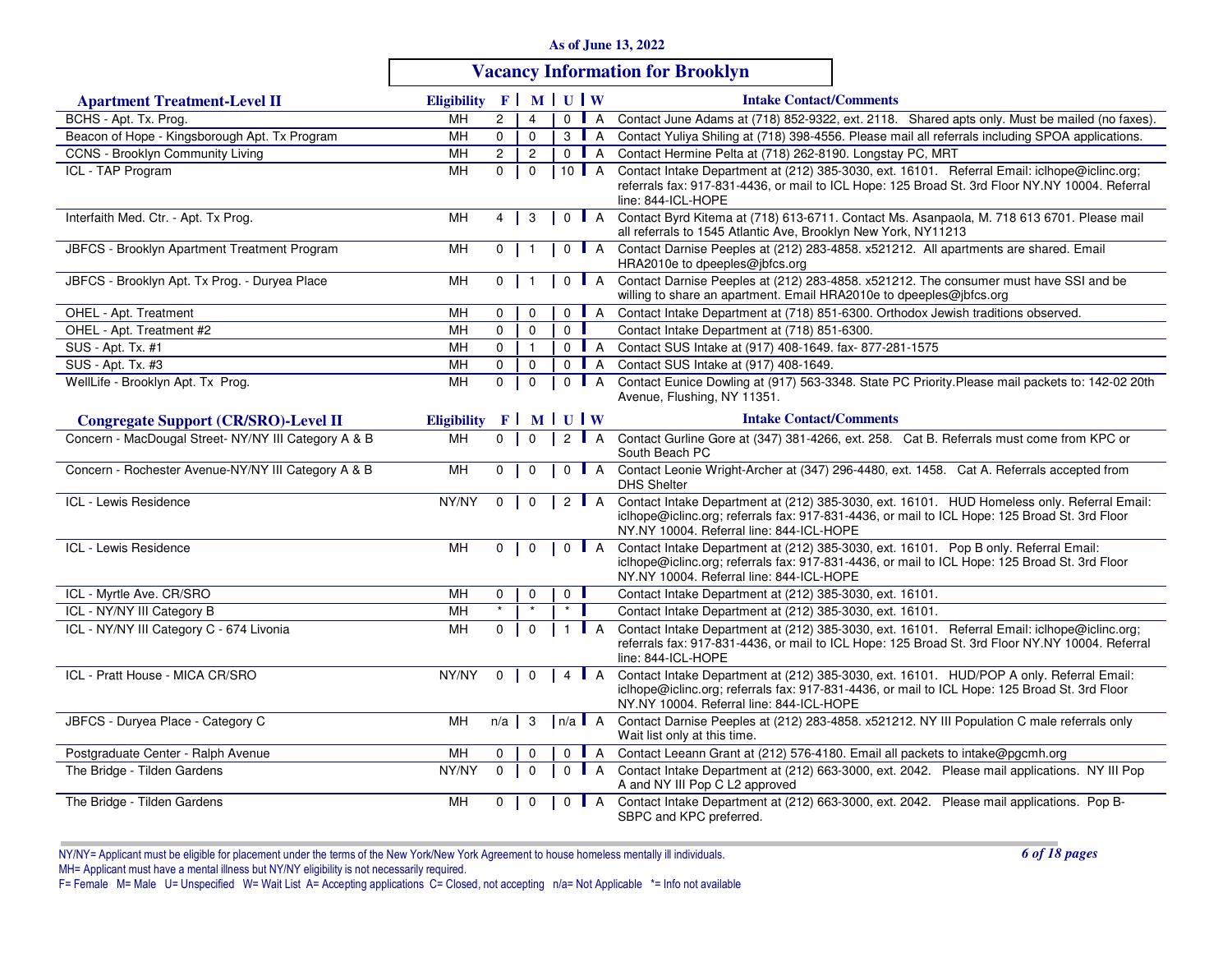|  |  |  | As of June 13, 2022 |  |  |  |
|--|--|--|---------------------|--|--|--|
|--|--|--|---------------------|--|--|--|

# **Vacancy Information for Brooklyn**

| <b>Apartment Treatment-Level II</b>                  | Eligibility F   M   U   W |                |                |          |                |                     | <b>Intake Contact/Comments</b>                                                                                                                                                                                                           |
|------------------------------------------------------|---------------------------|----------------|----------------|----------|----------------|---------------------|------------------------------------------------------------------------------------------------------------------------------------------------------------------------------------------------------------------------------------------|
| BCHS - Apt. Tx. Prog.                                | MН                        | $\overline{2}$ | $\overline{4}$ |          |                | $0$   A             | Contact June Adams at (718) 852-9322, ext. 2118. Shared apts only. Must be mailed (no faxes).                                                                                                                                            |
| Beacon of Hope - Kingsborough Apt. Tx Program        | MH                        | $\mathbf 0$    | $\mathbf 0$    |          | 3 <sup>1</sup> | $\overline{A}$      | Contact Yuliya Shiling at (718) 398-4556. Please mail all referrals including SPOA applications.                                                                                                                                         |
| <b>CCNS - Brooklyn Community Living</b>              | MH                        | $\mathbf{2}$   | $\overline{2}$ |          | $0$ $A$        |                     | Contact Hermine Pelta at (718) 262-8190. Longstay PC, MRT                                                                                                                                                                                |
| ICL - TAP Program                                    | MН                        | $\mathbf 0$    | $\Omega$       |          |                | 10 $\blacksquare$ A | Contact Intake Department at (212) 385-3030, ext. 16101. Referral Email: iclhope@iclinc.org;<br>referrals fax: 917-831-4436, or mail to ICL Hope: 125 Broad St. 3rd Floor NY.NY 10004. Referral<br>line: 844-ICL-HOPE                    |
| Interfaith Med. Ctr. - Apt. Tx Prog.                 | MH                        | 4              | 3              |          |                | $0$   A             | Contact Byrd Kitema at (718) 613-6711. Contact Ms. Asanpaola, M. 718 613 6701. Please mail<br>all referrals to 1545 Atlantic Ave, Brooklyn New York, NY11213                                                                             |
| JBFCS - Brooklyn Apartment Treatment Program         | MН                        | $\mathbf 0$    |                |          | $\mathbf 0$    | $\blacksquare$ A    | Contact Darnise Peeples at (212) 283-4858. x521212. All apartments are shared. Email<br>HRA2010e to dpeeples@jbfcs.org                                                                                                                   |
| JBFCS - Brooklyn Apt. Tx Prog. - Duryea Place        | MН                        | $\mathbf 0$    |                |          |                |                     | 0 A Contact Darnise Peeples at (212) 283-4858. x521212. The consumer must have SSI and be<br>willing to share an apartment. Email HRA2010e to dpeeples@jbfcs.org                                                                         |
| OHEL - Apt. Treatment                                | MН                        | 0              | $\mathbf 0$    |          |                | $0$ $A$             | Contact Intake Department at (718) 851-6300. Orthodox Jewish traditions observed.                                                                                                                                                        |
| OHEL - Apt. Treatment #2                             | MH                        | $\mathbf 0$    | $\mathbf 0$    |          | $\mathbf 0$    |                     | Contact Intake Department at (718) 851-6300.                                                                                                                                                                                             |
| SUS - Apt. Tx. #1                                    | MH                        | $\mathbf 0$    | $\mathbf{1}$   |          | $0$ A          |                     | Contact SUS Intake at (917) 408-1649. fax-877-281-1575                                                                                                                                                                                   |
| SUS - Apt. Tx. #3                                    | MН                        | $\mathbf 0$    | $\mathbf 0$    |          | $0$ $A$        |                     | Contact SUS Intake at (917) 408-1649.                                                                                                                                                                                                    |
| WellLife - Brooklyn Apt. Tx Prog.                    | MH                        | $\mathbf{0}$   | $\mathbf 0$    |          |                | $0$ $A$             | Contact Eunice Dowling at (917) 563-3348. State PC Priority. Please mail packets to: 142-02 20th<br>Avenue, Flushing, NY 11351.                                                                                                          |
| <b>Congregate Support (CR/SRO)-Level II</b>          | <b>Eligibility</b>        |                |                | $F$ MUUW |                |                     | <b>Intake Contact/Comments</b>                                                                                                                                                                                                           |
| Concern - MacDougal Street- NY/NY III Category A & B | MН                        | $\Omega$       | $\Omega$       |          | $\overline{2}$ | $\mathsf{A}$        | Contact Gurline Gore at (347) 381-4266, ext. 258. Cat B. Referrals must come from KPC or<br>South Beach PC                                                                                                                               |
| Concern - Rochester Avenue-NY/NY III Category A & B  | MH                        | $\mathbf 0$    | $\mathbf 0$    |          | $\mathbf 0$    | $\mathsf{A}$        | Contact Leonie Wright-Archer at (347) 296-4480, ext. 1458. Cat A. Referrals accepted from<br><b>DHS Shelter</b>                                                                                                                          |
| ICL - Lewis Residence                                | NY/NY                     | $\mathbf 0$    | $\mathbf 0$    |          |                | $2$ $A$             | Contact Intake Department at (212) 385-3030, ext. 16101. HUD Homeless only. Referral Email:<br>iclhope@iclinc.org; referrals fax: 917-831-4436, or mail to ICL Hope: 125 Broad St. 3rd Floor<br>NY.NY 10004. Referral line: 844-ICL-HOPE |
| ICL - Lewis Residence                                | <b>MH</b>                 | $\mathbf{0}$   | $\overline{0}$ |          |                | $0$   A             | Contact Intake Department at (212) 385-3030, ext. 16101. Pop B only. Referral Email:<br>iclhope@iclinc.org; referrals fax: 917-831-4436, or mail to ICL Hope: 125 Broad St. 3rd Floor<br>NY.NY 10004. Referral line: 844-ICL-HOPE        |
| ICL - Myrtle Ave. CR/SRO                             | MH                        | 0              | $\mathbf 0$    |          | 0              |                     | Contact Intake Department at (212) 385-3030, ext. 16101.                                                                                                                                                                                 |
| ICL - NY/NY III Category B                           | MН                        | $\star$        |                |          |                |                     | Contact Intake Department at (212) 385-3030, ext. 16101.                                                                                                                                                                                 |
| ICL - NY/NY III Category C - 674 Livonia             | MН                        | $\mathbf 0$    | $\mathbf 0$    |          |                | <b>I</b> A          | Contact Intake Department at (212) 385-3030, ext. 16101. Referral Email: iclhope@iclinc.org;<br>referrals fax: 917-831-4436, or mail to ICL Hope: 125 Broad St. 3rd Floor NY.NY 10004. Referral<br>line: 844-ICL-HOPE                    |
| ICL - Pratt House - MICA CR/SRO                      | NY/NY                     | $\mathbf 0$    | $\overline{0}$ |          |                | 4 $\blacksquare$ A  | Contact Intake Department at (212) 385-3030, ext. 16101. HUD/POP A only. Referral Email:<br>iclhope@iclinc.org; referrals fax: 917-831-4436, or mail to ICL Hope: 125 Broad St. 3rd Floor<br>NY.NY 10004. Referral line: 844-ICL-HOPE    |
| JBFCS - Duryea Place - Category C                    | MH                        | $n/a$          | -3             |          |                | $n/a \Box A$        | Contact Darnise Peeples at (212) 283-4858. x521212. NY III Population C male referrals only<br>Wait list only at this time.                                                                                                              |
| Postgraduate Center - Ralph Avenue                   | MH                        | 0              | $\Omega$       |          |                | $0$ $A$             | Contact Leeann Grant at (212) 576-4180. Email all packets to intake@pgcmh.org                                                                                                                                                            |
| The Bridge - Tilden Gardens                          | NY/NY                     | $\mathbf 0$    | $\Omega$       |          |                | $0$ $A$             | Contact Intake Department at (212) 663-3000, ext. 2042. Please mail applications. NY III Pop<br>A and NY III Pop C L2 approved                                                                                                           |
| The Bridge - Tilden Gardens                          | MH                        | $\mathbf 0$    | $\mathbf 0$    |          |                | $0$   A             | Contact Intake Department at (212) 663-3000, ext. 2042. Please mail applications. Pop B-<br>SBPC and KPC preferred.                                                                                                                      |

NY/NY= Applicant must be eligible for placement under the terms of the New York/New York Agreement to house homeless mentally ill individuals.MH= Applicant must have a mental illness but NY/NY eligibility is not necessarily required.<br>F= Female M= Male U= Unspecified W= Wait List A= Accepting applications C= Closed, not accepting n/a= Not Applicable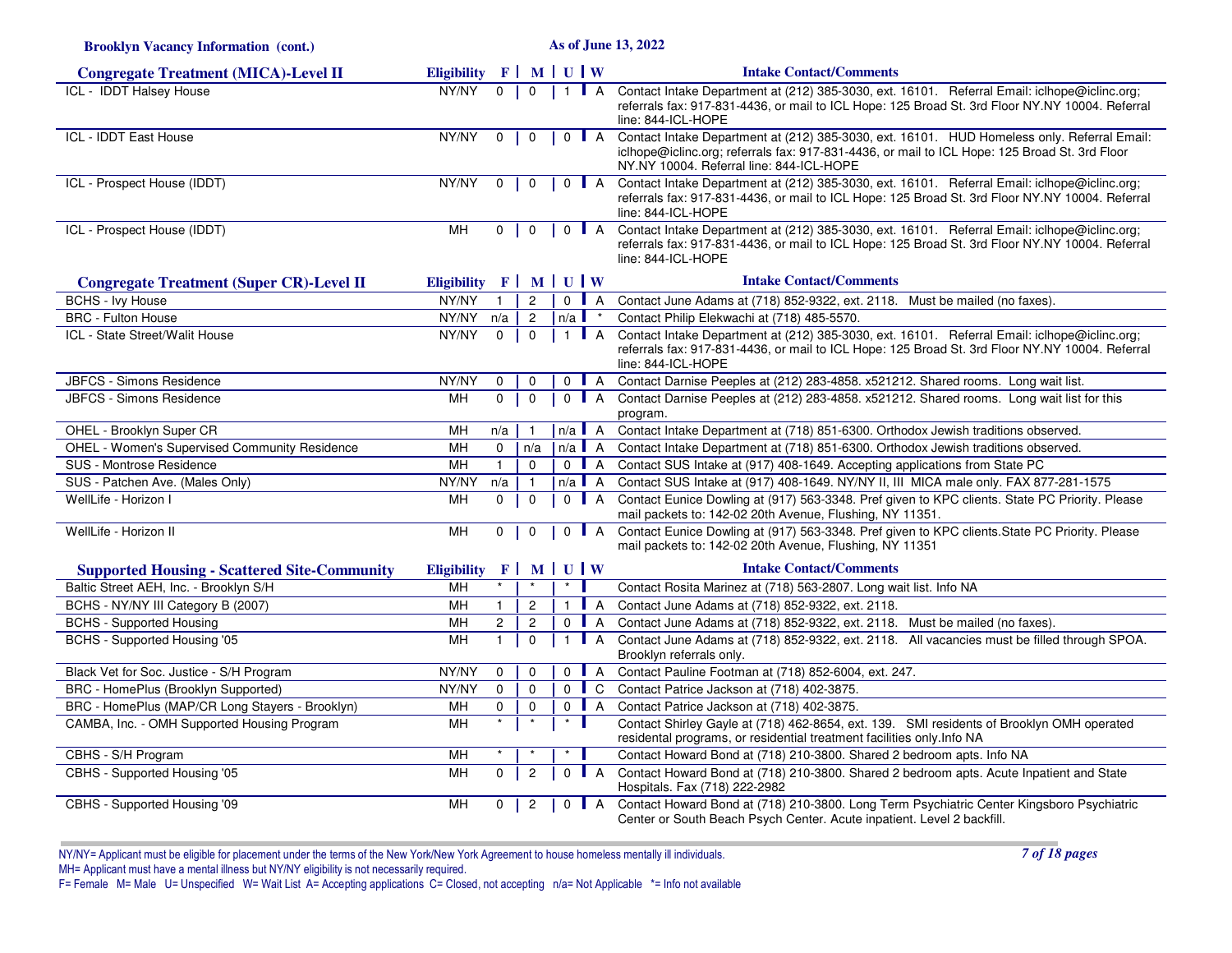| <b>Brooklyn Vacancy Information (cont.)</b>          | As of June 13, 2022                  |                |                |                                                                                        |                  |                |                                                                                                                                                                                                                                          |  |
|------------------------------------------------------|--------------------------------------|----------------|----------------|----------------------------------------------------------------------------------------|------------------|----------------|------------------------------------------------------------------------------------------------------------------------------------------------------------------------------------------------------------------------------------------|--|
| <b>Congregate Treatment (MICA)-Level II</b>          | Eligibility $F \mid M \mid U \mid W$ |                |                |                                                                                        |                  |                | <b>Intake Contact/Comments</b>                                                                                                                                                                                                           |  |
| <b>ICL - IDDT Halsey House</b>                       | NY/NY                                | $\overline{0}$ | $\mathbf 0$    | $\mathbf{1}$                                                                           | $\blacksquare$ A |                | Contact Intake Department at (212) 385-3030, ext. 16101. Referral Email: iclhope@iclinc.org;<br>referrals fax: 917-831-4436, or mail to ICL Hope: 125 Broad St. 3rd Floor NY.NY 10004. Referral<br>line: 844-ICL-HOPE                    |  |
| ICL - IDDT East House                                | NY/NY                                | $\overline{0}$ | $\overline{0}$ | $\begin{array}{c c c c c} \hline \end{array}$ 0 $\begin{array}{c c c c} A \end{array}$ |                  |                | Contact Intake Department at (212) 385-3030, ext. 16101. HUD Homeless only. Referral Email:<br>iclhope@iclinc.org; referrals fax: 917-831-4436, or mail to ICL Hope: 125 Broad St. 3rd Floor<br>NY.NY 10004. Referral line: 844-ICL-HOPE |  |
| ICL - Prospect House (IDDT)                          | NY/NY                                | $\mathbf 0$    | $\mathbf 0$    | $\mathbf 0$                                                                            | $\blacksquare$ A |                | Contact Intake Department at (212) 385-3030, ext. 16101. Referral Email: iclhope@iclinc.org;<br>referrals fax: 917-831-4436, or mail to ICL Hope: 125 Broad St. 3rd Floor NY.NY 10004. Referral<br>line: 844-ICL-HOPE                    |  |
| ICL - Prospect House (IDDT)                          | MH                                   | 0              | $\mathbf 0$    | $0$ $A$                                                                                |                  |                | Contact Intake Department at (212) 385-3030, ext. 16101. Referral Email: iclhope@iclinc.org;<br>referrals fax: 917-831-4436, or mail to ICL Hope: 125 Broad St. 3rd Floor NY.NY 10004. Referral<br>line: 844-ICL-HOPE                    |  |
| <b>Congregate Treatment (Super CR)-Level II</b>      | Eligibility $F \mid M \mid U \mid W$ |                |                |                                                                                        |                  |                | <b>Intake Contact/Comments</b>                                                                                                                                                                                                           |  |
| <b>BCHS - Ivy House</b>                              | NY/NY                                | $\mathbf{1}$   | $\overline{2}$ | $0$ $A$                                                                                |                  |                | Contact June Adams at (718) 852-9322, ext. 2118. Must be mailed (no faxes).                                                                                                                                                              |  |
| <b>BRC - Fulton House</b>                            | NY/NY                                | n/a            | $\overline{2}$ | $n/a$ $\blacksquare$                                                                   |                  |                | Contact Philip Elekwachi at (718) 485-5570.                                                                                                                                                                                              |  |
| ICL - State Street/Walit House                       | NY/NY                                | $\overline{0}$ | $\mathbf 0$    | $\mathbf{1}$                                                                           | $\mathsf{A}$     |                | Contact Intake Department at (212) 385-3030, ext. 16101. Referral Email: iclhope@iclinc.org;<br>referrals fax: 917-831-4436, or mail to ICL Hope: 125 Broad St. 3rd Floor NY.NY 10004. Referral<br>line: 844-ICL-HOPE                    |  |
| JBFCS - Simons Residence                             | NY/NY                                | 0              | 0              | $\mathbf 0$                                                                            | $\blacksquare$ A |                | Contact Darnise Peeples at (212) 283-4858. x521212. Shared rooms. Long wait list.                                                                                                                                                        |  |
| JBFCS - Simons Residence                             | MH                                   | $\Omega$       | $\Omega$       | $\Omega$                                                                               | $\blacksquare$ A |                | Contact Darnise Peeples at (212) 283-4858. x521212. Shared rooms. Long wait list for this<br>program.                                                                                                                                    |  |
| OHEL - Brooklyn Super CR                             | MH                                   | n/a            |                | $n/a$ $A$                                                                              |                  |                | Contact Intake Department at (718) 851-6300. Orthodox Jewish traditions observed.                                                                                                                                                        |  |
| <b>OHEL - Women's Supervised Community Residence</b> | MH                                   | $\mathbf 0$    | n/a            | $n/a$ $A$                                                                              |                  |                | Contact Intake Department at (718) 851-6300. Orthodox Jewish traditions observed.                                                                                                                                                        |  |
| SUS - Montrose Residence                             | MН                                   | $\mathbf{1}$   | $\Omega$       | $0$ $A$                                                                                |                  |                | Contact SUS Intake at (917) 408-1649. Accepting applications from State PC                                                                                                                                                               |  |
| SUS - Patchen Ave. (Males Only)                      | NY/NY                                | n/a            | $\mathbf{1}$   | $n/a$ A                                                                                |                  |                | Contact SUS Intake at (917) 408-1649. NY/NY II, III MICA male only. FAX 877-281-1575                                                                                                                                                     |  |
| WellLife - Horizon I                                 | MН                                   | $\Omega$       | $\mathbf 0$    | $0$ $A$                                                                                |                  |                | Contact Eunice Dowling at (917) 563-3348. Pref given to KPC clients. State PC Priority. Please<br>mail packets to: 142-02 20th Avenue, Flushing, NY 11351.                                                                               |  |
| WellLife - Horizon II                                | MH                                   | $\mathbf 0$    | $\mathbf 0$    | $0$ $A$                                                                                |                  |                | Contact Eunice Dowling at (917) 563-3348. Pref given to KPC clients. State PC Priority. Please<br>mail packets to: 142-02 20th Avenue, Flushing, NY 11351                                                                                |  |
| <b>Supported Housing - Scattered Site-Community</b>  | <b>Eligibility</b>                   | F <sup>1</sup> |                | MUW                                                                                    |                  |                | <b>Intake Contact/Comments</b>                                                                                                                                                                                                           |  |
| Baltic Street AEH, Inc. - Brooklyn S/H               | MH                                   | $\star$        |                | $\star$                                                                                |                  |                | Contact Rosita Marinez at (718) 563-2807. Long wait list. Info NA                                                                                                                                                                        |  |
| BCHS - NY/NY III Category B (2007)                   | MН                                   | $\mathbf{1}$   | $\overline{c}$ | $\mathbf{1}$                                                                           |                  | $\overline{A}$ | Contact June Adams at (718) 852-9322, ext. 2118.                                                                                                                                                                                         |  |
| <b>BCHS - Supported Housing</b>                      | MH                                   | $\overline{2}$ | $\overline{2}$ | $0$ $A$                                                                                |                  |                | Contact June Adams at (718) 852-9322, ext. 2118. Must be mailed (no faxes).                                                                                                                                                              |  |
| <b>BCHS</b> - Supported Housing '05                  | MH                                   | $\mathbf{1}$   | $\pmb{0}$      | $\mathbf{1}$                                                                           | $\mathsf{A}$     |                | Contact June Adams at (718) 852-9322, ext. 2118. All vacancies must be filled through SPOA.<br>Brooklyn referrals only.                                                                                                                  |  |
| Black Vet for Soc. Justice - S/H Program             | NY/NY                                | $\mathbf 0$    | $\mathbf 0$    | $\mathbf 0$                                                                            | H.               | $\overline{A}$ | Contact Pauline Footman at (718) 852-6004, ext. 247.                                                                                                                                                                                     |  |
| <b>BRC</b> - HomePlus (Brooklyn Supported)           | NY/NY                                | $\mathbf 0$    | $\mathbf 0$    | $0$ $\blacksquare$ C                                                                   |                  |                | Contact Patrice Jackson at (718) 402-3875.                                                                                                                                                                                               |  |
| BRC - HomePlus (MAP/CR Long Stayers - Brooklyn)      | MН                                   | $\mathbf 0$    | $\mathbf 0$    | $\mathbf{0}$                                                                           | $\blacksquare$ A |                | Contact Patrice Jackson at (718) 402-3875.                                                                                                                                                                                               |  |
| CAMBA, Inc. - OMH Supported Housing Program          | MН                                   | $\star$        | $\star$        | $\star$                                                                                |                  |                | Contact Shirley Gayle at (718) 462-8654, ext. 139. SMI residents of Brooklyn OMH operated<br>residental programs, or residential treatment facilities only. Info NA                                                                      |  |
| CBHS - S/H Program                                   | MH                                   |                |                |                                                                                        |                  |                | Contact Howard Bond at (718) 210-3800. Shared 2 bedroom apts. Info NA                                                                                                                                                                    |  |
| CBHS - Supported Housing '05                         | MН                                   | $\mathbf{0}$   | $\overline{c}$ | $\Omega$                                                                               | $\mathsf{A}$     |                | Contact Howard Bond at (718) 210-3800. Shared 2 bedroom apts. Acute Inpatient and State<br>Hospitals. Fax (718) 222-2982                                                                                                                 |  |
| CBHS - Supported Housing '09                         | MH                                   | $\mathbf{0}$   | $\mathbf{2}$   | $0$ $A$                                                                                |                  |                | Contact Howard Bond at (718) 210-3800. Long Term Psychiatric Center Kingsboro Psychiatric<br>Center or South Beach Psych Center. Acute inpatient. Level 2 backfill.                                                                      |  |

NY/NY= Applicant must be eligible for placement under the terms of the New York/New York Agreement to house homeless mentally ill individuals.MH= Applicant must have a mental illness but NY/NY eligibility is not necessarily required.<br>F= Female M= Male U= Unspecified W= Wait List A= Accepting applications C= Closed, not accepting n/a= Not Applicable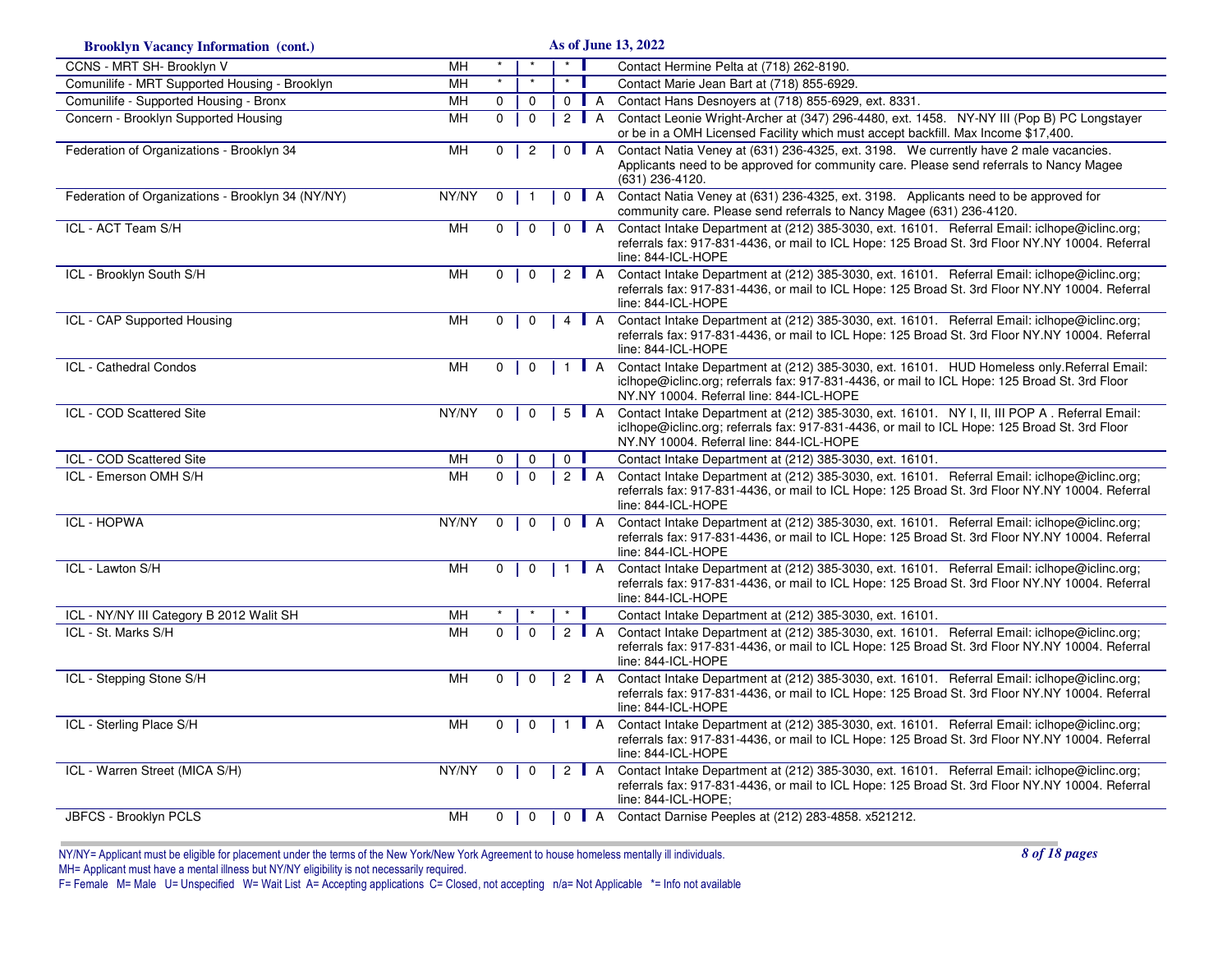| <b>Brooklyn Vacancy Information (cont.)</b>       |           |              |                |              |                    |                  |   | As of June 13, 2022                                                                                                                                                                                                                        |
|---------------------------------------------------|-----------|--------------|----------------|--------------|--------------------|------------------|---|--------------------------------------------------------------------------------------------------------------------------------------------------------------------------------------------------------------------------------------------|
| <b>CCNS - MRT SH- Brooklyn V</b>                  | MH        |              |                |              | $\star$            |                  |   | Contact Hermine Pelta at (718) 262-8190.                                                                                                                                                                                                   |
| Comunilife - MRT Supported Housing - Brooklyn     | MH        |              |                |              | $\star$            |                  |   | Contact Marie Jean Bart at (718) 855-6929.                                                                                                                                                                                                 |
| Comunilife - Supported Housing - Bronx            | <b>MH</b> | $\mathbf 0$  |                | $\mathbf 0$  | $0$   A            |                  |   | Contact Hans Desnoyers at (718) 855-6929, ext. 8331.                                                                                                                                                                                       |
| Concern - Brooklyn Supported Housing              | MH        | $\mathbf 0$  | $\mathbf 0$    |              | 2 $\blacksquare$ A |                  |   | Contact Leonie Wright-Archer at (347) 296-4480, ext. 1458. NY-NY III (Pop B) PC Longstayer<br>or be in a OMH Licensed Facility which must accept backfill. Max Income \$17,400.                                                            |
| Federation of Organizations - Brooklyn 34         | MH        | $\Omega$     | $\overline{c}$ |              | $0$ $A$            |                  |   | Contact Natia Veney at (631) 236-4325, ext. 3198. We currently have 2 male vacancies.<br>Applicants need to be approved for community care. Please send referrals to Nancy Magee<br>$(631)$ 236-4120.                                      |
| Federation of Organizations - Brooklyn 34 (NY/NY) | NY/NY     | $\mathbf 0$  |                |              | $\mathbf 0$        | $\blacksquare$ A |   | Contact Natia Veney at (631) 236-4325, ext. 3198. Applicants need to be approved for<br>community care. Please send referrals to Nancy Magee (631) 236-4120.                                                                               |
| ICL - ACT Team S/H                                | MH        | 0            | 0              |              | $\Omega$           | $\blacksquare$ A |   | Contact Intake Department at (212) 385-3030, ext. 16101. Referral Email: iclhope@iclinc.org;<br>referrals fax: 917-831-4436, or mail to ICL Hope: 125 Broad St. 3rd Floor NY.NY 10004. Referral<br>line: 844-ICL-HOPE                      |
| ICL - Brooklyn South S/H                          | MH        | 0            | $\mathbf 0$    |              | 2 $\blacksquare$ A |                  |   | Contact Intake Department at (212) 385-3030, ext. 16101. Referral Email: iclhope@iclinc.org;<br>referrals fax: 917-831-4436, or mail to ICL Hope: 125 Broad St. 3rd Floor NY.NY 10004. Referral<br>line: 844-ICL-HOPE                      |
| <b>ICL - CAP Supported Housing</b>                | MH        | $\Omega$     | $\Omega$       |              | 4   A              |                  |   | Contact Intake Department at (212) 385-3030, ext. 16101. Referral Email: iclhope@iclinc.org;<br>referrals fax: 917-831-4436, or mail to ICL Hope: 125 Broad St. 3rd Floor NY.NY 10004. Referral<br>line: 844-ICL-HOPE                      |
| ICL - Cathedral Condos                            | MH        | $\mathbf 0$  | $\mathbf 0$    |              | $\mathbf{1}$       | $\blacksquare$ A |   | Contact Intake Department at (212) 385-3030, ext. 16101. HUD Homeless only Referral Email:<br>iclhope@iclinc.org; referrals fax: 917-831-4436, or mail to ICL Hope: 125 Broad St. 3rd Floor<br>NY.NY 10004. Referral line: 844-ICL-HOPE    |
| ICL - COD Scattered Site                          | NY/NY     | 0            | 0              |              | $5$ $A$            |                  |   | Contact Intake Department at (212) 385-3030, ext. 16101. NY I, II, III POP A. Referral Email:<br>iclhope@iclinc.org; referrals fax: 917-831-4436, or mail to ICL Hope: 125 Broad St. 3rd Floor<br>NY.NY 10004. Referral line: 844-ICL-HOPE |
| ICL - COD Scattered Site                          | <b>MH</b> | $\Omega$     | O              |              | 0                  |                  |   | Contact Intake Department at (212) 385-3030, ext. 16101.                                                                                                                                                                                   |
| ICL - Emerson OMH S/H                             | <b>MH</b> | $\Omega$     | $\Omega$       |              | 2 $\blacksquare$ A |                  |   | Contact Intake Department at (212) 385-3030, ext. 16101. Referral Email: iclhope@iclinc.org;<br>referrals fax: 917-831-4436, or mail to ICL Hope: 125 Broad St. 3rd Floor NY.NY 10004. Referral<br>line: 844-ICL-HOPE                      |
| <b>ICL - HOPWA</b>                                | NY/NY     | $\Omega$     | $\Omega$       |              | $0$   A            |                  |   | Contact Intake Department at (212) 385-3030, ext. 16101. Referral Email: iclhope@iclinc.org;<br>referrals fax: 917-831-4436, or mail to ICL Hope: 125 Broad St. 3rd Floor NY.NY 10004. Referral<br>line: 844-ICL-HOPE                      |
| ICL - Lawton S/H                                  | MH        | $\mathbf 0$  | $\mathbf 0$    |              | $1$ A              |                  |   | Contact Intake Department at (212) 385-3030, ext. 16101. Referral Email: iclhope@iclinc.org;<br>referrals fax: 917-831-4436, or mail to ICL Hope: 125 Broad St. 3rd Floor NY.NY 10004. Referral<br>line: 844-ICL-HOPE                      |
| ICL - NY/NY III Category B 2012 Walit SH          | MН        |              |                |              |                    |                  |   | Contact Intake Department at (212) 385-3030, ext. 16101.                                                                                                                                                                                   |
| ICL - St. Marks S/H                               | <b>MH</b> | $\Omega$     |                | $\mathbf{0}$ | $\overline{2}$     |                  | A | Contact Intake Department at (212) 385-3030, ext. 16101. Referral Email: iclhope@iclinc.org;<br>referrals fax: 917-831-4436, or mail to ICL Hope: 125 Broad St. 3rd Floor NY.NY 10004. Referral<br>line: 844-ICL-HOPE                      |
| ICL - Stepping Stone S/H                          | MH        | 0            | $\Omega$       |              | 2 $\blacksquare$ A |                  |   | Contact Intake Department at (212) 385-3030, ext. 16101. Referral Email: iclhope@iclinc.org;<br>referrals fax: 917-831-4436, or mail to ICL Hope: 125 Broad St. 3rd Floor NY.NY 10004. Referral<br>line: 844-ICL-HOPE                      |
| ICL - Sterling Place S/H                          | MH        | $\mathbf{0}$ | $\mathbf 0$    |              | $1$ $A$            |                  |   | Contact Intake Department at (212) 385-3030, ext. 16101. Referral Email: iclhope@iclinc.org;<br>referrals fax: 917-831-4436, or mail to ICL Hope: 125 Broad St. 3rd Floor NY.NY 10004. Referral<br>line: 844-ICL-HOPE                      |
| ICL - Warren Street (MICA S/H)                    | NY/NY     | $\mathbf{0}$ | $\mathbf 0$    |              | 2 $\blacksquare$ A |                  |   | Contact Intake Department at (212) 385-3030, ext. 16101. Referral Email: iclhope@iclinc.org;<br>referrals fax: 917-831-4436, or mail to ICL Hope: 125 Broad St. 3rd Floor NY.NY 10004. Referral<br>line: 844-ICL-HOPE;                     |
| JBFCS - Brooklyn PCLS                             | MH        | 0            | $\mathbf 0$    |              |                    |                  |   | 0 A Contact Darnise Peeples at (212) 283-4858. x521212.                                                                                                                                                                                    |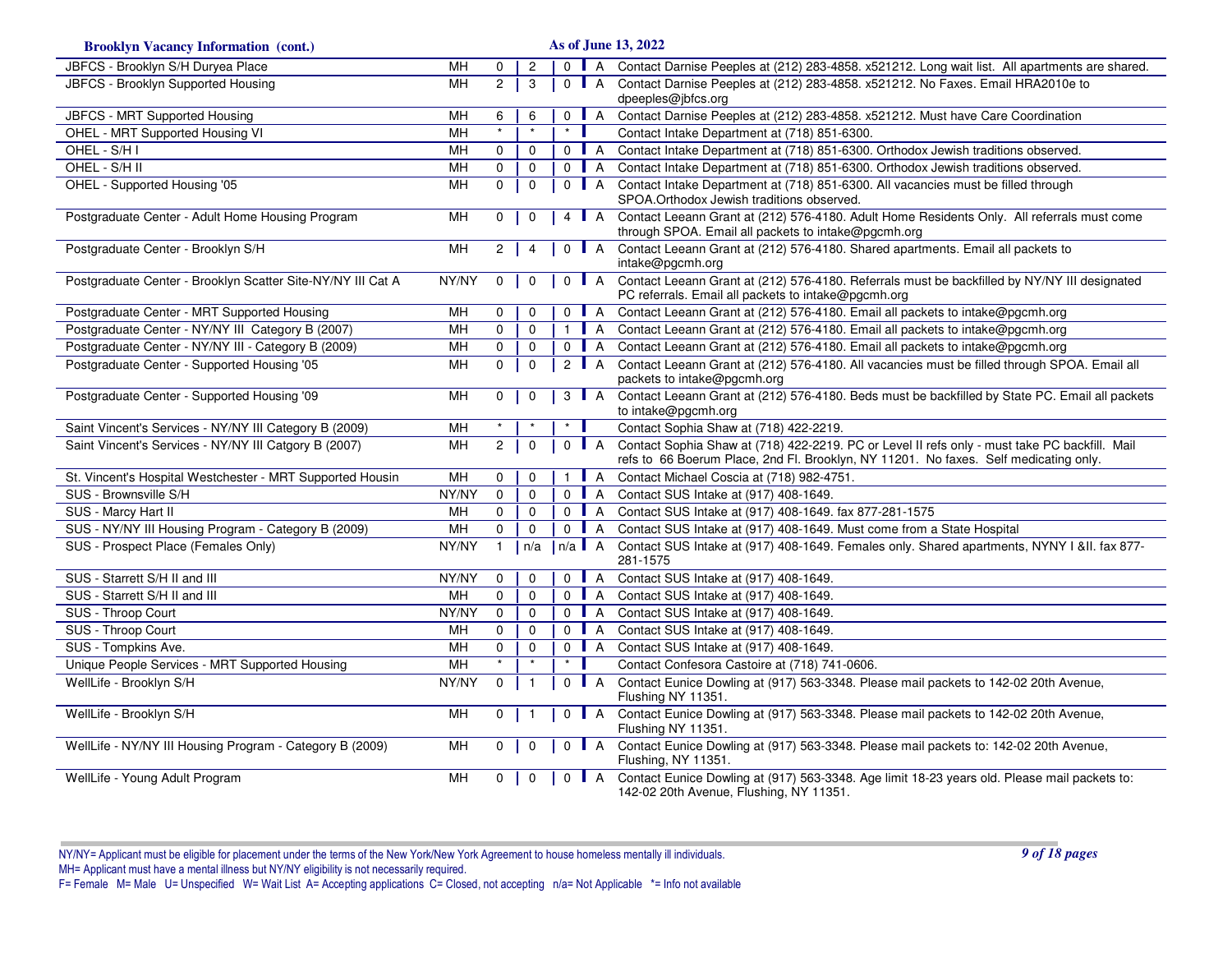| <b>Brooklyn Vacancy Information (cont.)</b>                 | As of June 13, 2022 |                |                |                |                              |                                                                                                                                                                                       |  |
|-------------------------------------------------------------|---------------------|----------------|----------------|----------------|------------------------------|---------------------------------------------------------------------------------------------------------------------------------------------------------------------------------------|--|
| JBFCS - Brooklyn S/H Duryea Place                           | MH                  | 0              | $\overline{c}$ |                | $0$   A                      | Contact Darnise Peeples at (212) 283-4858. x521212. Long wait list. All apartments are shared.                                                                                        |  |
| JBFCS - Brooklyn Supported Housing                          | MН                  | 2 <sup>1</sup> | 3              |                | $0$ $A$                      | Contact Darnise Peeples at (212) 283-4858. x521212. No Faxes. Email HRA2010e to<br>dpeeples@jbfcs.org                                                                                 |  |
| JBFCS - MRT Supported Housing                               | MH                  | 6              | 6              |                | $0$ $A$                      | Contact Darnise Peeples at (212) 283-4858. x521212. Must have Care Coordination                                                                                                       |  |
| OHEL - MRT Supported Housing VI                             | MH                  | $\star$        |                |                |                              | Contact Intake Department at (718) 851-6300.                                                                                                                                          |  |
| OHEL - S/H I                                                | MH                  | $\mathbf 0$    | $\mathbf{0}$   |                | $0$ $A$                      | Contact Intake Department at (718) 851-6300. Orthodox Jewish traditions observed.                                                                                                     |  |
| OHEL - S/H II                                               | MH                  | $\mathbf 0$    | $\mathbf 0$    |                | $0$ $A$                      | Contact Intake Department at (718) 851-6300. Orthodox Jewish traditions observed.                                                                                                     |  |
| OHEL - Supported Housing '05                                | MH                  | $\mathbf{0}$   | $\mathbf 0$    | $\mathbf{0}$   | $\blacksquare$ A             | Contact Intake Department at (718) 851-6300. All vacancies must be filled through<br>SPOA. Orthodox Jewish traditions observed.                                                       |  |
| Postgraduate Center - Adult Home Housing Program            | MH                  | $\mathbf{0}$   | $\mathbf 0$    | $\overline{4}$ | $\mathsf{L}$ A               | Contact Leeann Grant at (212) 576-4180. Adult Home Residents Only. All referrals must come<br>through SPOA. Email all packets to intake@pgcmh.org                                     |  |
| Postgraduate Center - Brooklyn S/H                          | M <sub>H</sub>      | $\overline{2}$ | $\overline{4}$ | $\mathsf{O}$   | $\blacksquare$ A             | Contact Leeann Grant at (212) 576-4180. Shared apartments. Email all packets to<br>intake@pgcmh.org                                                                                   |  |
| Postgraduate Center - Brooklyn Scatter Site-NY/NY III Cat A | NY/NY               | $\overline{0}$ | $\mathbf 0$    | $\Omega$       | $\blacksquare$ A             | Contact Leeann Grant at (212) 576-4180. Referrals must be backfilled by NY/NY III designated<br>PC referrals. Email all packets to intake@pgcmh.org                                   |  |
| Postgraduate Center - MRT Supported Housing                 | MH                  | 0              | 0              | $\mathbf 0$    | $\mathsf{A}$                 | Contact Leeann Grant at (212) 576-4180. Email all packets to intake@pgcmh.org                                                                                                         |  |
| Postgraduate Center - NY/NY III Category B (2007)           | MH                  | $\mathsf{O}$   | 0              | $\mathbf{1}$   | $\blacksquare$ A             | Contact Leeann Grant at (212) 576-4180. Email all packets to intake@pgcmh.org                                                                                                         |  |
| Postgraduate Center - NY/NY III - Category B (2009)         | MH                  | $\mathbf 0$    | $\mathbf 0$    | $\mathbf{0}$   | A                            | Contact Leeann Grant at (212) 576-4180. Email all packets to intake@pgcmh.org                                                                                                         |  |
| Postgraduate Center - Supported Housing '05                 | MH                  | $\mathbf{0}$   | $\mathbf{0}$   | $\overline{2}$ | $\blacksquare$ A             | Contact Leeann Grant at (212) 576-4180. All vacancies must be filled through SPOA. Email all<br>packets to intake@pgcmh.org                                                           |  |
| Postgraduate Center - Supported Housing '09                 | MH                  | $\mathbf 0$    | $\mathbf 0$    |                | $3 \mid A$                   | Contact Leeann Grant at (212) 576-4180. Beds must be backfilled by State PC. Email all packets<br>to intake@pgcmh.org                                                                 |  |
| Saint Vincent's Services - NY/NY III Category B (2009)      | MH                  |                |                |                |                              | Contact Sophia Shaw at (718) 422-2219.                                                                                                                                                |  |
| Saint Vincent's Services - NY/NY III Catgory B (2007)       | MH                  | $\mathbf{2}$   | $\mathbf 0$    | 0              | $\blacksquare$ A             | Contact Sophia Shaw at (718) 422-2219. PC or Level II refs only - must take PC backfill. Mail<br>refs to 66 Boerum Place, 2nd Fl. Brooklyn, NY 11201. No faxes. Self medicating only. |  |
| St. Vincent's Hospital Westchester - MRT Supported Housin   | MH                  | 0              | 0              | $\mathbf{1}$   | $\overline{A}$               | Contact Michael Coscia at (718) 982-4751.                                                                                                                                             |  |
| SUS - Brownsville S/H                                       | NY/NY               | $\mathbf 0$    | $\mathbf 0$    |                | $0$   A                      | Contact SUS Intake at (917) 408-1649.                                                                                                                                                 |  |
| SUS - Marcy Hart II                                         | MH                  | $\mathbf 0$    | $\mathbf 0$    | $\mathbf{0}$   | $\blacksquare$ A             | Contact SUS Intake at (917) 408-1649. fax 877-281-1575                                                                                                                                |  |
| SUS - NY/NY III Housing Program - Category B (2009)         | MH                  | $\Omega$       | $\Omega$       |                | $0$   A                      | Contact SUS Intake at (917) 408-1649. Must come from a State Hospital                                                                                                                 |  |
| SUS - Prospect Place (Females Only)                         | NY/NY               | $\mathbf{1}$   | n/a            | $\ln/a$ $A$    |                              | Contact SUS Intake at (917) 408-1649. Females only. Shared apartments, NYNY I &II. fax 877-<br>281-1575                                                                               |  |
| SUS - Starrett S/H II and III                               | NY/NY               | 0              | $\mathbf 0$    | $\mathsf{O}$   | A                            | Contact SUS Intake at (917) 408-1649.                                                                                                                                                 |  |
| SUS - Starrett S/H II and III                               | MH                  | $\mathbf 0$    | $\mathbf 0$    |                | $0$ $A$                      | Contact SUS Intake at (917) 408-1649.                                                                                                                                                 |  |
| SUS - Throop Court                                          | NY/NY               | $\mathbf 0$    | $\mathbf 0$    | $\mathbf 0$    | $\overline{A}$               | Contact SUS Intake at (917) 408-1649.                                                                                                                                                 |  |
| SUS - Throop Court                                          | MH                  | 0              | 0              | $\Omega$       | A                            | Contact SUS Intake at (917) 408-1649.                                                                                                                                                 |  |
| SUS - Tompkins Ave.                                         | MH                  | $\mathbf 0$    | $\mathbf 0$    | $\mathbf{0}$   | $\overline{A}$<br><b>III</b> | Contact SUS Intake at (917) 408-1649.                                                                                                                                                 |  |
| Unique People Services - MRT Supported Housing              | MH                  |                |                |                |                              | Contact Confesora Castoire at (718) 741-0606.                                                                                                                                         |  |
| WellLife - Brooklyn S/H                                     | NY/NY               | $\mathbf 0$    | $\overline{1}$ |                | $0$   A                      | Contact Eunice Dowling at (917) 563-3348. Please mail packets to 142-02 20th Avenue,<br>Flushing NY 11351.                                                                            |  |
| WellLife - Brooklyn S/H                                     | MH                  | $\mathbf 0$    |                | $\mathbf 0$    | $\blacksquare$ A             | Contact Eunice Dowling at (917) 563-3348. Please mail packets to 142-02 20th Avenue,<br>Flushing NY 11351.                                                                            |  |
| WellLife - NY/NY III Housing Program - Category B (2009)    | MН                  | $0-1$          | $\mathbf 0$    | $\mathbf 0$    | $\blacksquare$ A             | Contact Eunice Dowling at (917) 563-3348. Please mail packets to: 142-02 20th Avenue,<br>Flushing, NY 11351.                                                                          |  |
| WellLife - Young Adult Program                              | MH                  | 0              | $\mathbf 0$    | $\mathbf 0$    | $\blacksquare$ A             | Contact Eunice Dowling at (917) 563-3348. Age limit 18-23 years old. Please mail packets to:<br>142-02 20th Avenue, Flushing, NY 11351.                                               |  |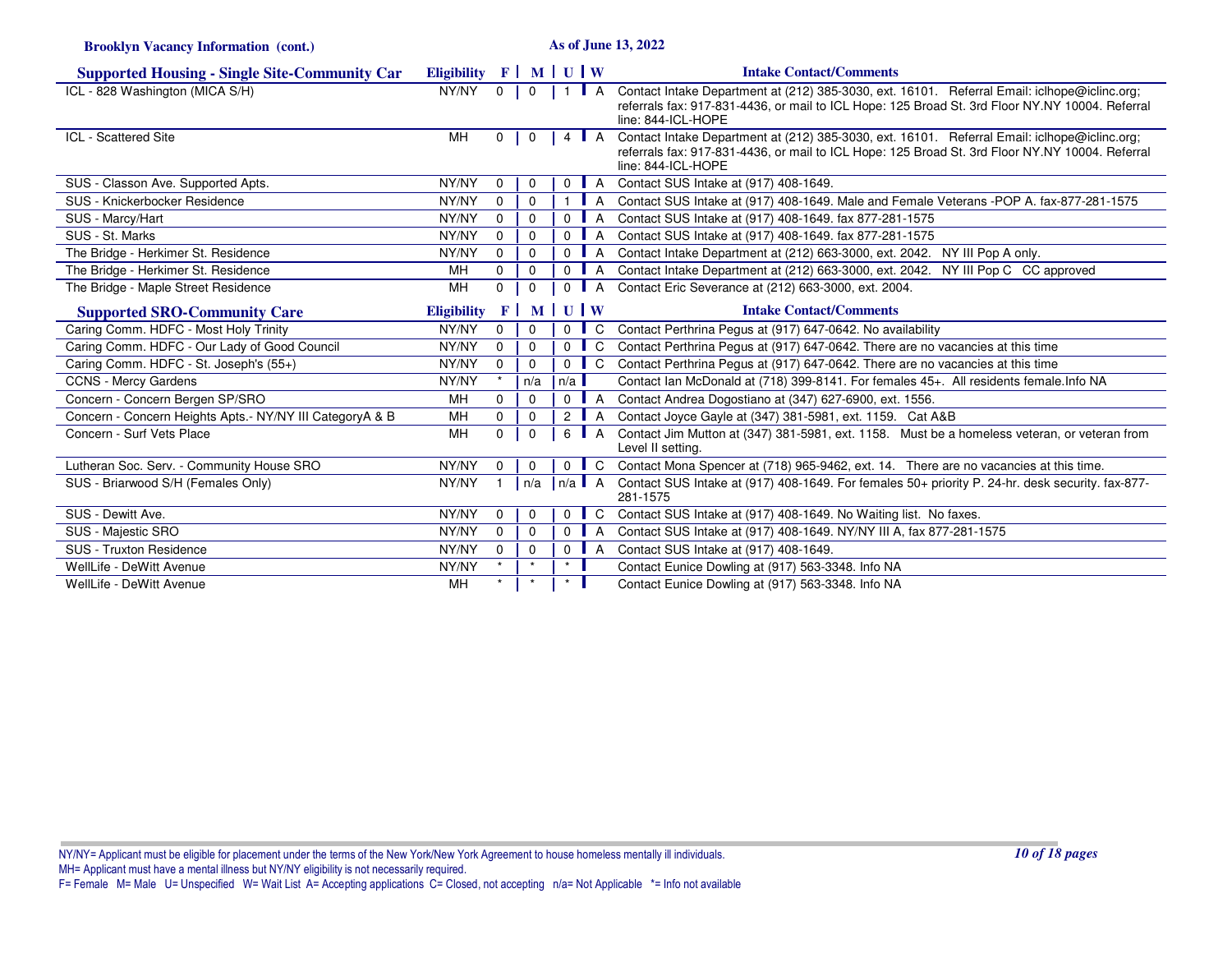**Brooklyn Vacancy Information (cont.)**

**As of June 13, 2022**

| <b>Supported Housing - Single Site-Community Car</b>      | Eligibility F   M   U   W |                |                |                   |                      | <b>Intake Contact/Comments</b>                                                                                                                                                                                        |
|-----------------------------------------------------------|---------------------------|----------------|----------------|-------------------|----------------------|-----------------------------------------------------------------------------------------------------------------------------------------------------------------------------------------------------------------------|
| ICL - 828 Washington (MICA S/H)                           | NY/NY                     | $\overline{0}$ | $\overline{0}$ |                   |                      | Contact Intake Department at (212) 385-3030, ext. 16101. Referral Email: iclhope@iclinc.org;<br>referrals fax: 917-831-4436, or mail to ICL Hope: 125 Broad St. 3rd Floor NY.NY 10004. Referral<br>line: 844-ICL-HOPE |
| <b>ICL - Scattered Site</b>                               | MH                        | $0-1$          | $\Omega$       |                   | 4 <b>A</b>           | Contact Intake Department at (212) 385-3030, ext. 16101. Referral Email: iclhope@iclinc.org;<br>referrals fax: 917-831-4436, or mail to ICL Hope: 125 Broad St. 3rd Floor NY.NY 10004. Referral<br>line: 844-ICL-HOPE |
| SUS - Classon Ave. Supported Apts.                        | NY/NY                     | $\mathbf 0$    | $\Omega$       |                   | $0$   A              | Contact SUS Intake at (917) 408-1649.                                                                                                                                                                                 |
| SUS - Knickerbocker Residence                             | NY/NY                     | $\Omega$       | $\Omega$       |                   | 1   A                | Contact SUS Intake at (917) 408-1649. Male and Female Veterans -POP A. fax-877-281-1575                                                                                                                               |
| SUS - Marcy/Hart                                          | NY/NY                     | $\mathbf 0$    | $\Omega$       | $\Omega$          | A                    | Contact SUS Intake at (917) 408-1649. fax 877-281-1575                                                                                                                                                                |
| SUS - St. Marks                                           | NY/NY                     | $\mathbf 0$    | $\Omega$       | 0 <sup>1</sup>    | A                    | Contact SUS Intake at (917) 408-1649. fax 877-281-1575                                                                                                                                                                |
| The Bridge - Herkimer St. Residence                       | NY/NY                     | $\Omega$       | $\Omega$       |                   | $0$   A              | Contact Intake Department at (212) 663-3000, ext. 2042. NY III Pop A only.                                                                                                                                            |
| The Bridge - Herkimer St. Residence                       | MH                        | 0              | $\Omega$       | $\overline{0}$    |                      | A Contact Intake Department at (212) 663-3000, ext. 2042. NY III Pop C CC approved                                                                                                                                    |
| The Bridge - Maple Street Residence                       | <b>MH</b>                 | $\Omega$       | $\Omega$       |                   |                      | 0   A Contact Eric Severance at (212) 663-3000, ext. 2004.                                                                                                                                                            |
| <b>Supported SRO-Community Care</b>                       | <b>Eligibility</b>        |                |                | $F$ MUW           |                      | <b>Intake Contact/Comments</b>                                                                                                                                                                                        |
| Caring Comm. HDFC - Most Holy Trinity                     | NY/NY                     | $\mathbf{0}$   | $\Omega$       |                   |                      | 0 C Contact Perthrina Pegus at (917) 647-0642. No availability                                                                                                                                                        |
| Caring Comm. HDFC - Our Lady of Good Council              | NY/NY                     | $\mathbf 0$    | $\mathbf 0$    | $\overline{0}$    | C                    | Contact Perthrina Pegus at (917) 647-0642. There are no vacancies at this time                                                                                                                                        |
| Caring Comm. HDFC - St. Joseph's (55+)                    | NY/NY                     | 0              | $\Omega$       | $\overline{0}$    | C <sub>1</sub>       | Contact Perthrina Pegus at (917) 647-0642. There are no vacancies at this time                                                                                                                                        |
| <b>CCNS - Mercy Gardens</b>                               | NY/NY                     |                | n/a            | n/a               |                      | Contact Ian McDonald at (718) 399-8141. For females 45+. All residents female. Info NA                                                                                                                                |
| Concern - Concern Bergen SP/SRO                           | MH                        | 0              |                |                   | $0$ $A$              | Contact Andrea Dogostiano at (347) 627-6900, ext. 1556.                                                                                                                                                               |
| Concern - Concern Heights Apts. - NY/NY III CategoryA & B | <b>MH</b>                 | $\Omega$       | $\Omega$       |                   |                      | 2   A Contact Joyce Gayle at (347) 381-5981, ext. 1159. Cat A&B                                                                                                                                                       |
| Concern - Surf Vets Place                                 | MH                        | $\Omega$       | $\Omega$       |                   | 6   A                | Contact Jim Mutton at (347) 381-5981, ext. 1158. Must be a homeless veteran, or veteran from<br>Level II setting.                                                                                                     |
| Lutheran Soc. Serv. - Community House SRO                 | NY/NY                     | $\Omega$       |                |                   | $0$ $\blacksquare$ C | Contact Mona Spencer at (718) 965-9462, ext. 14. There are no vacancies at this time.                                                                                                                                 |
| SUS - Briarwood S/H (Females Only)                        | NY/NY                     |                |                | $n/a$   $n/a$   A |                      | Contact SUS Intake at (917) 408-1649. For females 50+ priority P. 24-hr. desk security. fax-877-<br>281-1575                                                                                                          |
| SUS - Dewitt Ave.                                         | NY/NY                     | $\mathbf 0$    | 0              |                   |                      | 0 C Contact SUS Intake at (917) 408-1649. No Waiting list. No faxes.                                                                                                                                                  |
| SUS - Majestic SRO                                        | NY/NY                     | $\mathbf 0$    | $\Omega$       | $\overline{0}$    | A                    | Contact SUS Intake at (917) 408-1649. NY/NY III A, fax 877-281-1575                                                                                                                                                   |
| SUS - Truxton Residence                                   | NY/NY                     | $\mathbf 0$    | 0              |                   | $0$   A              | Contact SUS Intake at (917) 408-1649.                                                                                                                                                                                 |
| WellLife - DeWitt Avenue                                  | NY/NY                     | $\star$        | $\star$        | $\star$           |                      | Contact Eunice Dowling at (917) 563-3348. Info NA                                                                                                                                                                     |
| WellLife - DeWitt Avenue                                  | MН                        |                |                | $\star$           |                      | Contact Eunice Dowling at (917) 563-3348. Info NA                                                                                                                                                                     |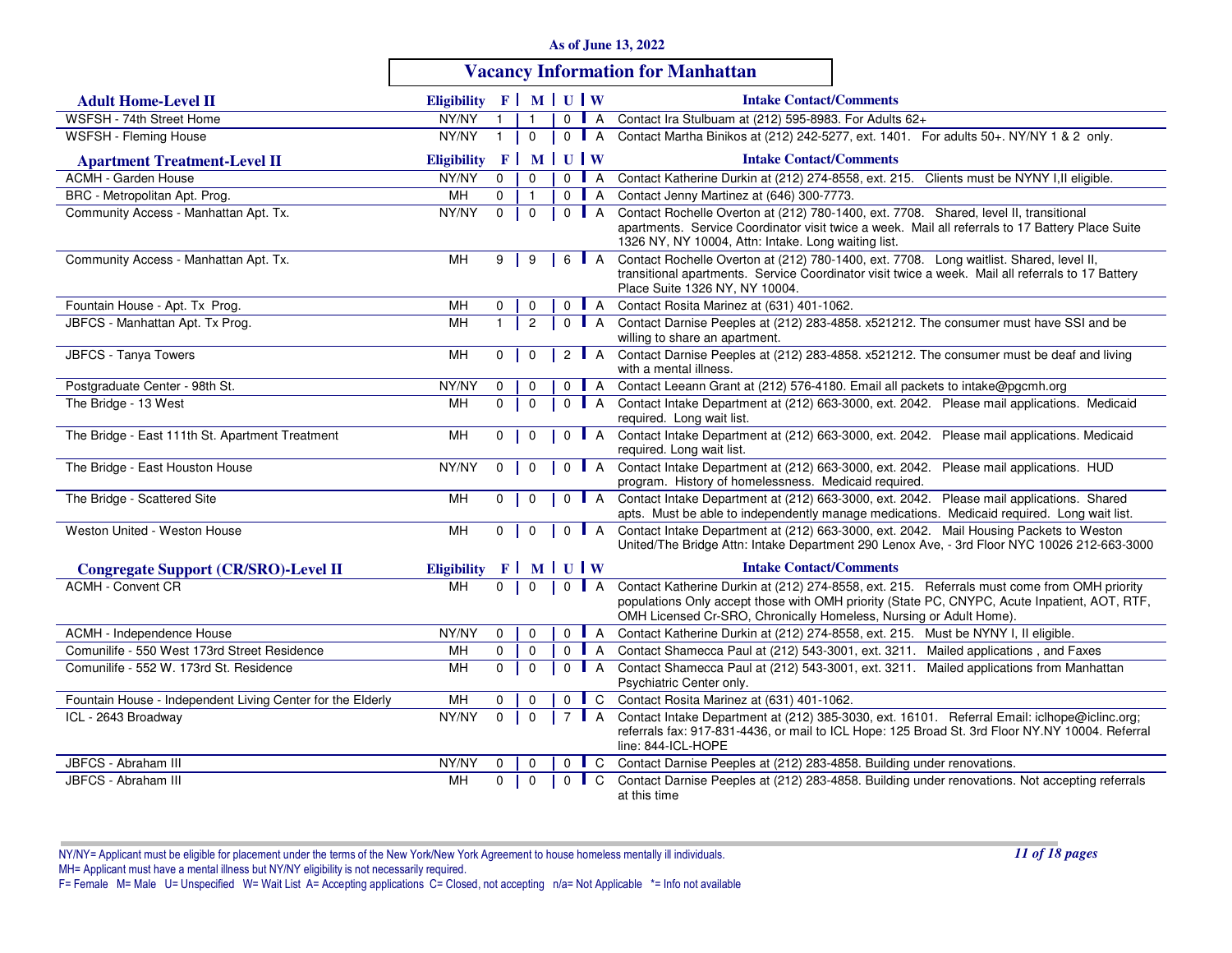|  |  |  |  |  |  | <b>As of June 13, 2022</b> |
|--|--|--|--|--|--|----------------------------|
|--|--|--|--|--|--|----------------------------|

# **Vacancy Information for Manhattan**

| <b>Adult Home-Level II</b>                                 | Eligibility $F \mid M \mid U \mid W$ |                |                |                    |                  | <b>Intake Contact/Comments</b>                                                                                                                                                                                                                                    |
|------------------------------------------------------------|--------------------------------------|----------------|----------------|--------------------|------------------|-------------------------------------------------------------------------------------------------------------------------------------------------------------------------------------------------------------------------------------------------------------------|
| WSFSH - 74th Street Home                                   | NY/NY                                | $\mathbf{1}$   | $\mathbf{1}$   | $0$ $A$            |                  | Contact Ira Stulbuam at (212) 595-8983. For Adults 62+                                                                                                                                                                                                            |
| WSFSH - Fleming House                                      | NY/NY                                | $\mathbf{1}$   | $\mathbf 0$    | $0$ $A$            |                  | Contact Martha Binikos at (212) 242-5277, ext. 1401. For adults 50+. NY/NY 1 & 2 only.                                                                                                                                                                            |
| <b>Apartment Treatment-Level II</b>                        | <b>Eligibility</b>                   | F <sup>2</sup> |                | MUW                |                  | <b>Intake Contact/Comments</b>                                                                                                                                                                                                                                    |
| <b>ACMH - Garden House</b>                                 | NY/NY                                | $\mathbf 0$    | $\Omega$       | $\mathbf{0}$       | $\blacksquare$ A | Contact Katherine Durkin at (212) 274-8558, ext. 215. Clients must be NYNY I, Il eligible.                                                                                                                                                                        |
| BRC - Metropolitan Apt. Prog.                              | MН                                   | $\mathbf{0}$   | $\mathbf{1}$   |                    | $0$ $A$          | Contact Jenny Martinez at (646) 300-7773.                                                                                                                                                                                                                         |
| Community Access - Manhattan Apt. Tx.                      | NY/NY                                | $\Omega$       | $\mathbf{0}$   | $0$ $A$            |                  | Contact Rochelle Overton at (212) 780-1400, ext. 7708. Shared, level II, transitional<br>apartments. Service Coordinator visit twice a week. Mail all referrals to 17 Battery Place Suite<br>1326 NY, NY 10004, Attn: Intake. Long waiting list.                  |
| Community Access - Manhattan Apt. Tx.                      | MН                                   | 9              | 9              |                    | 6   A            | Contact Rochelle Overton at (212) 780-1400, ext. 7708. Long waitlist. Shared, level II,<br>transitional apartments. Service Coordinator visit twice a week. Mail all referrals to 17 Battery<br>Place Suite 1326 NY, NY 10004.                                    |
| Fountain House - Apt. Tx Prog.                             | MН                                   | 0              | 0              | $\mathbf{0}$       | $\blacksquare$ A | Contact Rosita Marinez at (631) 401-1062.                                                                                                                                                                                                                         |
| JBFCS - Manhattan Apt. Tx Prog.                            | MH                                   | $\mathbf{1}$   | $\overline{c}$ |                    | $0$ $A$          | Contact Darnise Peeples at (212) 283-4858. x521212. The consumer must have SSI and be<br>willing to share an apartment.                                                                                                                                           |
| JBFCS - Tanya Towers                                       | MН                                   | $\Omega$       | $\Omega$       | 2 $\blacksquare$ A |                  | Contact Darnise Peeples at (212) 283-4858. x521212. The consumer must be deaf and living<br>with a mental illness.                                                                                                                                                |
| Postgraduate Center - 98th St.                             | NY/NY                                | $\mathbf 0$    | $\mathbf 0$    |                    | $0$   A          | Contact Leeann Grant at (212) 576-4180. Email all packets to intake@pgcmh.org                                                                                                                                                                                     |
| The Bridge - 13 West                                       | MН                                   | $\mathbf 0$    | $\mathbf 0$    |                    | $0$ $A$          | Contact Intake Department at (212) 663-3000, ext. 2042. Please mail applications. Medicaid<br>required. Long wait list.                                                                                                                                           |
| The Bridge - East 111th St. Apartment Treatment            | MН                                   | $\mathbf{0}$   | $\mathbf 0$    | $\mathbf 0$        | $\blacksquare$ A | Contact Intake Department at (212) 663-3000, ext. 2042. Please mail applications. Medicaid<br>required. Long wait list.                                                                                                                                           |
| The Bridge - East Houston House                            | NY/NY                                | $\Omega$       | $\mathbf 0$    | $\Omega$           | $\mathsf{A}$     | Contact Intake Department at (212) 663-3000, ext. 2042. Please mail applications. HUD<br>program. History of homelessness. Medicaid required.                                                                                                                     |
| The Bridge - Scattered Site                                | MH                                   | $\Omega$       | $\mathbf 0$    | $0$ $A$            |                  | Contact Intake Department at (212) 663-3000, ext. 2042. Please mail applications. Shared<br>apts. Must be able to independently manage medications. Medicaid required. Long wait list.                                                                            |
| Weston United - Weston House                               | MН                                   | $\mathbf{0}$   | $\mathbf 0$    | $\Omega$           | $\blacksquare$ A | Contact Intake Department at (212) 663-3000, ext. 2042. Mail Housing Packets to Weston<br>United/The Bridge Attn: Intake Department 290 Lenox Ave, - 3rd Floor NYC 10026 212-663-3000                                                                             |
| <b>Congregate Support (CR/SRO)-Level II</b>                | <b>Eligibility</b>                   |                | $F$ MUUW       |                    |                  | <b>Intake Contact/Comments</b>                                                                                                                                                                                                                                    |
| <b>ACMH - Convent CR</b>                                   | <b>MH</b>                            | $\mathbf 0$    | $\mathbf 0$    | $0$   A            |                  | Contact Katherine Durkin at (212) 274-8558, ext. 215. Referrals must come from OMH priority<br>populations Only accept those with OMH priority (State PC, CNYPC, Acute Inpatient, AOT, RTF,<br>OMH Licensed Cr-SRO, Chronically Homeless, Nursing or Adult Home). |
| ACMH - Independence House                                  | NY/NY                                | $\Omega$       | $\Omega$       |                    | $0$ $A$          | Contact Katherine Durkin at (212) 274-8558, ext. 215. Must be NYNY I, II eligible.                                                                                                                                                                                |
| Comunilife - 550 West 173rd Street Residence               | MН                                   | $\mathbf 0$    | $\mathbf 0$    |                    | $0$ $A$          | Contact Shamecca Paul at (212) 543-3001, ext. 3211. Mailed applications, and Faxes                                                                                                                                                                                |
| Comunilife - 552 W. 173rd St. Residence                    | MН                                   | $\mathbf 0$    | $\mathbf 0$    | $0$ $A$            |                  | Contact Shamecca Paul at (212) 543-3001, ext. 3211. Mailed applications from Manhattan<br>Psychiatric Center only.                                                                                                                                                |
| Fountain House - Independent Living Center for the Elderly | MН                                   | $\Omega$       | $\Omega$       | $\Omega$           | $\mathsf{L}$ C   | Contact Rosita Marinez at (631) 401-1062.                                                                                                                                                                                                                         |
| ICL - 2643 Broadway                                        | NY/NY                                | $\Omega$       | $\mathbf 0$    | 7 <b>A</b>         |                  | Contact Intake Department at (212) 385-3030, ext. 16101. Referral Email: iclhope@iclinc.org;<br>referrals fax: 917-831-4436, or mail to ICL Hope: 125 Broad St. 3rd Floor NY.NY 10004. Referral<br>line: 844-ICL-HOPE                                             |
| JBFCS - Abraham III                                        | NY/NY                                | 0              | 0              | $\mathbf 0$        | $\blacksquare$ C | Contact Darnise Peeples at (212) 283-4858. Building under renovations.                                                                                                                                                                                            |
| JBFCS - Abraham III                                        | <b>MH</b>                            | $\Omega$       | $\Omega$       | $\mathbf 0$        | $\mathsf{L}$ C   | Contact Darnise Peeples at (212) 283-4858. Building under renovations. Not accepting referrals<br>at this time                                                                                                                                                    |

NY/NY= Applicant must be eligible for placement under the terms of the New York/New York Agreement to house homeless mentally ill individuals.MH= Applicant must have a mental illness but NY/NY eligibility is not necessarily required.<br>F= Female M= Male U= Unspecified W= Wait List A= Accepting applications C= Closed, not accepting n/a= Not Applicable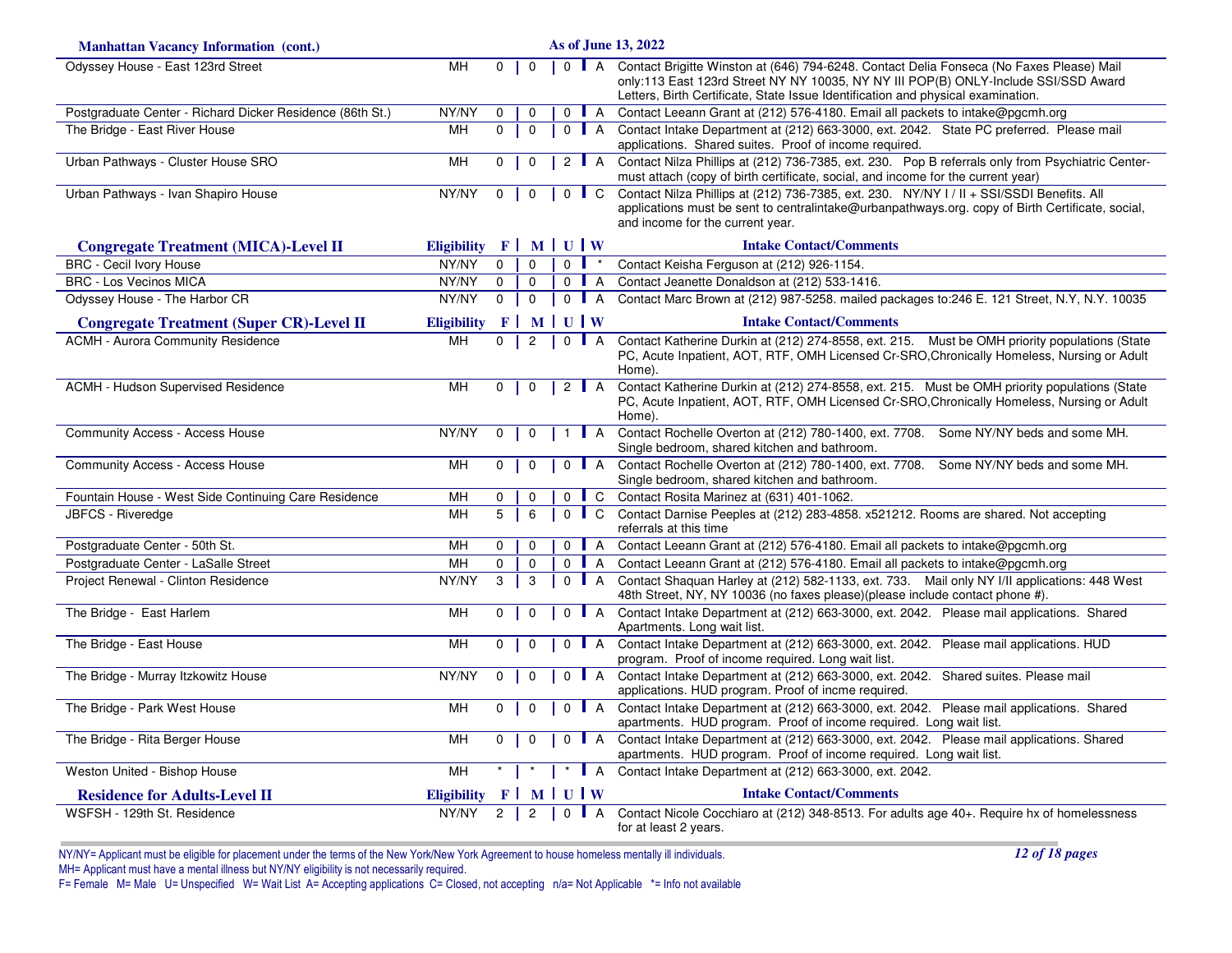| <b>Manhattan Vacancy Information (cont.)</b>              |                                      |                |                     |                |                    | As of June 13, 2022                                                                                                                                                                                                                                                 |
|-----------------------------------------------------------|--------------------------------------|----------------|---------------------|----------------|--------------------|---------------------------------------------------------------------------------------------------------------------------------------------------------------------------------------------------------------------------------------------------------------------|
| Odyssey House - East 123rd Street                         | <b>MH</b>                            | $\mathbf 0$    | $\mathbf 0$         |                | $0$ $A$            | Contact Brigitte Winston at (646) 794-6248. Contact Delia Fonseca (No Faxes Please) Mail<br>only:113 East 123rd Street NY NY 10035, NY NY III POP(B) ONLY-Include SSI/SSD Award<br>Letters, Birth Certificate, State Issue Identification and physical examination. |
| Postgraduate Center - Richard Dicker Residence (86th St.) | NY/NY                                | $\mathbf 0$    | $\mathbf 0$         | $\mathbf 0$    | $\blacksquare$ A   | Contact Leeann Grant at (212) 576-4180. Email all packets to intake@pgcmh.org                                                                                                                                                                                       |
| The Bridge - East River House                             | MН                                   | $\Omega$       | $\Omega$            |                | $0$ $A$            | Contact Intake Department at (212) 663-3000, ext. 2042. State PC preferred. Please mail<br>applications. Shared suites. Proof of income required.                                                                                                                   |
| Urban Pathways - Cluster House SRO                        | MН                                   | $\mathbf 0$    | $\mathbf 0$         |                | 2 $\blacksquare$ A | Contact Nilza Phillips at (212) 736-7385, ext. 230. Pop B referrals only from Psychiatric Center-<br>must attach (copy of birth certificate, social, and income for the current year)                                                                               |
| Urban Pathways - Ivan Shapiro House                       | NY/NY                                | $\mathbf 0$    | $\mathbf 0$         |                | $0 \parallel C$    | Contact Nilza Phillips at (212) 736-7385, ext. 230. NY/NY I / II + SSI/SSDI Benefits. All<br>applications must be sent to centralintake@urbanpathways.org. copy of Birth Certificate, social,<br>and income for the current year.                                   |
| <b>Congregate Treatment (MICA)-Level II</b>               | Eligibility $F \mid M \mid U \mid W$ |                |                     |                |                    | <b>Intake Contact/Comments</b>                                                                                                                                                                                                                                      |
| <b>BRC</b> - Cecil Ivory House                            | NY/NY                                | $\mathbf{0}$   | $\mathbf 0$         | $\overline{0}$ | $\star$            | Contact Keisha Ferguson at (212) 926-1154.                                                                                                                                                                                                                          |
| <b>BRC - Los Vecinos MICA</b>                             | NY/NY                                | $\mathbf 0$    | $\mathbf{0}$        |                | $0$ $A$            | Contact Jeanette Donaldson at (212) 533-1416.                                                                                                                                                                                                                       |
| Odyssey House - The Harbor CR                             | NY/NY                                | $\mathsf{O}$   | $\mathsf{O}\xspace$ |                | $0$ $A$            | Contact Marc Brown at (212) 987-5258. mailed packages to: 246 E. 121 Street, N.Y, N.Y. 10035                                                                                                                                                                        |
| <b>Congregate Treatment (Super CR)-Level II</b>           | <b>Eligibility</b>                   |                | $F$ MUUW            |                |                    | <b>Intake Contact/Comments</b>                                                                                                                                                                                                                                      |
| <b>ACMH - Aurora Community Residence</b>                  | MH                                   | $\overline{0}$ | $\overline{c}$      |                | $0$ $A$            | Contact Katherine Durkin at (212) 274-8558, ext. 215. Must be OMH priority populations (State<br>PC, Acute Inpatient, AOT, RTF, OMH Licensed Cr-SRO, Chronically Homeless, Nursing or Adult<br>Home).                                                               |
| <b>ACMH - Hudson Supervised Residence</b>                 | MH                                   | $\mathbf 0$    | $\mathbf 0$         |                | 2 $\blacksquare$ A | Contact Katherine Durkin at (212) 274-8558, ext. 215. Must be OMH priority populations (State<br>PC, Acute Inpatient, AOT, RTF, OMH Licensed Cr-SRO, Chronically Homeless, Nursing or Adult<br>Home).                                                               |
| <b>Community Access - Access House</b>                    | NY/NY                                | $\mathbf 0$    | $\mathbf 0$         |                | $\mathsf{A}$       | Contact Rochelle Overton at (212) 780-1400, ext. 7708. Some NY/NY beds and some MH.<br>Single bedroom, shared kitchen and bathroom.                                                                                                                                 |
| <b>Community Access - Access House</b>                    | <b>MH</b>                            | $\mathbf 0$    | $\mathbf 0$         | $\Omega$       | $\mathsf{A}$       | Contact Rochelle Overton at (212) 780-1400, ext. 7708. Some NY/NY beds and some MH.<br>Single bedroom, shared kitchen and bathroom.                                                                                                                                 |
| Fountain House - West Side Continuing Care Residence      | <b>MH</b>                            | $\mathbf 0$    | $\mathbf 0$         | $\mathbf 0$    | $\blacksquare$ C   | Contact Rosita Marinez at (631) 401-1062.                                                                                                                                                                                                                           |
| JBFCS - Riveredge                                         | MН                                   | 5              | 6                   |                | $0 \parallel C$    | Contact Darnise Peeples at (212) 283-4858. x521212. Rooms are shared. Not accepting<br>referrals at this time                                                                                                                                                       |
| Postgraduate Center - 50th St.                            | MH                                   | $\mathbf 0$    | $\mathbf 0$         |                | $0$ $A$            | Contact Leeann Grant at (212) 576-4180. Email all packets to intake@pgcmh.org                                                                                                                                                                                       |
| Postgraduate Center - LaSalle Street                      | <b>MH</b>                            | 0              | $\mathbf 0$         |                | $0$ $A$            | Contact Leeann Grant at (212) 576-4180. Email all packets to intake@pgcmh.org                                                                                                                                                                                       |
| Project Renewal - Clinton Residence                       | NY/NY                                | 3              | 3                   |                | $0$ A              | Contact Shaquan Harley at (212) 582-1133, ext. 733. Mail only NY I/II applications: 448 West<br>48th Street, NY, NY 10036 (no faxes please)(please include contact phone #).                                                                                        |
| The Bridge - East Harlem                                  | <b>MH</b>                            | $\mathbf 0$    | $\mathbf 0$         |                | $0$ $A$            | Contact Intake Department at (212) 663-3000, ext. 2042. Please mail applications. Shared<br>Apartments. Long wait list.                                                                                                                                             |
| The Bridge - East House                                   | MH                                   | $\mathbf 0$    | $\mathbf 0$         |                | $0$ $A$            | Contact Intake Department at (212) 663-3000, ext. 2042. Please mail applications. HUD<br>program. Proof of income required. Long wait list.                                                                                                                         |
| The Bridge - Murray Itzkowitz House                       | NY/NY                                | $\Omega$       | $\mathbf{0}$        |                | $0$   A            | Contact Intake Department at (212) 663-3000, ext. 2042. Shared suites. Please mail<br>applications. HUD program. Proof of incme required.                                                                                                                           |
| The Bridge - Park West House                              | <b>MH</b>                            | $\Omega$       | $\mathbf 0$         |                | $0$   A            | Contact Intake Department at (212) 663-3000, ext. 2042. Please mail applications. Shared<br>apartments. HUD program. Proof of income required. Long wait list.                                                                                                      |
| The Bridge - Rita Berger House                            | MН                                   | $\mathbf 0$    | $\mathbf 0$         |                | $0$ A              | Contact Intake Department at (212) 663-3000, ext. 2042. Please mail applications. Shared<br>apartments. HUD program. Proof of income required. Long wait list.                                                                                                      |
| Weston United - Bishop House                              | <b>MH</b>                            |                |                     |                | $\blacksquare$ A   | Contact Intake Department at (212) 663-3000, ext. 2042.                                                                                                                                                                                                             |
| <b>Residence for Adults-Level II</b>                      | <b>Eligibility</b>                   |                | $F$ MUUW            |                |                    | <b>Intake Contact/Comments</b>                                                                                                                                                                                                                                      |
| WSFSH - 129th St. Residence                               | NY/NY                                | $\overline{2}$ | 2                   | $\Omega$       | $\overline{A}$     | Contact Nicole Cocchiaro at (212) 348-8513. For adults age 40+. Require hx of homelessness<br>for at least 2 years.                                                                                                                                                 |

*12 of 18 pages*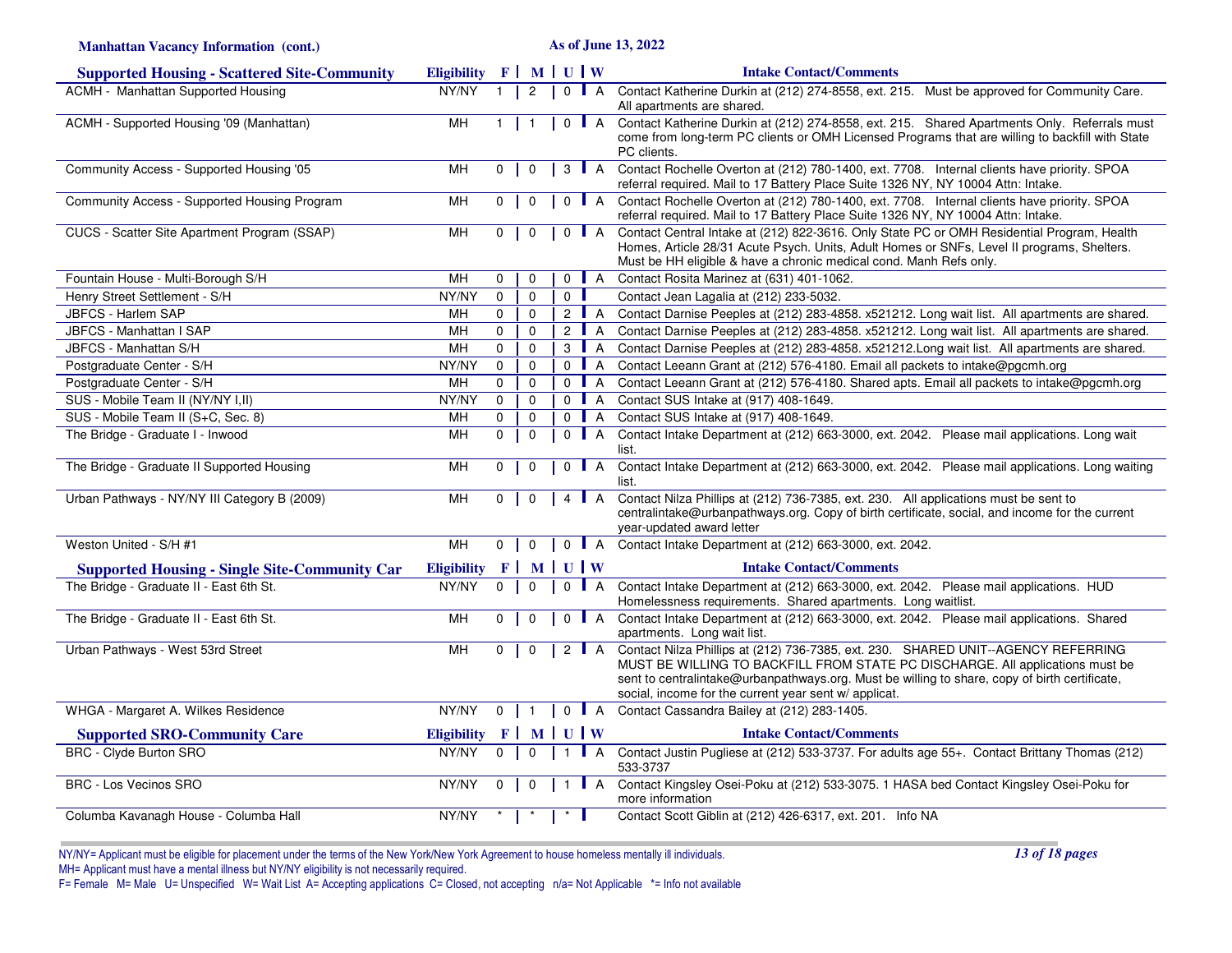| <b>Manhattan Vacancy Information (cont.)</b>         |                                      |                |                |                |                    | As of June 13, 2022                                                                                                                                                                                                                                                                                                          |
|------------------------------------------------------|--------------------------------------|----------------|----------------|----------------|--------------------|------------------------------------------------------------------------------------------------------------------------------------------------------------------------------------------------------------------------------------------------------------------------------------------------------------------------------|
| <b>Supported Housing - Scattered Site-Community</b>  | Eligibility $F \mid M \mid U \mid W$ |                |                |                |                    | <b>Intake Contact/Comments</b>                                                                                                                                                                                                                                                                                               |
| <b>ACMH - Manhattan Supported Housing</b>            | NY/NY                                |                | 2              | $\mathbf 0$    | $\blacksquare$ A   | Contact Katherine Durkin at (212) 274-8558, ext. 215. Must be approved for Community Care.<br>All apartments are shared.                                                                                                                                                                                                     |
| ACMH - Supported Housing '09 (Manhattan)             | <b>MH</b>                            | $\mathbf{1}$   | $\overline{1}$ |                | $0$ $A$            | Contact Katherine Durkin at (212) 274-8558, ext. 215. Shared Apartments Only. Referrals must<br>come from long-term PC clients or OMH Licensed Programs that are willing to backfill with State<br>PC clients.                                                                                                               |
| Community Access - Supported Housing '05             | MH                                   | $\mathbf{0}$   | $\mathbf{0}$   |                | $3 \parallel A$    | Contact Rochelle Overton at (212) 780-1400, ext. 7708. Internal clients have priority. SPOA<br>referral required. Mail to 17 Battery Place Suite 1326 NY, NY 10004 Attn: Intake.                                                                                                                                             |
| Community Access - Supported Housing Program         | MH                                   | $\mathbf 0$    | $\mathbf{0}$   |                | $0$ $A$            | Contact Rochelle Overton at (212) 780-1400, ext. 7708. Internal clients have priority. SPOA<br>referral required. Mail to 17 Battery Place Suite 1326 NY, NY 10004 Attn: Intake.                                                                                                                                             |
| CUCS - Scatter Site Apartment Program (SSAP)         | MH                                   | $\Omega$       | $\Omega$       |                | $0$ $A$            | Contact Central Intake at (212) 822-3616. Only State PC or OMH Residential Program, Health<br>Homes, Article 28/31 Acute Psych. Units, Adult Homes or SNFs, Level II programs, Shelters.<br>Must be HH eligible & have a chronic medical cond. Manh Refs only.                                                               |
| Fountain House - Multi-Borough S/H                   | <b>MH</b>                            | 0              | $\mathbf 0$    | $\mathbf 0$    | $\blacksquare$ A   | Contact Rosita Marinez at (631) 401-1062.                                                                                                                                                                                                                                                                                    |
| Henry Street Settlement - S/H                        | NY/NY                                | $\mathbf 0$    | $\mathbf 0$    | $0-1$          |                    | Contact Jean Lagalia at (212) 233-5032.                                                                                                                                                                                                                                                                                      |
| <b>JBFCS - Harlem SAP</b>                            | MH                                   | $\mathbf 0$    | $\mathbf 0$    |                | 2 $\blacksquare$ A | Contact Darnise Peeples at (212) 283-4858. x521212. Long wait list. All apartments are shared.                                                                                                                                                                                                                               |
| JBFCS - Manhattan I SAP                              | MH                                   | $\mathbf 0$    | $\mathbf 0$    | $2^{\prime}$   | A                  | Contact Darnise Peeples at (212) 283-4858. x521212. Long wait list. All apartments are shared.                                                                                                                                                                                                                               |
| JBFCS - Manhattan S/H                                | MH                                   | $\Omega$       | $\mathbf 0$    |                | $3$ $A$            | Contact Darnise Peeples at (212) 283-4858. x521212. Long wait list. All apartments are shared.                                                                                                                                                                                                                               |
| Postgraduate Center - S/H                            | NY/NY                                | $\mathbf 0$    | $\mathbf 0$    | $\mathbf 0$    | $\overline{A}$     | Contact Leeann Grant at (212) 576-4180. Email all packets to intake@pgcmh.org                                                                                                                                                                                                                                                |
| Postgraduate Center - S/H                            | MH                                   | $\mathbf{0}$   | $\mathbf 0$    | 0 <sub>1</sub> | $\overline{A}$     | Contact Leeann Grant at (212) 576-4180. Shared apts. Email all packets to intake@pgcmh.org                                                                                                                                                                                                                                   |
| SUS - Mobile Team II (NY/NY I, II)                   | NY/NY                                | $\mathbf 0$    | $\mathbf 0$    | $\mathbf 0$    | $\overline{A}$     | Contact SUS Intake at (917) 408-1649.                                                                                                                                                                                                                                                                                        |
| SUS - Mobile Team II (S+C, Sec. 8)                   | MH                                   | $\Omega$       | $\Omega$       | $\Omega$       | $\overline{A}$     | Contact SUS Intake at (917) 408-1649.                                                                                                                                                                                                                                                                                        |
| The Bridge - Graduate I - Inwood                     | MH                                   | 0              | $\mathbf 0$    | $\Omega$       | $\mathsf{A}$       | Contact Intake Department at (212) 663-3000, ext. 2042. Please mail applications. Long wait<br>list.                                                                                                                                                                                                                         |
| The Bridge - Graduate II Supported Housing           | MH                                   | $\mathbf 0$    | $\mathbf 0$    | $\mathbf 0$    | $\overline{A}$     | Contact Intake Department at (212) 663-3000, ext. 2042. Please mail applications. Long waiting<br>list.                                                                                                                                                                                                                      |
| Urban Pathways - NY/NY III Category B (2009)         | MH                                   | $0-1$          | $\mathbf 0$    |                | 4   A              | Contact Nilza Phillips at (212) 736-7385, ext. 230. All applications must be sent to<br>centralintake@urbanpathways.org. Copy of birth certificate, social, and income for the current<br>year-updated award letter                                                                                                          |
| Weston United - S/H #1                               | M <sub>H</sub>                       | $\overline{0}$ | $\mathbf{0}$   |                |                    | 0 A Contact Intake Department at (212) 663-3000, ext. 2042.                                                                                                                                                                                                                                                                  |
| <b>Supported Housing - Single Site-Community Car</b> | Eligibility $F \mid M \mid U \mid W$ |                |                |                |                    | <b>Intake Contact/Comments</b>                                                                                                                                                                                                                                                                                               |
| The Bridge - Graduate II - East 6th St.              | NY/NY                                | $\mathbf 0$    | $\mathbf 0$    |                | $0$   A            | Contact Intake Department at (212) 663-3000, ext. 2042. Please mail applications. HUD<br>Homelessness requirements. Shared apartments. Long waitlist.                                                                                                                                                                        |
| The Bridge - Graduate II - East 6th St.              | MH                                   | $\overline{0}$ | $\mathbf{0}$   |                | $0$ $A$            | Contact Intake Department at (212) 663-3000, ext. 2042. Please mail applications. Shared<br>apartments. Long wait list.                                                                                                                                                                                                      |
| Urban Pathways - West 53rd Street                    | MH                                   | 0 <sup>1</sup> | $\mathbf{0}$   |                | $2$ $A$            | Contact Nilza Phillips at (212) 736-7385, ext. 230. SHARED UNIT--AGENCY REFERRING<br>MUST BE WILLING TO BACKFILL FROM STATE PC DISCHARGE. All applications must be<br>sent to centralintake@urbanpathways.org. Must be willing to share, copy of birth certificate,<br>social, income for the current year sent w/ applicat. |
| WHGA - Margaret A. Wilkes Residence                  | NY/NY                                | $0 \mid 1$     |                |                | 0 A                | Contact Cassandra Bailey at (212) 283-1405.                                                                                                                                                                                                                                                                                  |
| <b>Supported SRO-Community Care</b>                  | <b>Eligibility</b>                   | $F$ MUUW       |                |                |                    | <b>Intake Contact/Comments</b>                                                                                                                                                                                                                                                                                               |
| <b>BRC - Clyde Burton SRO</b>                        | NY/NY                                | $\Omega$       | $\mathbf 0$    | $\overline{1}$ |                    | A Contact Justin Pugliese at (212) 533-3737. For adults age 55+. Contact Brittany Thomas (212)<br>533-3737                                                                                                                                                                                                                   |
| <b>BRC - Los Vecinos SRO</b>                         | NY/NY                                | $\mathbf 0$    | $\mathbf 0$    | $\mathbf{1}$   | $\blacksquare$ A   | Contact Kingsley Osei-Poku at (212) 533-3075. 1 HASA bed Contact Kingsley Osei-Poku for<br>more information                                                                                                                                                                                                                  |
| Columba Kavanagh House - Columba Hall                | NY/NY                                |                |                |                |                    | Contact Scott Giblin at (212) 426-6317, ext. 201. Info NA                                                                                                                                                                                                                                                                    |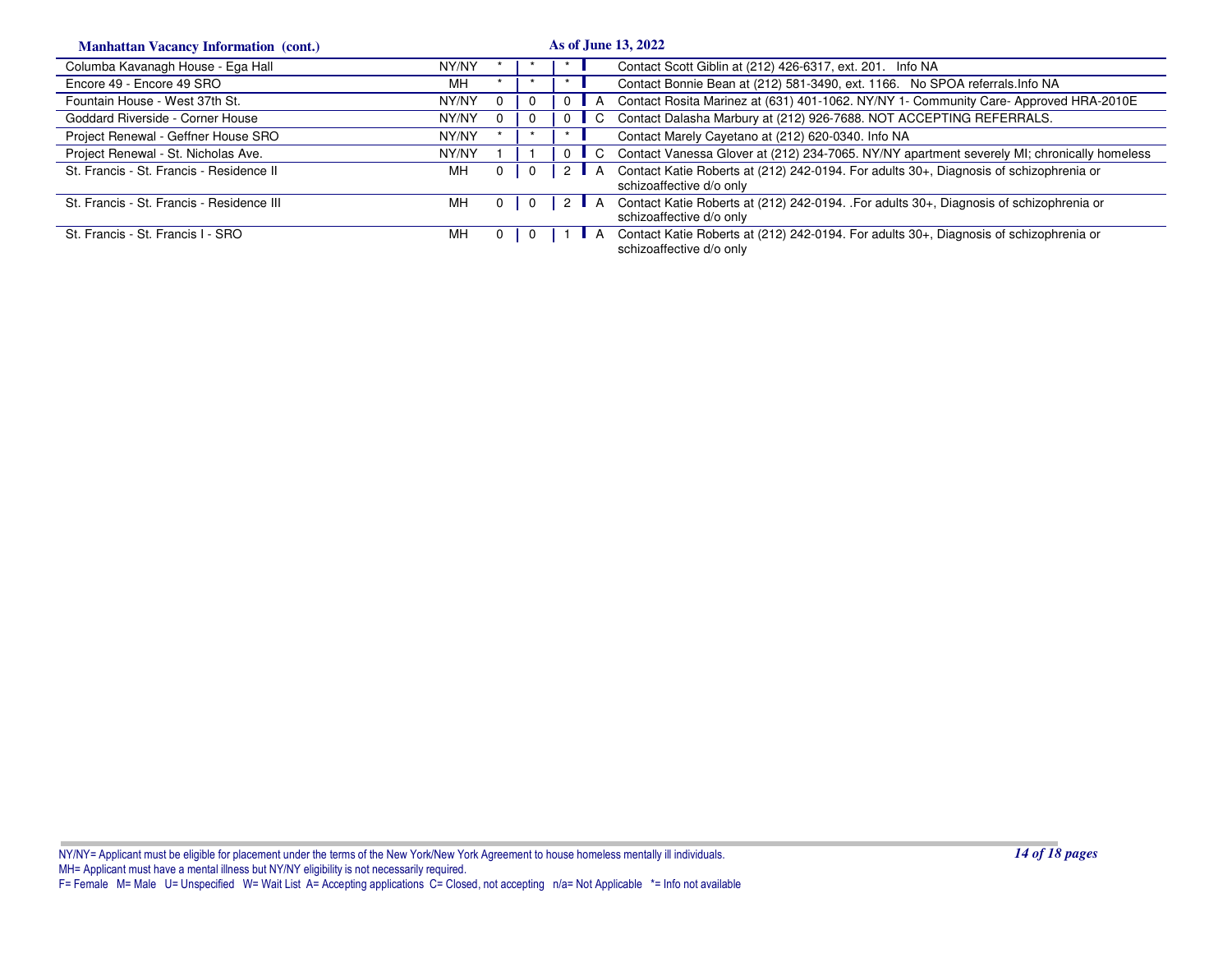| <b>Manhattan Vacancy Information (cont.)</b> |       |          |          |              | As of June 13, 2022                                                                                                |
|----------------------------------------------|-------|----------|----------|--------------|--------------------------------------------------------------------------------------------------------------------|
| Columba Kavanagh House - Ega Hall            | NY/NY |          |          |              | Contact Scott Giblin at (212) 426-6317, ext. 201. Info NA                                                          |
| Encore 49 - Encore 49 SRO                    | MН    |          |          |              | Contact Bonnie Bean at (212) 581-3490, ext. 1166. No SPOA referrals. Info NA                                       |
| Fountain House - West 37th St.               | NY/NY | 0        |          |              | Contact Rosita Marinez at (631) 401-1062. NY/NY 1- Community Care-Approved HRA-2010E                               |
| Goddard Riverside - Corner House             | NY/NY | $\Omega$ | $\Omega$ | C.           | Contact Dalasha Marbury at (212) 926-7688. NOT ACCEPTING REFERRALS.                                                |
| Project Renewal - Geffner House SRO          | NY/NY |          |          |              | Contact Marely Cayetano at (212) 620-0340. Info NA                                                                 |
| Project Renewal - St. Nicholas Ave.          | NY/NY |          | $\Omega$ | $\mathbf{C}$ | Contact Vanessa Glover at (212) 234-7065. NY/NY apartment severely MI; chronically homeless                        |
| St. Francis - St. Francis - Residence II     | MН    | 0        | 2 I      |              | Contact Katie Roberts at (212) 242-0194. For adults 30+, Diagnosis of schizophrenia or<br>schizoaffective d/o only |
| St. Francis - St. Francis - Residence III    | MН    | 0        |          |              | Contact Katie Roberts at (212) 242-0194. For adults 30+, Diagnosis of schizophrenia or<br>schizoaffective d/o only |
| St. Francis - St. Francis I - SRO            | MН    | -0       |          |              | Contact Katie Roberts at (212) 242-0194. For adults 30+, Diagnosis of schizophrenia or<br>schizoaffective d/o only |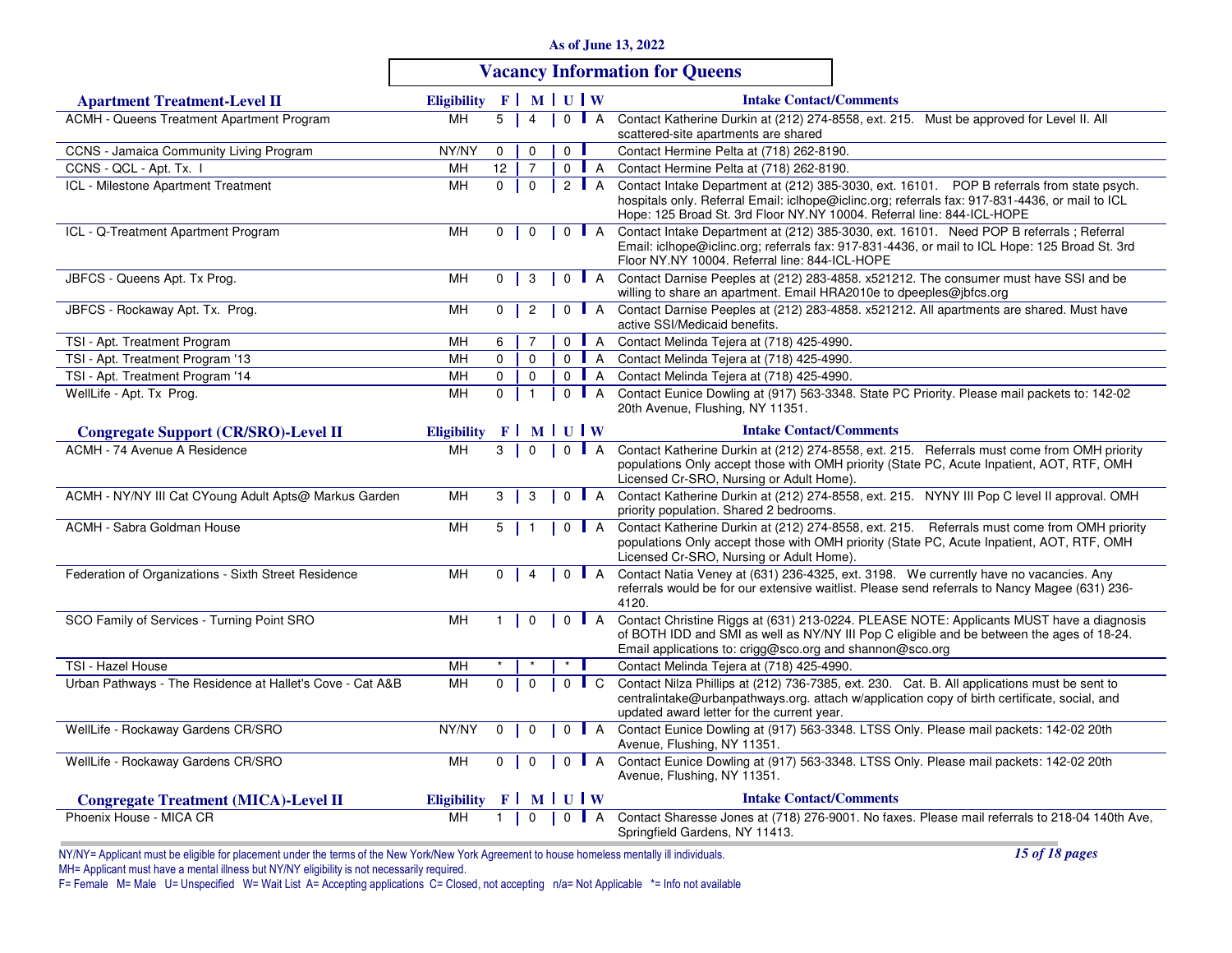| As of June 13, 2022 |  |  |  |  |  |
|---------------------|--|--|--|--|--|
|---------------------|--|--|--|--|--|

# **Vacancy Information for Queens**

| <b>Apartment Treatment-Level II</b>                       | <b>Eligibility</b> |                | $F$ MUUW       |                |         |                    | <b>Intake Contact/Comments</b>                                                                                                                                                                                                                                          |
|-----------------------------------------------------------|--------------------|----------------|----------------|----------------|---------|--------------------|-------------------------------------------------------------------------------------------------------------------------------------------------------------------------------------------------------------------------------------------------------------------------|
| ACMH - Queens Treatment Apartment Program                 | MH                 | 5              | 4              | $\Omega$       |         | $\blacksquare$ A   | Contact Katherine Durkin at (212) 274-8558, ext. 215. Must be approved for Level II. All                                                                                                                                                                                |
|                                                           |                    |                |                |                |         |                    | scattered-site apartments are shared                                                                                                                                                                                                                                    |
| CCNS - Jamaica Community Living Program                   | NY/NY              | $\mathbf{0}$   | $\mathbf 0$    | $\overline{0}$ |         |                    | Contact Hermine Pelta at (718) 262-8190.                                                                                                                                                                                                                                |
| CCNS - QCL - Apt. Tx. I                                   | MH                 | 12             | $\overline{7}$ | 0              |         | $\blacksquare$ A   | Contact Hermine Pelta at (718) 262-8190.                                                                                                                                                                                                                                |
| ICL - Milestone Apartment Treatment                       | MH                 | $\mathbf{0}$   | $\mathbf{0}$   |                |         | 2 $\blacksquare$ A | Contact Intake Department at (212) 385-3030, ext. 16101. POP B referrals from state psych.<br>hospitals only. Referral Email: iclhope@iclinc.org; referrals fax: 917-831-4436, or mail to ICL<br>Hope: 125 Broad St. 3rd Floor NY.NY 10004. Referral line: 844-ICL-HOPE |
| ICL - Q-Treatment Apartment Program                       | MH                 | $\mathbf{0}$   | $\mathbf 0$    | $\mathbf 0$    |         | $\blacksquare$ A   | Contact Intake Department at (212) 385-3030, ext. 16101. Need POP B referrals; Referral<br>Email: iclhope@iclinc.org; referrals fax: 917-831-4436, or mail to ICL Hope: 125 Broad St. 3rd<br>Floor NY.NY 10004. Referral line: 844-ICL-HOPE                             |
| JBFCS - Queens Apt. Tx Prog.                              | MH                 | 0              | 3              | $\mathbf{0}$   |         | $\blacksquare$ A   | Contact Darnise Peeples at (212) 283-4858. x521212. The consumer must have SSI and be<br>willing to share an apartment. Email HRA2010e to dpeeples@jbfcs.org                                                                                                            |
| JBFCS - Rockaway Apt. Tx. Prog.                           | MH                 | $\mathbf 0$    | $\overline{c}$ | $\mathbf 0$    |         | $\blacksquare$ A   | Contact Darnise Peeples at (212) 283-4858. x521212. All apartments are shared. Must have<br>active SSI/Medicaid benefits.                                                                                                                                               |
| TSI - Apt. Treatment Program                              | MH                 | 6              | 7              | $\Omega$       |         | $\mathsf{A}$       | Contact Melinda Tejera at (718) 425-4990.                                                                                                                                                                                                                               |
| TSI - Apt. Treatment Program '13                          | МH                 | $\mathbf{0}$   | $\mathbf 0$    | $\mathbf 0$    |         | $\mathsf{A}$       | Contact Melinda Tejera at (718) 425-4990.                                                                                                                                                                                                                               |
| TSI - Apt. Treatment Program '14                          | MH                 | $\mathbf 0$    | $\mathbf 0$    |                |         | $0$ $A$            | Contact Melinda Tejera at (718) 425-4990.                                                                                                                                                                                                                               |
| WellLife - Apt. Tx Prog.                                  | MH                 | $\mathbf 0$    | $\mathbf{1}$   | $\mathbf 0$    |         | $\blacksquare$ A   | Contact Eunice Dowling at (917) 563-3348. State PC Priority. Please mail packets to: 142-02<br>20th Avenue, Flushing, NY 11351.                                                                                                                                         |
| <b>Congregate Support (CR/SRO)-Level II</b>               | <b>Eligibility</b> | $\mathbf{F}$   |                | <b>MUW</b>     |         |                    | <b>Intake Contact/Comments</b>                                                                                                                                                                                                                                          |
| ACMH - 74 Avenue A Residence                              | MH                 | 3              | $\Omega$       | $\Omega$       |         | A                  | Contact Katherine Durkin at (212) 274-8558, ext. 215. Referrals must come from OMH priority<br>populations Only accept those with OMH priority (State PC, Acute Inpatient, AOT, RTF, OMH<br>Licensed Cr-SRO, Nursing or Adult Home).                                    |
| ACMH - NY/NY III Cat CYoung Adult Apts@ Markus Garden     | MH                 | 3              | 3              | $\mathbf 0$    |         | $\mathsf{A}$       | Contact Katherine Durkin at (212) 274-8558, ext. 215. NYNY III Pop C level II approval. OMH<br>priority population. Shared 2 bedrooms.                                                                                                                                  |
| <b>ACMH - Sabra Goldman House</b>                         | MH                 | $5 \mid$       | $\overline{1}$ |                |         | $0$ $A$            | Contact Katherine Durkin at (212) 274-8558, ext. 215. Referrals must come from OMH priority<br>populations Only accept those with OMH priority (State PC, Acute Inpatient, AOT, RTF, OMH<br>Licensed Cr-SRO, Nursing or Adult Home).                                    |
| Federation of Organizations - Sixth Street Residence      | MH                 | $\mathbf 0$    | $\overline{4}$ |                |         | $0$ $A$            | Contact Natia Veney at (631) 236-4325, ext. 3198. We currently have no vacancies. Any<br>referrals would be for our extensive waitlist. Please send referrals to Nancy Magee (631) 236-<br>4120.                                                                        |
| SCO Family of Services - Turning Point SRO                | <b>MH</b>          | 1              | $\mathbf 0$    |                | $0$ $A$ |                    | Contact Christine Riggs at (631) 213-0224. PLEASE NOTE: Applicants MUST have a diagnosis<br>of BOTH IDD and SMI as well as NY/NY III Pop C eligible and be between the ages of 18-24.<br>Email applications to: crigg@sco.org and shannon@sco.org                       |
| TSI - Hazel House                                         | MH                 |                |                |                |         |                    | Contact Melinda Tejera at (718) 425-4990.                                                                                                                                                                                                                               |
| Urban Pathways - The Residence at Hallet's Cove - Cat A&B | MH                 | 0              | $\Omega$       |                |         | $\mathbf C$        | Contact Nilza Phillips at (212) 736-7385, ext. 230. Cat. B. All applications must be sent to<br>centralintake@urbanpathways.org. attach w/application copy of birth certificate, social, and<br>updated award letter for the current year.                              |
| WellLife - Rockaway Gardens CR/SRO                        | NY/NY              | $\Omega$       | $\Omega$       | $\Omega$       |         | $\mathsf{A}$       | Contact Eunice Dowling at (917) 563-3348. LTSS Only. Please mail packets: 142-02 20th<br>Avenue, Flushing, NY 11351.                                                                                                                                                    |
| WellLife - Rockaway Gardens CR/SRO                        | MH                 | $\mathbf{0}$   | $\mathbf 0$    | $\mathbf 0$    |         | $\blacksquare$ A   | Contact Eunice Dowling at (917) 563-3348. LTSS Only. Please mail packets: 142-02 20th<br>Avenue, Flushing, NY 11351.                                                                                                                                                    |
| <b>Congregate Treatment (MICA)-Level II</b>               | <b>Eligibility</b> | F <sup>2</sup> |                | MUW            |         |                    | <b>Intake Contact/Comments</b>                                                                                                                                                                                                                                          |
| Phoenix House - MICA CR                                   | MH                 |                | $\Omega$       |                |         | $\overline{A}$     | Contact Sharesse Jones at (718) 276-9001. No faxes. Please mail referrals to 218-04 140th Ave,<br>Springfield Gardens, NY 11413.                                                                                                                                        |

NY/NY= Applicant must be eligible for placement under the terms of the New York/New York Agreement to house homeless mentally ill individuals.

*15 of 18 pages*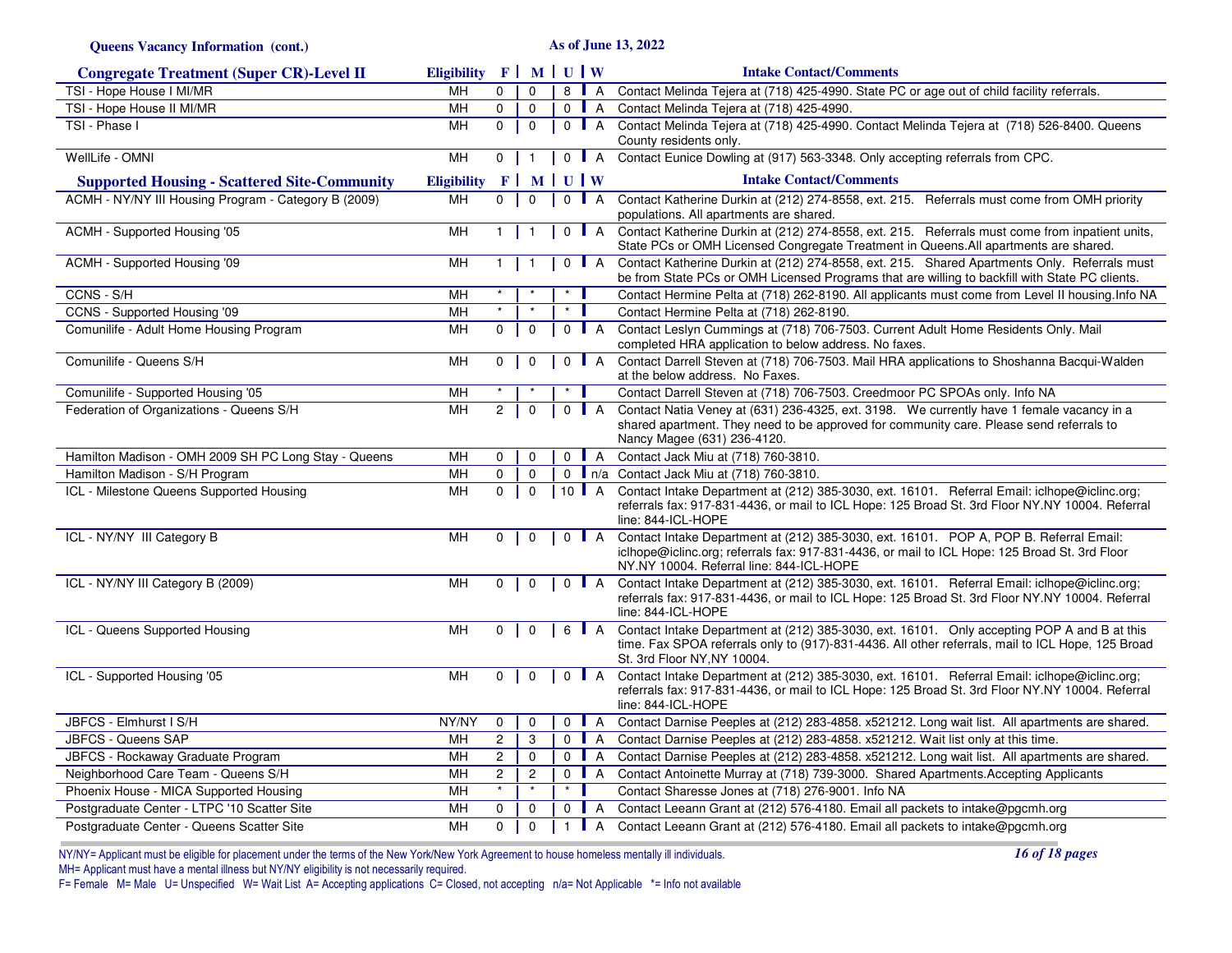**Queens Vacancy Information (cont.)**

**As of June 13, 2022**

| <b>Congregate Treatment (Super CR)-Level II</b>      | Eligibility F   M   U   W |                |                         |                     |                  | <b>Intake Contact/Comments</b>                                                                                                                                                                                                      |
|------------------------------------------------------|---------------------------|----------------|-------------------------|---------------------|------------------|-------------------------------------------------------------------------------------------------------------------------------------------------------------------------------------------------------------------------------------|
| TSI - Hope House I MI/MR                             | MH                        | 0              | $\Omega$                | 8                   | $\blacksquare$ A | Contact Melinda Tejera at (718) 425-4990. State PC or age out of child facility referrals.                                                                                                                                          |
| TSI - Hope House II MI/MR                            | MH                        | $\mathbf{0}$   | $\mathbf 0$             | $0$ A               |                  | Contact Melinda Tejera at (718) 425-4990.                                                                                                                                                                                           |
| TSI - Phase I                                        | MH                        | $\Omega$       | $\overline{0}$          | $\Omega$            | $\blacksquare$ A | Contact Melinda Tejera at (718) 425-4990. Contact Melinda Tejera at (718) 526-8400. Queens<br>County residents only.                                                                                                                |
| WellLife - OMNI                                      | <b>MH</b>                 | $\overline{0}$ | $\overline{1}$          | $0$ $A$             |                  | Contact Eunice Dowling at (917) 563-3348. Only accepting referrals from CPC.                                                                                                                                                        |
| <b>Supported Housing - Scattered Site-Community</b>  | <b>Eligibility</b>        |                | $F$ MUUW                |                     |                  | <b>Intake Contact/Comments</b>                                                                                                                                                                                                      |
| ACMH - NY/NY III Housing Program - Category B (2009) | MH                        | $\overline{0}$ | $\mathbf 0$             | $\mathbf 0$         | $\blacksquare$ A | Contact Katherine Durkin at (212) 274-8558, ext. 215. Referrals must come from OMH priority<br>populations. All apartments are shared.                                                                                              |
| ACMH - Supported Housing '05                         | MH                        | $\mathbf{1}$   | $\overline{\mathbf{1}}$ | $\mathbf 0$         | $\blacksquare$ A | Contact Katherine Durkin at (212) 274-8558, ext. 215. Referrals must come from inpatient units,<br>State PCs or OMH Licensed Congregate Treatment in Queens. All apartments are shared.                                             |
| ACMH - Supported Housing '09                         | MH                        | 1              | $\overline{\mathbf{1}}$ | $\mathbf{0}$        | $\blacksquare$ A | Contact Katherine Durkin at (212) 274-8558, ext. 215. Shared Apartments Only. Referrals must<br>be from State PCs or OMH Licensed Programs that are willing to backfill with State PC clients.                                      |
| CCNS - S/H                                           | MH                        |                |                         |                     |                  | Contact Hermine Pelta at (718) 262-8190. All applicants must come from Level II housing. Info NA                                                                                                                                    |
| CCNS - Supported Housing '09                         | MH                        |                |                         | $\star$             |                  | Contact Hermine Pelta at (718) 262-8190.                                                                                                                                                                                            |
| Comunilife - Adult Home Housing Program              | MH                        | 0              | 0                       | $\Omega$            | $\mathsf{I}$ A   | Contact Leslyn Cummings at (718) 706-7503. Current Adult Home Residents Only. Mail<br>completed HRA application to below address. No faxes.                                                                                         |
| Comunilife - Queens S/H                              | MH                        | $\mathbf{0}$   | $\mathbf 0$             | $\mathbf 0$         | $\blacksquare$ A | Contact Darrell Steven at (718) 706-7503. Mail HRA applications to Shoshanna Bacqui-Walden<br>at the below address. No Faxes.                                                                                                       |
| Comunilife - Supported Housing '05                   | MH                        |                |                         |                     |                  | Contact Darrell Steven at (718) 706-7503. Creedmoor PC SPOAs only. Info NA                                                                                                                                                          |
| Federation of Organizations - Queens S/H             | MH                        | $\overline{2}$ | $\mathbf 0$             | $\mathbf 0$         | $\mathsf{A}$     | Contact Natia Veney at (631) 236-4325, ext. 3198. We currently have 1 female vacancy in a<br>shared apartment. They need to be approved for community care. Please send referrals to<br>Nancy Magee (631) 236-4120.                 |
| Hamilton Madison - OMH 2009 SH PC Long Stay - Queens | MH                        | 0              | $\mathbf 0$             | $\mathbf 0$         | $\blacksquare$ A | Contact Jack Miu at (718) 760-3810.                                                                                                                                                                                                 |
| Hamilton Madison - S/H Program                       | MH                        | $\mathbf 0$    | $\mathbf 0$             |                     |                  | 0   n/a Contact Jack Miu at (718) 760-3810.                                                                                                                                                                                         |
| ICL - Milestone Queens Supported Housing             | MH                        | $\mathbf 0$    | $\mathbf 0$             | 10 $\blacksquare$ A |                  | Contact Intake Department at (212) 385-3030, ext. 16101. Referral Email: iclhope@iclinc.org;<br>referrals fax: 917-831-4436, or mail to ICL Hope: 125 Broad St. 3rd Floor NY.NY 10004. Referral<br>line: 844-ICL-HOPE               |
| ICL - NY/NY III Category B                           | <b>MH</b>                 | $\mathbf{0}$   | $\mathbf 0$             | $0$ $A$             |                  | Contact Intake Department at (212) 385-3030, ext. 16101. POP A, POP B. Referral Email:<br>iclhope@iclinc.org; referrals fax: 917-831-4436, or mail to ICL Hope: 125 Broad St. 3rd Floor<br>NY.NY 10004. Referral line: 844-ICL-HOPE |
| ICL - NY/NY III Category B (2009)                    | MH                        | 0              | 0                       | $0$   A             |                  | Contact Intake Department at (212) 385-3030, ext. 16101. Referral Email: iclhope@iclinc.org;<br>referrals fax: 917-831-4436, or mail to ICL Hope: 125 Broad St. 3rd Floor NY.NY 10004. Referral<br>line: 844-ICL-HOPE               |
| ICL - Queens Supported Housing                       | MH                        | 0              | $\mathbf 0$             | 6                   | $\blacksquare$ A | Contact Intake Department at (212) 385-3030, ext. 16101. Only accepting POP A and B at this<br>time. Fax SPOA referrals only to (917)-831-4436. All other referrals, mail to ICL Hope, 125 Broad<br>St. 3rd Floor NY, NY 10004.     |
| ICL - Supported Housing '05                          | MH                        | 0              | $\mathbf 0$             | $\mathbf 0$         | $\blacksquare$ A | Contact Intake Department at (212) 385-3030, ext. 16101. Referral Email: iclhope@iclinc.org;<br>referrals fax: 917-831-4436, or mail to ICL Hope: 125 Broad St. 3rd Floor NY.NY 10004. Referral<br>line: 844-ICL-HOPE               |
| JBFCS - Elmhurst I S/H                               | NY/NY                     | $\mathbf 0$    | 0                       | 0                   | $\blacksquare$ A | Contact Darnise Peeples at (212) 283-4858. x521212. Long wait list. All apartments are shared.                                                                                                                                      |
| <b>JBFCS - Queens SAP</b>                            | MН                        | $\overline{2}$ | 3                       | $\mathbf 0$         | $\mathsf{A}$     | Contact Darnise Peeples at (212) 283-4858. x521212. Wait list only at this time.                                                                                                                                                    |
| JBFCS - Rockaway Graduate Program                    | MH                        | $\mathbf{2}$   | $\mathsf 0$             | $\overline{0}$      | $\overline{A}$   | Contact Darnise Peeples at (212) 283-4858. x521212. Long wait list. All apartments are shared.                                                                                                                                      |
| Neighborhood Care Team - Queens S/H                  | MН                        | $\overline{c}$ | $\mathbf{2}$            | 0                   | $\mathsf{A}$     | Contact Antoinette Murray at (718) 739-3000. Shared Apartments. Accepting Applicants                                                                                                                                                |
| Phoenix House - MICA Supported Housing               | MH                        | $\star$        | $\star$                 | $\star$             |                  | Contact Sharesse Jones at (718) 276-9001. Info NA                                                                                                                                                                                   |
| Postgraduate Center - LTPC '10 Scatter Site          | MH                        | $\mathbf 0$    | 0                       | $0$ $A$             |                  | Contact Leeann Grant at (212) 576-4180. Email all packets to intake@pgcmh.org                                                                                                                                                       |
| Postgraduate Center - Queens Scatter Site            | MH                        | 0              | $\mathbf{0}$            | 1   A               |                  | Contact Leeann Grant at (212) 576-4180. Email all packets to intake@pgcmh.org                                                                                                                                                       |

*16 of 18 pages*

NY/NY= Applicant must be eligible for placement under the terms of the New York/New York Agreement to house homeless mentally ill individuals.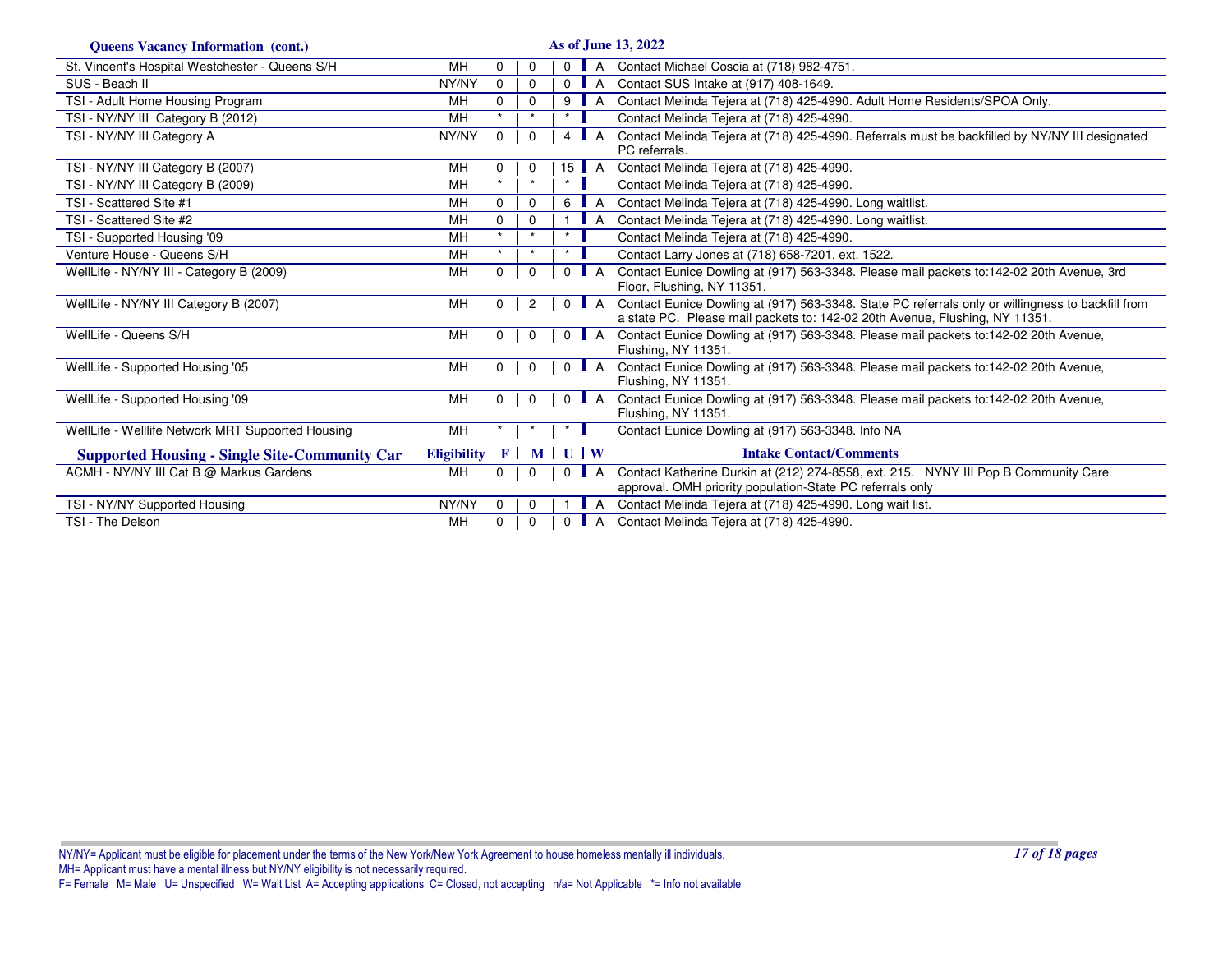| <b>Queens Vacancy Information (cont.)</b>            |                    |                |                |                 |                  | As of June 13, 2022                                                                                                                                                              |
|------------------------------------------------------|--------------------|----------------|----------------|-----------------|------------------|----------------------------------------------------------------------------------------------------------------------------------------------------------------------------------|
| St. Vincent's Hospital Westchester - Queens S/H      | MH                 | $\Omega$       | $\Omega$       | $\Omega$        | A                | Contact Michael Coscia at (718) 982-4751.                                                                                                                                        |
| SUS - Beach II                                       | NY/NY              | $\Omega$       | $\mathbf 0$    | 0               | A                | Contact SUS Intake at (917) 408-1649.                                                                                                                                            |
| TSI - Adult Home Housing Program                     | MН                 | $\Omega$       | 0              | 9               | A                | Contact Melinda Tejera at (718) 425-4990. Adult Home Residents/SPOA Only.                                                                                                        |
| TSI - NY/NY III Category B (2012)                    | MН                 |                | $\star$        | $\star$         |                  | Contact Melinda Tejera at (718) 425-4990.                                                                                                                                        |
| TSI - NY/NY III Category A                           | NY/NY              | $\mathbf{0}$   | 0              | 4               | A                | Contact Melinda Tejera at (718) 425-4990. Referrals must be backfilled by NY/NY III designated<br>PC referrals.                                                                  |
| TSI - NY/NY III Category B (2007)                    | MН                 | $\Omega$       | $\mathbf 0$    | 15 <sup>1</sup> | A                | Contact Melinda Tejera at (718) 425-4990.                                                                                                                                        |
| TSI - NY/NY III Category B (2009)                    | MH                 |                | $\star$        | $\star$         |                  | Contact Melinda Tejera at (718) 425-4990.                                                                                                                                        |
| TSI - Scattered Site #1                              | MH                 | $\Omega$       | 0              | 6               | A                | Contact Melinda Tejera at (718) 425-4990. Long waitlist.                                                                                                                         |
| TSI - Scattered Site #2                              | MH                 | $\Omega$       | 0              |                 | A                | Contact Melinda Tejera at (718) 425-4990. Long waitlist.                                                                                                                         |
| TSI - Supported Housing '09                          | MH                 |                | $\star$        | $\star$         |                  | Contact Melinda Tejera at (718) 425-4990.                                                                                                                                        |
| Venture House - Queens S/H                           | MH                 | $\star$        | $\star$        | $\star$         |                  | Contact Larry Jones at (718) 658-7201, ext. 1522.                                                                                                                                |
| WellLife - NY/NY III - Category B (2009)             | MН                 | $\mathbf{0}$   | $\mathbf 0$    | $\Omega$        | A                | Contact Eunice Dowling at (917) 563-3348. Please mail packets to:142-02 20th Avenue, 3rd<br>Floor, Flushing, NY 11351.                                                           |
| WellLife - NY/NY III Category B (2007)               | MН                 | $\mathbf{0}$   | $\overline{2}$ | $\mathbf{0}$    | $\blacksquare$ A | Contact Eunice Dowling at (917) 563-3348. State PC referrals only or willingness to backfill from<br>a state PC. Please mail packets to: 142-02 20th Avenue, Flushing, NY 11351. |
| WellLife - Queens S/H                                | MH                 | $\mathbf{0}$   | $\mathbf{0}$   |                 | $0$   A          | Contact Eunice Dowling at (917) 563-3348. Please mail packets to:142-02 20th Avenue,<br>Flushing, NY 11351.                                                                      |
| WellLife - Supported Housing '05                     | MH                 | $\mathbf{0}$   | $\mathbf 0$    | $\mathbf{0}$    | $\blacksquare$ A | Contact Eunice Dowling at (917) 563-3348. Please mail packets to:142-02 20th Avenue,<br>Flushing, NY 11351.                                                                      |
| WellLife - Supported Housing '09                     | MH                 | $\overline{0}$ | $\Omega$       | $\Omega$        | A                | Contact Eunice Dowling at (917) 563-3348. Please mail packets to:142-02 20th Avenue,<br>Flushing, NY 11351.                                                                      |
| WellLife - Welllife Network MRT Supported Housing    | MН                 |                |                |                 |                  | Contact Eunice Dowling at (917) 563-3348. Info NA                                                                                                                                |
| <b>Supported Housing - Single Site-Community Car</b> | <b>Eligibility</b> | $F \mid$       |                | <b>MUW</b>      |                  | <b>Intake Contact/Comments</b>                                                                                                                                                   |
| ACMH - NY/NY III Cat B @ Markus Gardens              | MH                 | $\mathbf{0}$   | 0              | $\Omega$        | A                | Contact Katherine Durkin at (212) 274-8558, ext. 215. NYNY III Pop B Community Care<br>approval. OMH priority population-State PC referrals only                                 |
| TSI - NY/NY Supported Housing                        | NY/NY              | $\mathbf{0}$   | $\mathbf 0$    | -1              | - A              | Contact Melinda Tejera at (718) 425-4990. Long wait list.                                                                                                                        |
| TSI - The Delson                                     | MH                 | $\mathbf{0}$   | $\mathbf 0$    |                 | 0 <b>  A</b>     | Contact Melinda Tejera at (718) 425-4990.                                                                                                                                        |